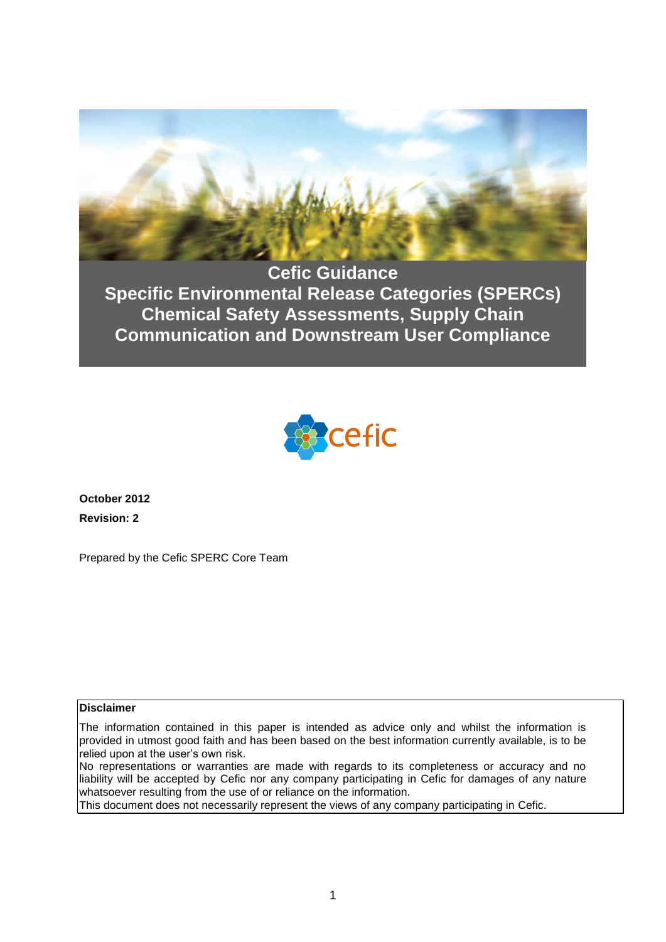

**Cefic Guidance Specific Environmental Release Categories (SPERCs) Chemical Safety Assessments, Supply Chain Communication and Downstream User Compliance**



**October 2012 Revision: 2**

Prepared by the Cefic SPERC Core Team

#### **Disclaimer**

The information contained in this paper is intended as advice only and whilst the information is provided in utmost good faith and has been based on the best information currently available, is to be relied upon at the user's own risk.

No representations or warranties are made with regards to its completeness or accuracy and no liability will be accepted by Cefic nor any company participating in Cefic for damages of any nature whatsoever resulting from the use of or reliance on the information.

This document does not necessarily represent the views of any company participating in Cefic.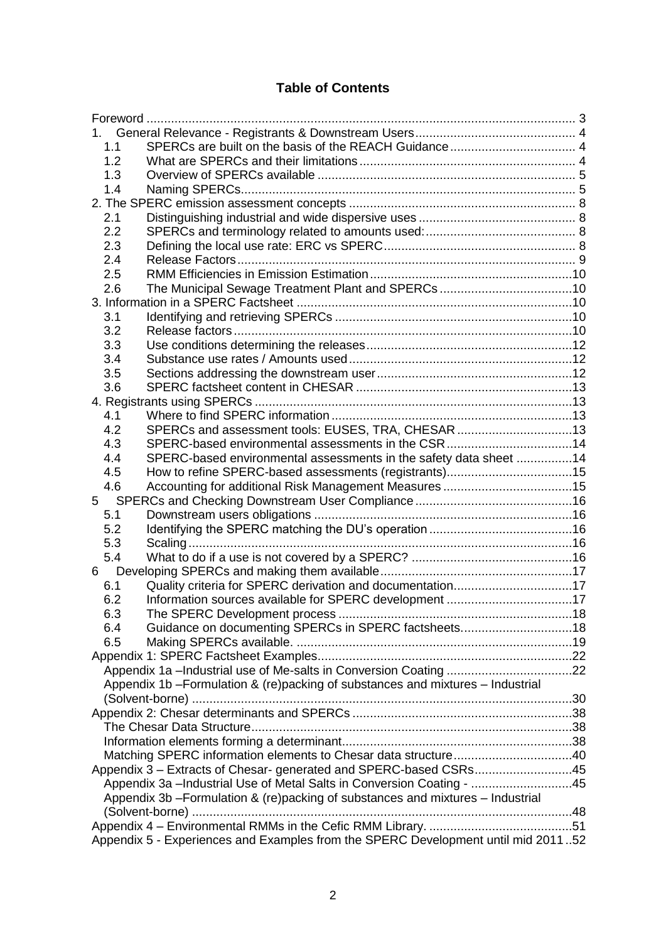# **Table of Contents**

| 1.  |                                                                                   |  |
|-----|-----------------------------------------------------------------------------------|--|
| 1.1 |                                                                                   |  |
| 1.2 |                                                                                   |  |
| 1.3 |                                                                                   |  |
| 1.4 |                                                                                   |  |
|     |                                                                                   |  |
| 2.1 |                                                                                   |  |
| 2.2 |                                                                                   |  |
| 2.3 |                                                                                   |  |
| 2.4 |                                                                                   |  |
| 2.5 |                                                                                   |  |
| 2.6 |                                                                                   |  |
|     |                                                                                   |  |
| 3.1 |                                                                                   |  |
| 3.2 |                                                                                   |  |
| 3.3 |                                                                                   |  |
| 3.4 |                                                                                   |  |
| 3.5 |                                                                                   |  |
| 3.6 |                                                                                   |  |
|     |                                                                                   |  |
| 4.1 |                                                                                   |  |
| 4.2 | SPERCs and assessment tools: EUSES, TRA, CHESAR 13                                |  |
| 4.3 |                                                                                   |  |
| 4.4 | SPERC-based environmental assessments in the safety data sheet 14                 |  |
| 4.5 |                                                                                   |  |
| 4.6 |                                                                                   |  |
| 5   |                                                                                   |  |
| 5.1 |                                                                                   |  |
| 5.2 |                                                                                   |  |
| 5.3 |                                                                                   |  |
| 5.4 |                                                                                   |  |
|     |                                                                                   |  |
| 6.1 | Quality criteria for SPERC derivation and documentation17                         |  |
| 6.2 |                                                                                   |  |
| 6.3 |                                                                                   |  |
| 6.4 | Guidance on documenting SPERCs in SPERC factsheets18                              |  |
| 6.5 |                                                                                   |  |
|     |                                                                                   |  |
|     |                                                                                   |  |
|     | Appendix 1b - Formulation & (re)packing of substances and mixtures - Industrial   |  |
|     |                                                                                   |  |
|     |                                                                                   |  |
|     |                                                                                   |  |
|     |                                                                                   |  |
|     |                                                                                   |  |
|     | Appendix 3 - Extracts of Chesar- generated and SPERC-based CSRs45                 |  |
|     | Appendix 3a --Industrial Use of Metal Salts in Conversion Coating - 45            |  |
|     | Appendix 3b - Formulation & (re)packing of substances and mixtures - Industrial   |  |
|     |                                                                                   |  |
|     |                                                                                   |  |
|     | Appendix 5 - Experiences and Examples from the SPERC Development until mid 201152 |  |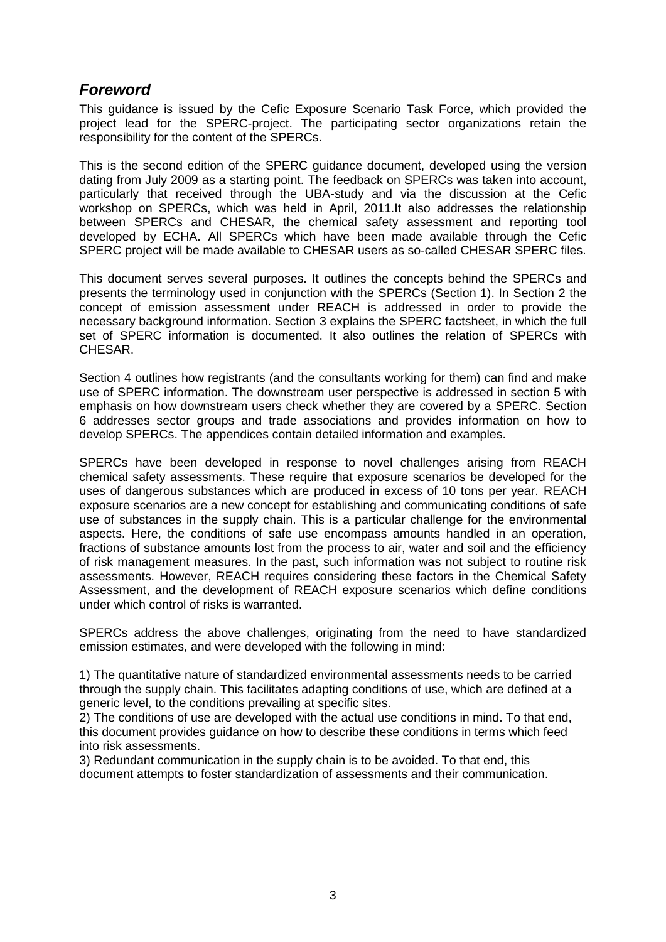# <span id="page-2-0"></span>*Foreword*

This guidance is issued by the Cefic Exposure Scenario Task Force, which provided the project lead for the SPERC-project. The participating sector organizations retain the responsibility for the content of the SPERCs.

This is the second edition of the SPERC guidance document, developed using the version dating from July 2009 as a starting point. The feedback on SPERCs was taken into account, particularly that received through the UBA-study and via the discussion at the Cefic workshop on SPERCs, which was held in April, 2011.It also addresses the relationship between SPERCs and CHESAR, the chemical safety assessment and reporting tool developed by ECHA. All SPERCs which have been made available through the Cefic SPERC project will be made available to CHESAR users as so-called CHESAR SPERC files.

This document serves several purposes. It outlines the concepts behind the SPERCs and presents the terminology used in conjunction with the SPERCs (Section 1). In Section 2 the concept of emission assessment under REACH is addressed in order to provide the necessary background information. Section 3 explains the SPERC factsheet, in which the full set of SPERC information is documented. It also outlines the relation of SPERCs with CHESAR.

Section 4 outlines how registrants (and the consultants working for them) can find and make use of SPERC information. The downstream user perspective is addressed in section 5 with emphasis on how downstream users check whether they are covered by a SPERC. Section 6 addresses sector groups and trade associations and provides information on how to develop SPERCs. The appendices contain detailed information and examples.

SPERCs have been developed in response to novel challenges arising from REACH chemical safety assessments. These require that exposure scenarios be developed for the uses of dangerous substances which are produced in excess of 10 tons per year. REACH exposure scenarios are a new concept for establishing and communicating conditions of safe use of substances in the supply chain. This is a particular challenge for the environmental aspects. Here, the conditions of safe use encompass amounts handled in an operation, fractions of substance amounts lost from the process to air, water and soil and the efficiency of risk management measures. In the past, such information was not subject to routine risk assessments. However, REACH requires considering these factors in the Chemical Safety Assessment, and the development of REACH exposure scenarios which define conditions under which control of risks is warranted.

SPERCs address the above challenges, originating from the need to have standardized emission estimates, and were developed with the following in mind:

1) The quantitative nature of standardized environmental assessments needs to be carried through the supply chain. This facilitates adapting conditions of use, which are defined at a generic level, to the conditions prevailing at specific sites.

2) The conditions of use are developed with the actual use conditions in mind. To that end, this document provides guidance on how to describe these conditions in terms which feed into risk assessments.

3) Redundant communication in the supply chain is to be avoided. To that end, this document attempts to foster standardization of assessments and their communication.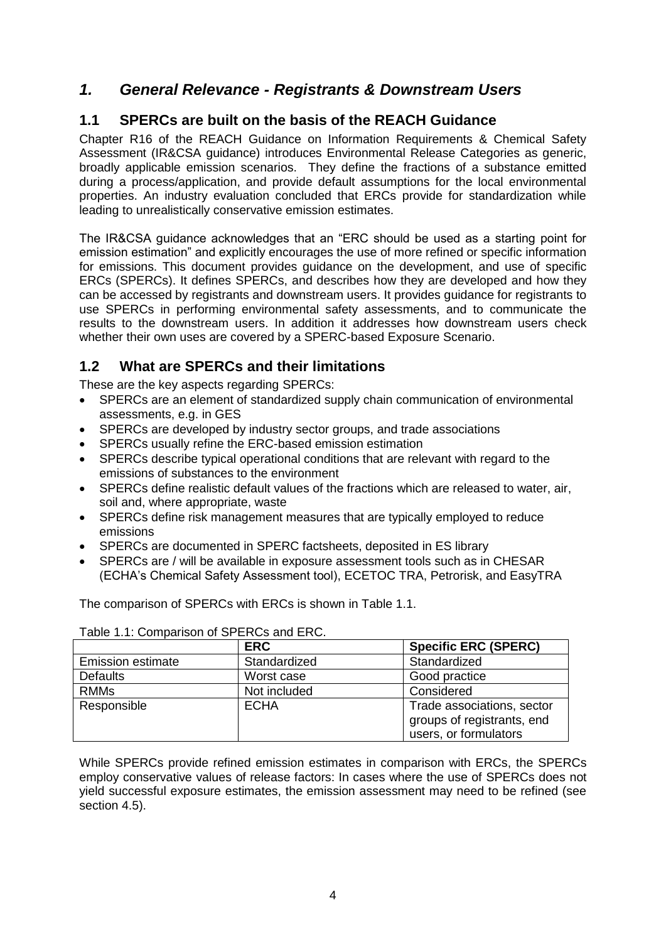# <span id="page-3-0"></span>*1. General Relevance - Registrants & Downstream Users*

# <span id="page-3-1"></span>**1.1 SPERCs are built on the basis of the REACH Guidance**

Chapter R16 of the REACH Guidance on Information Requirements & Chemical Safety Assessment (IR&CSA guidance) introduces Environmental Release Categories as generic, broadly applicable emission scenarios. They define the fractions of a substance emitted during a process/application, and provide default assumptions for the local environmental properties. An industry evaluation concluded that ERCs provide for standardization while leading to unrealistically conservative emission estimates.

The IR&CSA guidance acknowledges that an "ERC should be used as a starting point for emission estimation" and explicitly encourages the use of more refined or specific information for emissions. This document provides guidance on the development, and use of specific ERCs (SPERCs). It defines SPERCs, and describes how they are developed and how they can be accessed by registrants and downstream users. It provides guidance for registrants to use SPERCs in performing environmental safety assessments, and to communicate the results to the downstream users. In addition it addresses how downstream users check whether their own uses are covered by a SPERC-based Exposure Scenario.

# <span id="page-3-2"></span>**1.2 What are SPERCs and their limitations**

These are the key aspects regarding SPERCs:

- SPERCs are an element of standardized supply chain communication of environmental assessments, e.g. in GES
- SPERCs are developed by industry sector groups, and trade associations
- SPERCs usually refine the ERC-based emission estimation
- SPERCs describe typical operational conditions that are relevant with regard to the emissions of substances to the environment
- SPERCs define realistic default values of the fractions which are released to water, air, soil and, where appropriate, waste
- SPERCs define risk management measures that are typically employed to reduce emissions
- SPERCs are documented in SPERC factsheets, deposited in ES library
- SPERCs are / will be available in exposure assessment tools such as in CHESAR (ECHA's Chemical Safety Assessment tool), ECETOC TRA, Petrorisk, and EasyTRA

Table 1.1: Comparison of SPERCs and ERC.<br>ERC **ERC Specific ERC (SPERC)** Emission estimate Standardized<br>
Defaults Worst case Good practice Defaults Worst case Good practice RMMs Not included Considered Responsible **ECHA** Trade associations, sector groups of registrants, end users, or formulators

The comparison of SPERCs with ERCs is shown in Table 1.1.

|  |  | _ _ |  |  |  |  |  |  |  |
|--|--|-----|--|--|--|--|--|--|--|
|  |  |     |  |  |  |  |  |  |  |
|  |  |     |  |  |  |  |  |  |  |
|  |  |     |  |  |  |  |  |  |  |
|  |  |     |  |  |  |  |  |  |  |

While SPERCs provide refined emission estimates in comparison with ERCs, the SPERCs employ conservative values of release factors: In cases where the use of SPERCs does not yield successful exposure estimates, the emission assessment may need to be refined (see section 4.5).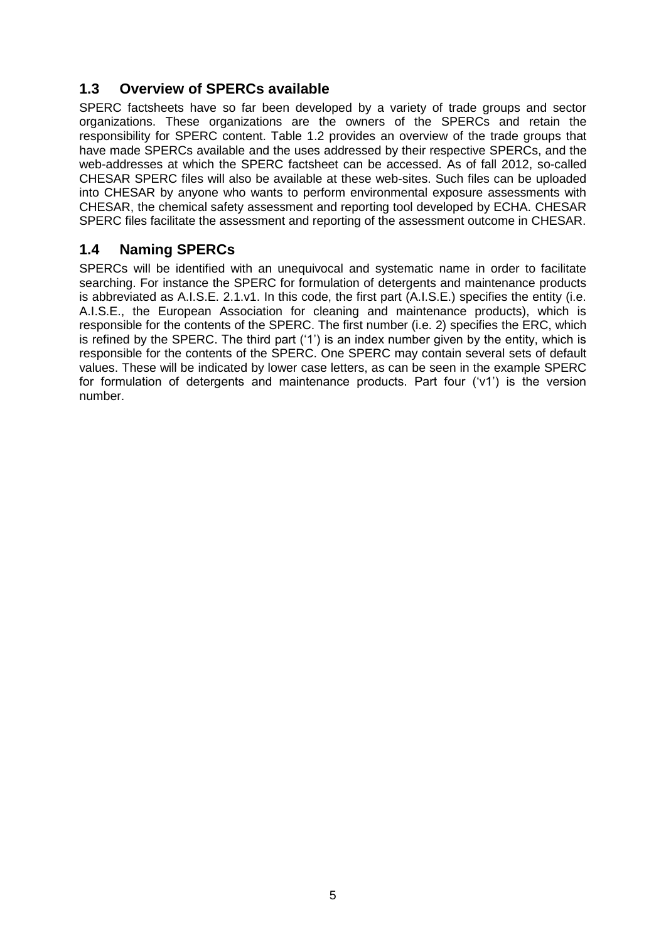# <span id="page-4-0"></span>**1.3 Overview of SPERCs available**

SPERC factsheets have so far been developed by a variety of trade groups and sector organizations. These organizations are the owners of the SPERCs and retain the responsibility for SPERC content. Table 1.2 provides an overview of the trade groups that have made SPERCs available and the uses addressed by their respective SPERCs, and the web-addresses at which the SPERC factsheet can be accessed. As of fall 2012, so-called CHESAR SPERC files will also be available at these web-sites. Such files can be uploaded into CHESAR by anyone who wants to perform environmental exposure assessments with CHESAR, the chemical safety assessment and reporting tool developed by ECHA. CHESAR SPERC files facilitate the assessment and reporting of the assessment outcome in CHESAR.

### <span id="page-4-1"></span>**1.4 Naming SPERCs**

SPERCs will be identified with an unequivocal and systematic name in order to facilitate searching. For instance the SPERC for formulation of detergents and maintenance products is abbreviated as A.I.S.E. 2.1.v1. In this code, the first part (A.I.S.E.) specifies the entity (i.e. A.I.S.E., the European Association for cleaning and maintenance products), which is responsible for the contents of the SPERC. The first number (i.e. 2) specifies the ERC, which is refined by the SPERC. The third part ('1') is an index number given by the entity, which is responsible for the contents of the SPERC. One SPERC may contain several sets of default values. These will be indicated by lower case letters, as can be seen in the example SPERC for formulation of detergents and maintenance products. Part four ('v1') is the version number.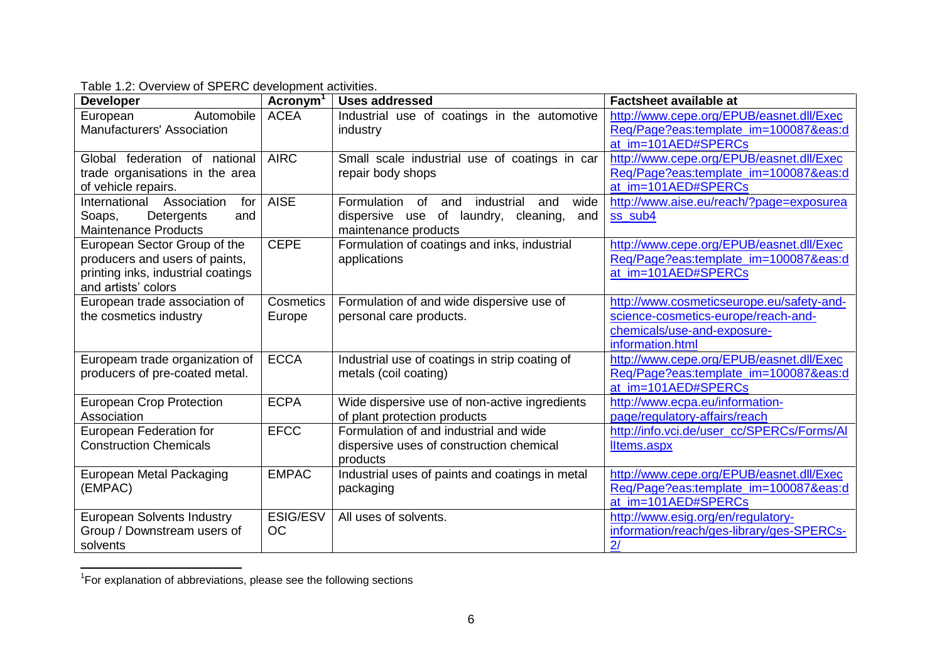| <b>Developer</b>                                                                                                            | Acronym <sup>1</sup>         | <b>Uses addressed</b>                                                                                                        | <b>Factsheet available at</b>                                                                                                       |
|-----------------------------------------------------------------------------------------------------------------------------|------------------------------|------------------------------------------------------------------------------------------------------------------------------|-------------------------------------------------------------------------------------------------------------------------------------|
| Automobile<br>European<br>Manufacturers' Association                                                                        | <b>ACEA</b>                  | Industrial use of coatings in the automotive<br>industry                                                                     | http://www.cepe.org/EPUB/easnet.dll/Exec<br>Req/Page?eas:template_im=100087&eas:d<br>at_im=101AED#SPERCs                            |
| Global federation of national<br>trade organisations in the area<br>of vehicle repairs.                                     | <b>AIRC</b>                  | Small scale industrial use of coatings in car<br>repair body shops                                                           | http://www.cepe.org/EPUB/easnet.dll/Exec<br>Req/Page?eas:template_im=100087&eas:d<br>at im=101AED#SPERCs                            |
| International Association<br>for<br>Detergents<br>and<br>Soaps,<br><b>Maintenance Products</b>                              | <b>AISE</b>                  | wide<br>Formulation of<br>industrial<br>and<br>and<br>dispersive use of laundry,<br>cleaning,<br>and<br>maintenance products | http://www.aise.eu/reach/?page=exposurea<br>ss_sub4                                                                                 |
| European Sector Group of the<br>producers and users of paints,<br>printing inks, industrial coatings<br>and artists' colors | <b>CEPE</b>                  | Formulation of coatings and inks, industrial<br>applications                                                                 | http://www.cepe.org/EPUB/easnet.dll/Exec<br>Req/Page?eas:template_im=100087&eas:d<br>at_im=101AED#SPERCs                            |
| European trade association of<br>the cosmetics industry                                                                     | Cosmetics<br>Europe          | Formulation of and wide dispersive use of<br>personal care products.                                                         | http://www.cosmeticseurope.eu/safety-and-<br>science-cosmetics-europe/reach-and-<br>chemicals/use-and-exposure-<br>information.html |
| Europeam trade organization of<br>producers of pre-coated metal.                                                            | <b>ECCA</b>                  | Industrial use of coatings in strip coating of<br>metals (coil coating)                                                      | http://www.cepe.org/EPUB/easnet.dll/Exec<br>Reg/Page?eas:template im=100087&eas:d<br>at im=101AED#SPERCs                            |
| <b>European Crop Protection</b><br>Association                                                                              | <b>ECPA</b>                  | Wide dispersive use of non-active ingredients<br>of plant protection products                                                | http://www.ecpa.eu/information-<br>page/regulatory-affairs/reach                                                                    |
| European Federation for<br><b>Construction Chemicals</b>                                                                    | <b>EFCC</b>                  | Formulation of and industrial and wide<br>dispersive uses of construction chemical<br>products                               | http://info.vci.de/user_cc/SPERCs/Forms/Al<br>Iltems.aspx                                                                           |
| European Metal Packaging<br>(EMPAC)                                                                                         | <b>EMPAC</b>                 | Industrial uses of paints and coatings in metal<br>packaging                                                                 | http://www.cepe.org/EPUB/easnet.dll/Exec<br>Req/Page?eas:template_im=100087&eas:d<br>at im=101AED#SPERCs                            |
| <b>European Solvents Industry</b><br>Group / Downstream users of<br>solvents                                                | <b>ESIG/ESV</b><br><b>OC</b> | All uses of solvents.                                                                                                        | http://www.esig.org/en/regulatory-<br>information/reach/ges-library/ges-SPERCs-<br>2/                                               |

Table 1.2: Overview of SPERC development activities.

 1 For explanation of abbreviations, please see the following sections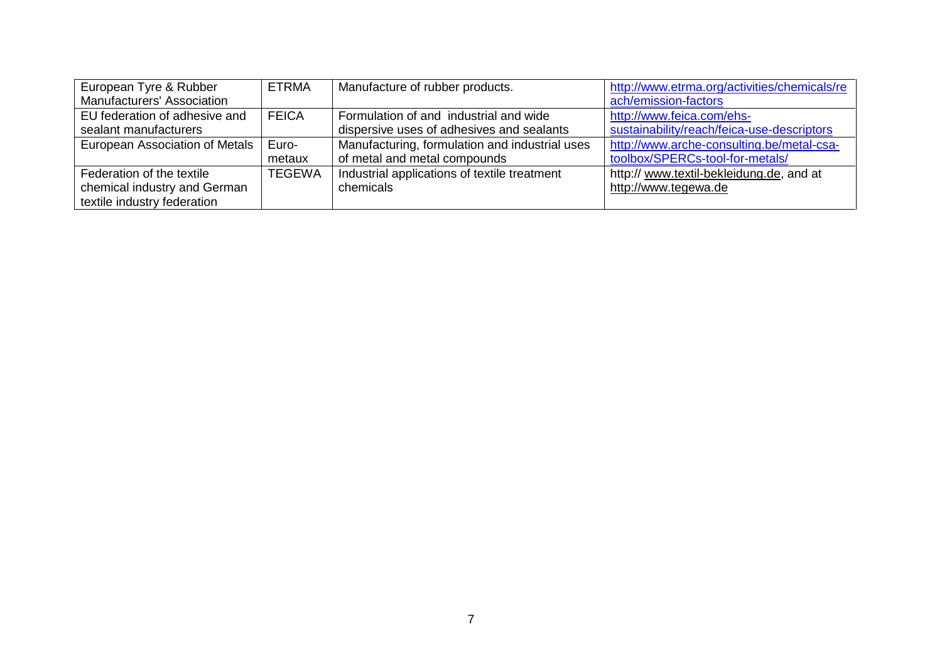| European Tyre & Rubber         | <b>ETRMA</b>  | Manufacture of rubber products.                | http://www.etrma.org/activities/chemicals/re |
|--------------------------------|---------------|------------------------------------------------|----------------------------------------------|
| Manufacturers' Association     |               |                                                | ach/emission-factors                         |
| EU federation of adhesive and  | <b>FEICA</b>  | Formulation of and industrial and wide         | http://www.feica.com/ehs-                    |
| sealant manufacturers          |               | dispersive uses of adhesives and sealants      | sustainability/reach/feica-use-descriptors   |
| European Association of Metals | Euro-         | Manufacturing, formulation and industrial uses | http://www.arche-consulting.be/metal-csa-    |
|                                | metaux        | of metal and metal compounds                   | toolbox/SPERCs-tool-for-metals/              |
| Federation of the textile      | <b>TEGEWA</b> | Industrial applications of textile treatment   | http:// www.textil-bekleidung.de, and at     |
| chemical industry and German   |               | chemicals                                      | http://www.tegewa.de                         |
| textile industry federation    |               |                                                |                                              |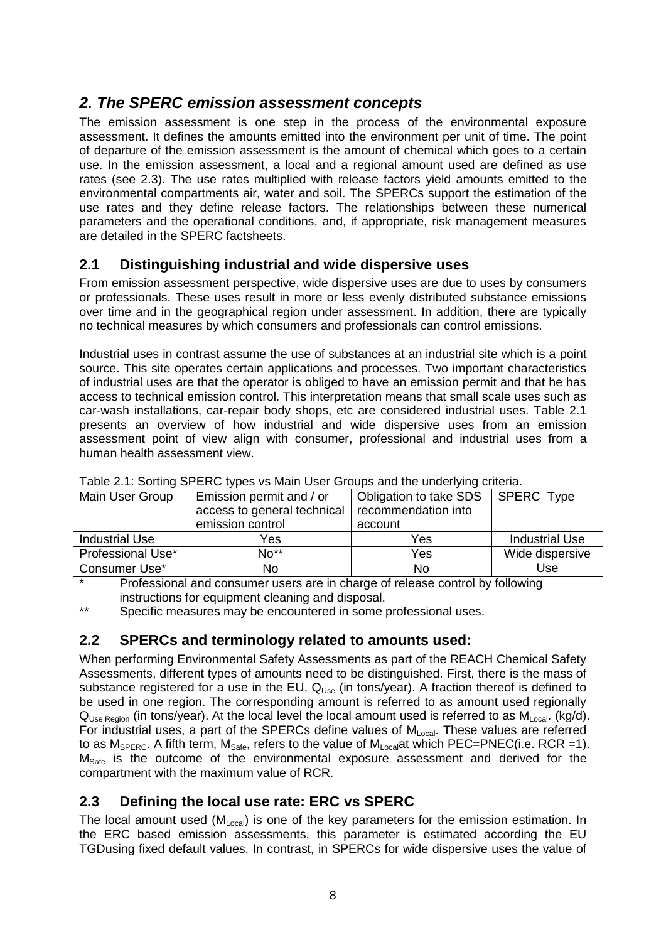# <span id="page-7-0"></span>*2. The SPERC emission assessment concepts*

The emission assessment is one step in the process of the environmental exposure assessment. It defines the amounts emitted into the environment per unit of time. The point of departure of the emission assessment is the amount of chemical which goes to a certain use. In the emission assessment, a local and a regional amount used are defined as use rates (see 2.3). The use rates multiplied with release factors yield amounts emitted to the environmental compartments air, water and soil. The SPERCs support the estimation of the use rates and they define release factors. The relationships between these numerical parameters and the operational conditions, and, if appropriate, risk management measures are detailed in the SPERC factsheets.

### <span id="page-7-1"></span>**2.1 Distinguishing industrial and wide dispersive uses**

From emission assessment perspective, wide dispersive uses are due to uses by consumers or professionals. These uses result in more or less evenly distributed substance emissions over time and in the geographical region under assessment. In addition, there are typically no technical measures by which consumers and professionals can control emissions.

Industrial uses in contrast assume the use of substances at an industrial site which is a point source. This site operates certain applications and processes. Two important characteristics of industrial uses are that the operator is obliged to have an emission permit and that he has access to technical emission control. This interpretation means that small scale uses such as car-wash installations, car-repair body shops, etc are considered industrial uses. Table 2.1 presents an overview of how industrial and wide dispersive uses from an emission assessment point of view align with consumer, professional and industrial uses from a human health assessment view.

| Table 2.1. Obtaing Of Ervo typed to main open ordered and the directiving physical |                                                         |                                               |                 |  |  |  |
|------------------------------------------------------------------------------------|---------------------------------------------------------|-----------------------------------------------|-----------------|--|--|--|
| Main User Group                                                                    | Emission permit and / or<br>access to general technical | Obligation to take SDS<br>recommendation into | SPERC Type      |  |  |  |
|                                                                                    | emission control                                        | account                                       |                 |  |  |  |
| <b>Industrial Use</b>                                                              | Yes                                                     | Yes                                           | Industrial Use  |  |  |  |
| Professional Use*                                                                  | $No**$                                                  | Yes                                           | Wide dispersive |  |  |  |
| Consumer Use*                                                                      | No                                                      | No                                            | Use             |  |  |  |

Table 2.1: Sorting SPERC types vs Main User Groups and the underlying criteria.

Professional and consumer users are in charge of release control by following instructions for equipment cleaning and disposal.

Specific measures may be encountered in some professional uses.

# <span id="page-7-2"></span>**2.2 SPERCs and terminology related to amounts used:**

When performing Environmental Safety Assessments as part of the REACH Chemical Safety Assessments, different types of amounts need to be distinguished. First, there is the mass of substance registered for a use in the EU,  $Q_{Use}$  (in tons/year). A fraction thereof is defined to be used in one region. The corresponding amount is referred to as amount used regionally  $Q<sub>Use Region</sub>$  (in tons/year). At the local level the local amount used is referred to as  $M<sub>Local</sub>$ . (kg/d). For industrial uses, a part of the SPERCs define values of  $M_{Local}$ . These values are referred to as  $M_{\text{SPERC}}$ . A fifth term,  $M_{\text{Safe}}$ , refers to the value of  $M_{\text{Local}}$  which PEC=PNEC(i.e. RCR =1).  $M<sub>Safe</sub>$  is the outcome of the environmental exposure assessment and derived for the compartment with the maximum value of RCR.

### <span id="page-7-3"></span>**2.3 Defining the local use rate: ERC vs SPERC**

The local amount used  $(M<sub>Local</sub>)$  is one of the key parameters for the emission estimation. In the ERC based emission assessments, this parameter is estimated according the EU TGDusing fixed default values. In contrast, in SPERCs for wide dispersive uses the value of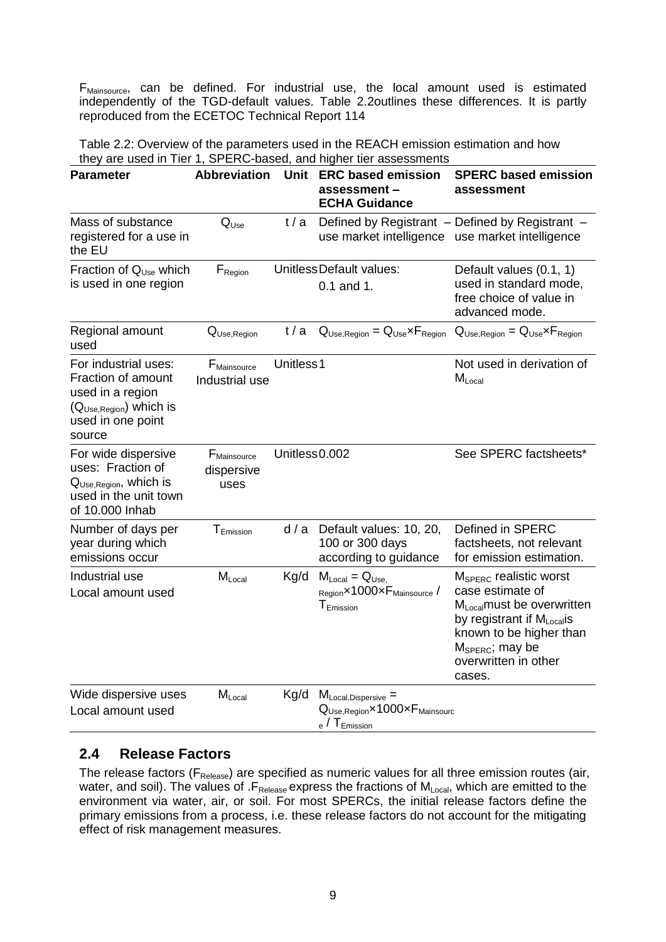F<sub>Mainsource</sub>, can be defined. For industrial use, the local amount used is estimated independently of the TGD-default values. Table 2.2outlines these differences. It is partly reproduced from the ECETOC Technical Report 114

Table 2.2: Overview of the parameters used in the REACH emission estimation and how they are used in Tier 1, SPERC-based, and higher tier assessments

| <b>Parameter</b>                                                                                                                     | <b>Abbreviation</b>                           | Unit          | <b>ERC based emission</b><br>assessment-<br><b>ECHA Guidance</b>                                                          | <b>SPERC based emission</b><br>assessment                                                                                                                                                                                |
|--------------------------------------------------------------------------------------------------------------------------------------|-----------------------------------------------|---------------|---------------------------------------------------------------------------------------------------------------------------|--------------------------------------------------------------------------------------------------------------------------------------------------------------------------------------------------------------------------|
| Mass of substance<br>registered for a use in<br>the EU                                                                               | $Q_{Use}$                                     | t/a           | use market intelligence                                                                                                   | Defined by Registrant - Defined by Registrant -<br>use market intelligence                                                                                                                                               |
| Fraction of Q <sub>Use</sub> which<br>is used in one region                                                                          | $F_{\text{Region}}$                           |               | UnitlessDefault values:<br>$0.1$ and 1.                                                                                   | Default values (0.1, 1)<br>used in standard mode,<br>free choice of value in<br>advanced mode.                                                                                                                           |
| Regional amount<br>used                                                                                                              | Q <sub>Use,Region</sub>                       | t/a           | $Q_{Use, Region} = Q_{Use} \times F_{Region}$                                                                             | $Q_{Use, Region} = Q_{Use} \times F_{Region}$                                                                                                                                                                            |
| For industrial uses:<br>Fraction of amount<br>used in a region<br>(Q <sub>Use,Region</sub> ) which is<br>used in one point<br>source | $F_{\text{Mainsource}}$<br>Industrial use     | Unitless1     |                                                                                                                           | Not used in derivation of<br>$M_{Local}$                                                                                                                                                                                 |
| For wide dispersive<br>uses: Fraction of<br>$Q_{Use, Region}$ , which is<br>used in the unit town<br>of 10.000 Inhab                 | F <sub>Mainsource</sub><br>dispersive<br>uses | Unitless0.002 |                                                                                                                           | See SPERC factsheets*                                                                                                                                                                                                    |
| Number of days per<br>year during which<br>emissions occur                                                                           | T <sub>Emission</sub>                         | d/a           | Default values: 10, 20,<br>100 or 300 days<br>according to guidance                                                       | Defined in SPERC<br>factsheets, not relevant<br>for emission estimation.                                                                                                                                                 |
| Industrial use<br>Local amount used                                                                                                  | $M_{Local}$                                   | Kg/d          | $M_{Local} = Q_{Use.}$<br>Region×1000×F <sub>Mainsource</sub> /<br>${\mathsf T}_{\mathsf{Emission}}$                      | $M_{\text{SPERC}}$ realistic worst<br>case estimate of<br>$M_{Local}$ must be overwritten<br>by registrant if $M_{Local}$ is<br>known to be higher than<br>$M_{\text{SPERC}}$ ; may be<br>overwritten in other<br>cases. |
| Wide dispersive uses<br>Local amount used                                                                                            | $M_{Local}$                                   | Kg/d          | $M_{Local, Dispersive} =$<br>$Q_{Use, Region} \times 1000 \times F_{Mainsource}$<br>$_{\rm e}$ / ${\rm T}_{\rm Emission}$ |                                                                                                                                                                                                                          |

### <span id="page-8-0"></span>**2.4 Release Factors**

The release factors ( $F_{\text{Release}}$ ) are specified as numeric values for all three emission routes (air, water, and soil). The values of  $.F_{\text{Release}}$  express the fractions of  $M_{\text{Local}}$ , which are emitted to the environment via water, air, or soil. For most SPERCs, the initial release factors define the primary emissions from a process, i.e. these release factors do not account for the mitigating effect of risk management measures.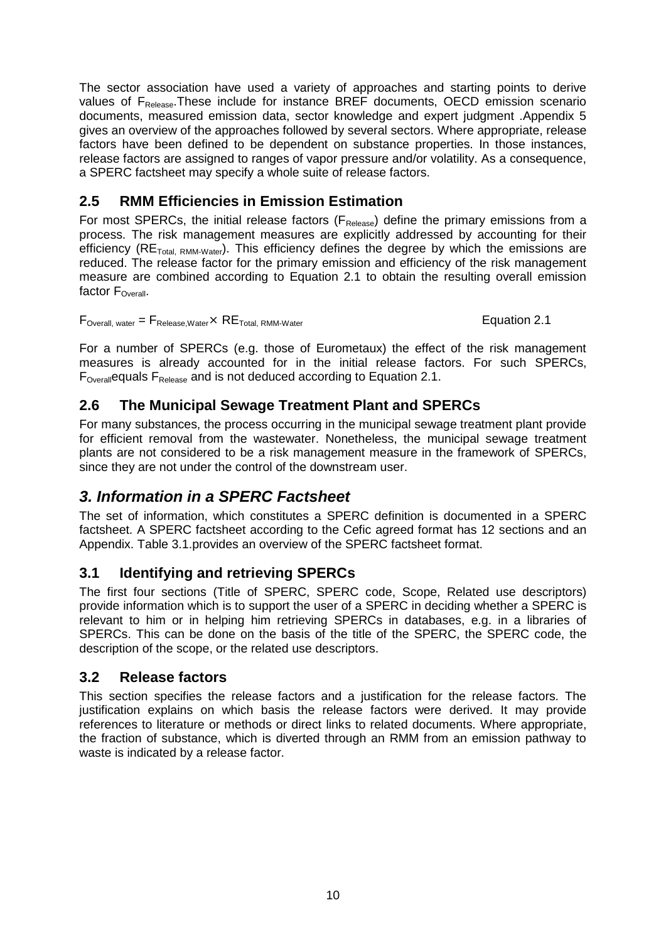The sector association have used a variety of approaches and starting points to derive values of F<sub>Release</sub>. These include for instance BREF documents, OECD emission scenario documents, measured emission data, sector knowledge and expert judgment .Appendix 5 gives an overview of the approaches followed by several sectors. Where appropriate, release factors have been defined to be dependent on substance properties. In those instances, release factors are assigned to ranges of vapor pressure and/or volatility. As a consequence, a SPERC factsheet may specify a whole suite of release factors.

# <span id="page-9-0"></span>**2.5 RMM Efficiencies in Emission Estimation**

For most SPERCs, the initial release factors ( $F_{\text{Release}}$ ) define the primary emissions from a process. The risk management measures are explicitly addressed by accounting for their efficiency ( $RE<sub>Total, RMM-Water</sub>$ ). This efficiency defines the degree by which the emissions are reduced. The release factor for the primary emission and efficiency of the risk management measure are combined according to Equation 2.1 to obtain the resulting overall emission factor  $F_{\text{Overall}}$ .

 $F_{\text{Overall, water}} = F_{\text{Release,Water}} \times RE_{\text{Total, RMM-Water}}$   $\qquad \qquad$  Equation 2.1

For a number of SPERCs (e.g. those of Eurometaux) the effect of the risk management measures is already accounted for in the initial release factors. For such SPERCs,  $F_{\text{Overall}}$ equals  $F_{\text{Relasse}}$  and is not deduced according to Equation 2.1.

# <span id="page-9-1"></span>**2.6 The Municipal Sewage Treatment Plant and SPERCs**

For many substances, the process occurring in the municipal sewage treatment plant provide for efficient removal from the wastewater. Nonetheless, the municipal sewage treatment plants are not considered to be a risk management measure in the framework of SPERCs, since they are not under the control of the downstream user.

# <span id="page-9-2"></span>*3. Information in a SPERC Factsheet*

The set of information, which constitutes a SPERC definition is documented in a SPERC factsheet. A SPERC factsheet according to the Cefic agreed format has 12 sections and an Appendix. Table 3.1.provides an overview of the SPERC factsheet format.

# <span id="page-9-3"></span>**3.1 Identifying and retrieving SPERCs**

The first four sections (Title of SPERC, SPERC code, Scope, Related use descriptors) provide information which is to support the user of a SPERC in deciding whether a SPERC is relevant to him or in helping him retrieving SPERCs in databases, e.g. in a libraries of SPERCs. This can be done on the basis of the title of the SPERC, the SPERC code, the description of the scope, or the related use descriptors.

### <span id="page-9-4"></span>**3.2 Release factors**

This section specifies the release factors and a justification for the release factors. The justification explains on which basis the release factors were derived. It may provide references to literature or methods or direct links to related documents. Where appropriate, the fraction of substance, which is diverted through an RMM from an emission pathway to waste is indicated by a release factor.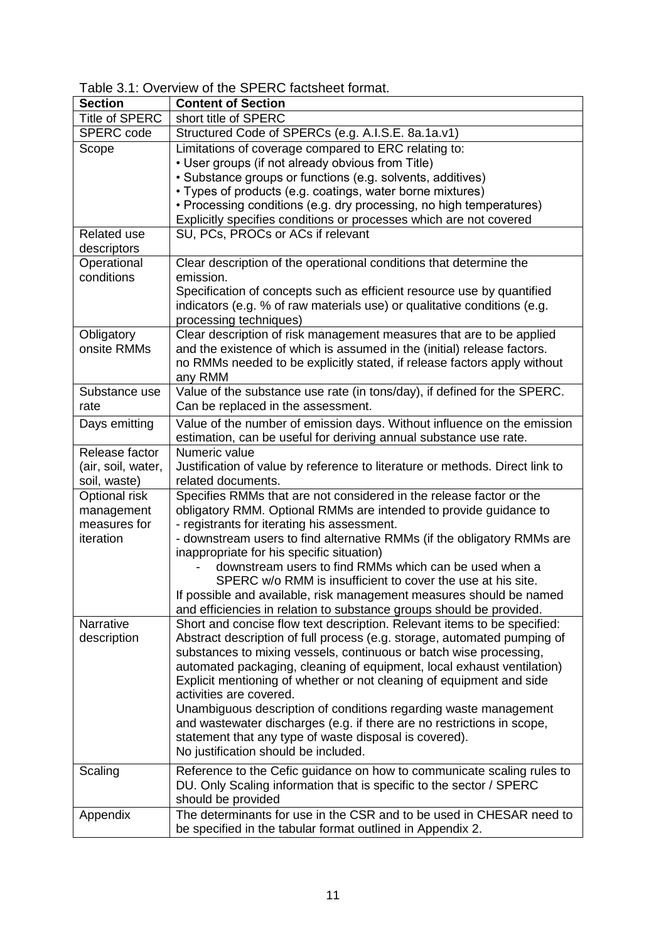### Table 3.1: Overview of the SPERC factsheet format.

| <b>Title of SPERC</b><br>short title of SPERC<br><b>SPERC</b> code<br>Structured Code of SPERCs (e.g. A.I.S.E. 8a.1a.v1)<br>Limitations of coverage compared to ERC relating to:<br>Scope<br>• User groups (if not already obvious from Title)<br>• Substance groups or functions (e.g. solvents, additives)<br>• Types of products (e.g. coatings, water borne mixtures)<br>• Processing conditions (e.g. dry processing, no high temperatures)<br>Explicitly specifies conditions or processes which are not covered<br>SU, PCs, PROCs or ACs if relevant<br>Related use<br>descriptors<br>Clear description of the operational conditions that determine the<br>Operational<br>conditions<br>emission.<br>Specification of concepts such as efficient resource use by quantified<br>indicators (e.g. % of raw materials use) or qualitative conditions (e.g.<br>processing techniques)<br>Clear description of risk management measures that are to be applied<br>Obligatory<br>onsite RMMs<br>and the existence of which is assumed in the (initial) release factors.<br>no RMMs needed to be explicitly stated, if release factors apply without<br>any RMM<br>Value of the substance use rate (in tons/day), if defined for the SPERC.<br>Substance use<br>Can be replaced in the assessment.<br>rate<br>Value of the number of emission days. Without influence on the emission<br>Days emitting<br>estimation, can be useful for deriving annual substance use rate.<br>Release factor<br>Numeric value<br>Justification of value by reference to literature or methods. Direct link to<br>(air, soil, water,<br>soil, waste)<br>related documents.<br>Optional risk<br>Specifies RMMs that are not considered in the release factor or the<br>obligatory RMM. Optional RMMs are intended to provide guidance to<br>management<br>measures for<br>- registrants for iterating his assessment.<br>iteration<br>- downstream users to find alternative RMMs (if the obligatory RMMs are<br>inappropriate for his specific situation)<br>downstream users to find RMMs which can be used when a<br>SPERC w/o RMM is insufficient to cover the use at his site.<br>If possible and available, risk management measures should be named<br>and efficiencies in relation to substance groups should be provided.<br>Short and concise flow text description. Relevant items to be specified:<br>Narrative<br>Abstract description of full process (e.g. storage, automated pumping of<br>description<br>substances to mixing vessels, continuous or batch wise processing,<br>automated packaging, cleaning of equipment, local exhaust ventilation)<br>Explicit mentioning of whether or not cleaning of equipment and side<br>activities are covered.<br>Unambiguous description of conditions regarding waste management<br>and wastewater discharges (e.g. if there are no restrictions in scope,<br>statement that any type of waste disposal is covered).<br>No justification should be included.<br>Reference to the Cefic guidance on how to communicate scaling rules to<br>Scaling<br>DU. Only Scaling information that is specific to the sector / SPERC<br>should be provided<br>The determinants for use in the CSR and to be used in CHESAR need to<br>Appendix | <b>Section</b> | <b>Content of Section</b>                                  |
|---------------------------------------------------------------------------------------------------------------------------------------------------------------------------------------------------------------------------------------------------------------------------------------------------------------------------------------------------------------------------------------------------------------------------------------------------------------------------------------------------------------------------------------------------------------------------------------------------------------------------------------------------------------------------------------------------------------------------------------------------------------------------------------------------------------------------------------------------------------------------------------------------------------------------------------------------------------------------------------------------------------------------------------------------------------------------------------------------------------------------------------------------------------------------------------------------------------------------------------------------------------------------------------------------------------------------------------------------------------------------------------------------------------------------------------------------------------------------------------------------------------------------------------------------------------------------------------------------------------------------------------------------------------------------------------------------------------------------------------------------------------------------------------------------------------------------------------------------------------------------------------------------------------------------------------------------------------------------------------------------------------------------------------------------------------------------------------------------------------------------------------------------------------------------------------------------------------------------------------------------------------------------------------------------------------------------------------------------------------------------------------------------------------------------------------------------------------------------------------------------------------------------------------------------------------------------------------------------------------------------------------------------------------------------------------------------------------------------------------------------------------------------------------------------------------------------------------------------------------------------------------------------------------------------------------------------------------------------------------------------------------------------------------------------------------------------------------------------------------------------------------------------------------------------------------------------------------------------------------------------------------------------------|----------------|------------------------------------------------------------|
|                                                                                                                                                                                                                                                                                                                                                                                                                                                                                                                                                                                                                                                                                                                                                                                                                                                                                                                                                                                                                                                                                                                                                                                                                                                                                                                                                                                                                                                                                                                                                                                                                                                                                                                                                                                                                                                                                                                                                                                                                                                                                                                                                                                                                                                                                                                                                                                                                                                                                                                                                                                                                                                                                                                                                                                                                                                                                                                                                                                                                                                                                                                                                                                                                                                                                 |                |                                                            |
|                                                                                                                                                                                                                                                                                                                                                                                                                                                                                                                                                                                                                                                                                                                                                                                                                                                                                                                                                                                                                                                                                                                                                                                                                                                                                                                                                                                                                                                                                                                                                                                                                                                                                                                                                                                                                                                                                                                                                                                                                                                                                                                                                                                                                                                                                                                                                                                                                                                                                                                                                                                                                                                                                                                                                                                                                                                                                                                                                                                                                                                                                                                                                                                                                                                                                 |                |                                                            |
|                                                                                                                                                                                                                                                                                                                                                                                                                                                                                                                                                                                                                                                                                                                                                                                                                                                                                                                                                                                                                                                                                                                                                                                                                                                                                                                                                                                                                                                                                                                                                                                                                                                                                                                                                                                                                                                                                                                                                                                                                                                                                                                                                                                                                                                                                                                                                                                                                                                                                                                                                                                                                                                                                                                                                                                                                                                                                                                                                                                                                                                                                                                                                                                                                                                                                 |                |                                                            |
|                                                                                                                                                                                                                                                                                                                                                                                                                                                                                                                                                                                                                                                                                                                                                                                                                                                                                                                                                                                                                                                                                                                                                                                                                                                                                                                                                                                                                                                                                                                                                                                                                                                                                                                                                                                                                                                                                                                                                                                                                                                                                                                                                                                                                                                                                                                                                                                                                                                                                                                                                                                                                                                                                                                                                                                                                                                                                                                                                                                                                                                                                                                                                                                                                                                                                 |                |                                                            |
|                                                                                                                                                                                                                                                                                                                                                                                                                                                                                                                                                                                                                                                                                                                                                                                                                                                                                                                                                                                                                                                                                                                                                                                                                                                                                                                                                                                                                                                                                                                                                                                                                                                                                                                                                                                                                                                                                                                                                                                                                                                                                                                                                                                                                                                                                                                                                                                                                                                                                                                                                                                                                                                                                                                                                                                                                                                                                                                                                                                                                                                                                                                                                                                                                                                                                 |                |                                                            |
|                                                                                                                                                                                                                                                                                                                                                                                                                                                                                                                                                                                                                                                                                                                                                                                                                                                                                                                                                                                                                                                                                                                                                                                                                                                                                                                                                                                                                                                                                                                                                                                                                                                                                                                                                                                                                                                                                                                                                                                                                                                                                                                                                                                                                                                                                                                                                                                                                                                                                                                                                                                                                                                                                                                                                                                                                                                                                                                                                                                                                                                                                                                                                                                                                                                                                 |                |                                                            |
|                                                                                                                                                                                                                                                                                                                                                                                                                                                                                                                                                                                                                                                                                                                                                                                                                                                                                                                                                                                                                                                                                                                                                                                                                                                                                                                                                                                                                                                                                                                                                                                                                                                                                                                                                                                                                                                                                                                                                                                                                                                                                                                                                                                                                                                                                                                                                                                                                                                                                                                                                                                                                                                                                                                                                                                                                                                                                                                                                                                                                                                                                                                                                                                                                                                                                 |                |                                                            |
|                                                                                                                                                                                                                                                                                                                                                                                                                                                                                                                                                                                                                                                                                                                                                                                                                                                                                                                                                                                                                                                                                                                                                                                                                                                                                                                                                                                                                                                                                                                                                                                                                                                                                                                                                                                                                                                                                                                                                                                                                                                                                                                                                                                                                                                                                                                                                                                                                                                                                                                                                                                                                                                                                                                                                                                                                                                                                                                                                                                                                                                                                                                                                                                                                                                                                 |                |                                                            |
|                                                                                                                                                                                                                                                                                                                                                                                                                                                                                                                                                                                                                                                                                                                                                                                                                                                                                                                                                                                                                                                                                                                                                                                                                                                                                                                                                                                                                                                                                                                                                                                                                                                                                                                                                                                                                                                                                                                                                                                                                                                                                                                                                                                                                                                                                                                                                                                                                                                                                                                                                                                                                                                                                                                                                                                                                                                                                                                                                                                                                                                                                                                                                                                                                                                                                 |                |                                                            |
|                                                                                                                                                                                                                                                                                                                                                                                                                                                                                                                                                                                                                                                                                                                                                                                                                                                                                                                                                                                                                                                                                                                                                                                                                                                                                                                                                                                                                                                                                                                                                                                                                                                                                                                                                                                                                                                                                                                                                                                                                                                                                                                                                                                                                                                                                                                                                                                                                                                                                                                                                                                                                                                                                                                                                                                                                                                                                                                                                                                                                                                                                                                                                                                                                                                                                 |                |                                                            |
|                                                                                                                                                                                                                                                                                                                                                                                                                                                                                                                                                                                                                                                                                                                                                                                                                                                                                                                                                                                                                                                                                                                                                                                                                                                                                                                                                                                                                                                                                                                                                                                                                                                                                                                                                                                                                                                                                                                                                                                                                                                                                                                                                                                                                                                                                                                                                                                                                                                                                                                                                                                                                                                                                                                                                                                                                                                                                                                                                                                                                                                                                                                                                                                                                                                                                 |                |                                                            |
|                                                                                                                                                                                                                                                                                                                                                                                                                                                                                                                                                                                                                                                                                                                                                                                                                                                                                                                                                                                                                                                                                                                                                                                                                                                                                                                                                                                                                                                                                                                                                                                                                                                                                                                                                                                                                                                                                                                                                                                                                                                                                                                                                                                                                                                                                                                                                                                                                                                                                                                                                                                                                                                                                                                                                                                                                                                                                                                                                                                                                                                                                                                                                                                                                                                                                 |                |                                                            |
|                                                                                                                                                                                                                                                                                                                                                                                                                                                                                                                                                                                                                                                                                                                                                                                                                                                                                                                                                                                                                                                                                                                                                                                                                                                                                                                                                                                                                                                                                                                                                                                                                                                                                                                                                                                                                                                                                                                                                                                                                                                                                                                                                                                                                                                                                                                                                                                                                                                                                                                                                                                                                                                                                                                                                                                                                                                                                                                                                                                                                                                                                                                                                                                                                                                                                 |                |                                                            |
|                                                                                                                                                                                                                                                                                                                                                                                                                                                                                                                                                                                                                                                                                                                                                                                                                                                                                                                                                                                                                                                                                                                                                                                                                                                                                                                                                                                                                                                                                                                                                                                                                                                                                                                                                                                                                                                                                                                                                                                                                                                                                                                                                                                                                                                                                                                                                                                                                                                                                                                                                                                                                                                                                                                                                                                                                                                                                                                                                                                                                                                                                                                                                                                                                                                                                 |                |                                                            |
|                                                                                                                                                                                                                                                                                                                                                                                                                                                                                                                                                                                                                                                                                                                                                                                                                                                                                                                                                                                                                                                                                                                                                                                                                                                                                                                                                                                                                                                                                                                                                                                                                                                                                                                                                                                                                                                                                                                                                                                                                                                                                                                                                                                                                                                                                                                                                                                                                                                                                                                                                                                                                                                                                                                                                                                                                                                                                                                                                                                                                                                                                                                                                                                                                                                                                 |                |                                                            |
|                                                                                                                                                                                                                                                                                                                                                                                                                                                                                                                                                                                                                                                                                                                                                                                                                                                                                                                                                                                                                                                                                                                                                                                                                                                                                                                                                                                                                                                                                                                                                                                                                                                                                                                                                                                                                                                                                                                                                                                                                                                                                                                                                                                                                                                                                                                                                                                                                                                                                                                                                                                                                                                                                                                                                                                                                                                                                                                                                                                                                                                                                                                                                                                                                                                                                 |                |                                                            |
|                                                                                                                                                                                                                                                                                                                                                                                                                                                                                                                                                                                                                                                                                                                                                                                                                                                                                                                                                                                                                                                                                                                                                                                                                                                                                                                                                                                                                                                                                                                                                                                                                                                                                                                                                                                                                                                                                                                                                                                                                                                                                                                                                                                                                                                                                                                                                                                                                                                                                                                                                                                                                                                                                                                                                                                                                                                                                                                                                                                                                                                                                                                                                                                                                                                                                 |                |                                                            |
|                                                                                                                                                                                                                                                                                                                                                                                                                                                                                                                                                                                                                                                                                                                                                                                                                                                                                                                                                                                                                                                                                                                                                                                                                                                                                                                                                                                                                                                                                                                                                                                                                                                                                                                                                                                                                                                                                                                                                                                                                                                                                                                                                                                                                                                                                                                                                                                                                                                                                                                                                                                                                                                                                                                                                                                                                                                                                                                                                                                                                                                                                                                                                                                                                                                                                 |                |                                                            |
|                                                                                                                                                                                                                                                                                                                                                                                                                                                                                                                                                                                                                                                                                                                                                                                                                                                                                                                                                                                                                                                                                                                                                                                                                                                                                                                                                                                                                                                                                                                                                                                                                                                                                                                                                                                                                                                                                                                                                                                                                                                                                                                                                                                                                                                                                                                                                                                                                                                                                                                                                                                                                                                                                                                                                                                                                                                                                                                                                                                                                                                                                                                                                                                                                                                                                 |                |                                                            |
|                                                                                                                                                                                                                                                                                                                                                                                                                                                                                                                                                                                                                                                                                                                                                                                                                                                                                                                                                                                                                                                                                                                                                                                                                                                                                                                                                                                                                                                                                                                                                                                                                                                                                                                                                                                                                                                                                                                                                                                                                                                                                                                                                                                                                                                                                                                                                                                                                                                                                                                                                                                                                                                                                                                                                                                                                                                                                                                                                                                                                                                                                                                                                                                                                                                                                 |                |                                                            |
|                                                                                                                                                                                                                                                                                                                                                                                                                                                                                                                                                                                                                                                                                                                                                                                                                                                                                                                                                                                                                                                                                                                                                                                                                                                                                                                                                                                                                                                                                                                                                                                                                                                                                                                                                                                                                                                                                                                                                                                                                                                                                                                                                                                                                                                                                                                                                                                                                                                                                                                                                                                                                                                                                                                                                                                                                                                                                                                                                                                                                                                                                                                                                                                                                                                                                 |                |                                                            |
|                                                                                                                                                                                                                                                                                                                                                                                                                                                                                                                                                                                                                                                                                                                                                                                                                                                                                                                                                                                                                                                                                                                                                                                                                                                                                                                                                                                                                                                                                                                                                                                                                                                                                                                                                                                                                                                                                                                                                                                                                                                                                                                                                                                                                                                                                                                                                                                                                                                                                                                                                                                                                                                                                                                                                                                                                                                                                                                                                                                                                                                                                                                                                                                                                                                                                 |                |                                                            |
|                                                                                                                                                                                                                                                                                                                                                                                                                                                                                                                                                                                                                                                                                                                                                                                                                                                                                                                                                                                                                                                                                                                                                                                                                                                                                                                                                                                                                                                                                                                                                                                                                                                                                                                                                                                                                                                                                                                                                                                                                                                                                                                                                                                                                                                                                                                                                                                                                                                                                                                                                                                                                                                                                                                                                                                                                                                                                                                                                                                                                                                                                                                                                                                                                                                                                 |                |                                                            |
|                                                                                                                                                                                                                                                                                                                                                                                                                                                                                                                                                                                                                                                                                                                                                                                                                                                                                                                                                                                                                                                                                                                                                                                                                                                                                                                                                                                                                                                                                                                                                                                                                                                                                                                                                                                                                                                                                                                                                                                                                                                                                                                                                                                                                                                                                                                                                                                                                                                                                                                                                                                                                                                                                                                                                                                                                                                                                                                                                                                                                                                                                                                                                                                                                                                                                 |                |                                                            |
|                                                                                                                                                                                                                                                                                                                                                                                                                                                                                                                                                                                                                                                                                                                                                                                                                                                                                                                                                                                                                                                                                                                                                                                                                                                                                                                                                                                                                                                                                                                                                                                                                                                                                                                                                                                                                                                                                                                                                                                                                                                                                                                                                                                                                                                                                                                                                                                                                                                                                                                                                                                                                                                                                                                                                                                                                                                                                                                                                                                                                                                                                                                                                                                                                                                                                 |                |                                                            |
|                                                                                                                                                                                                                                                                                                                                                                                                                                                                                                                                                                                                                                                                                                                                                                                                                                                                                                                                                                                                                                                                                                                                                                                                                                                                                                                                                                                                                                                                                                                                                                                                                                                                                                                                                                                                                                                                                                                                                                                                                                                                                                                                                                                                                                                                                                                                                                                                                                                                                                                                                                                                                                                                                                                                                                                                                                                                                                                                                                                                                                                                                                                                                                                                                                                                                 |                |                                                            |
|                                                                                                                                                                                                                                                                                                                                                                                                                                                                                                                                                                                                                                                                                                                                                                                                                                                                                                                                                                                                                                                                                                                                                                                                                                                                                                                                                                                                                                                                                                                                                                                                                                                                                                                                                                                                                                                                                                                                                                                                                                                                                                                                                                                                                                                                                                                                                                                                                                                                                                                                                                                                                                                                                                                                                                                                                                                                                                                                                                                                                                                                                                                                                                                                                                                                                 |                |                                                            |
|                                                                                                                                                                                                                                                                                                                                                                                                                                                                                                                                                                                                                                                                                                                                                                                                                                                                                                                                                                                                                                                                                                                                                                                                                                                                                                                                                                                                                                                                                                                                                                                                                                                                                                                                                                                                                                                                                                                                                                                                                                                                                                                                                                                                                                                                                                                                                                                                                                                                                                                                                                                                                                                                                                                                                                                                                                                                                                                                                                                                                                                                                                                                                                                                                                                                                 |                |                                                            |
|                                                                                                                                                                                                                                                                                                                                                                                                                                                                                                                                                                                                                                                                                                                                                                                                                                                                                                                                                                                                                                                                                                                                                                                                                                                                                                                                                                                                                                                                                                                                                                                                                                                                                                                                                                                                                                                                                                                                                                                                                                                                                                                                                                                                                                                                                                                                                                                                                                                                                                                                                                                                                                                                                                                                                                                                                                                                                                                                                                                                                                                                                                                                                                                                                                                                                 |                |                                                            |
|                                                                                                                                                                                                                                                                                                                                                                                                                                                                                                                                                                                                                                                                                                                                                                                                                                                                                                                                                                                                                                                                                                                                                                                                                                                                                                                                                                                                                                                                                                                                                                                                                                                                                                                                                                                                                                                                                                                                                                                                                                                                                                                                                                                                                                                                                                                                                                                                                                                                                                                                                                                                                                                                                                                                                                                                                                                                                                                                                                                                                                                                                                                                                                                                                                                                                 |                |                                                            |
|                                                                                                                                                                                                                                                                                                                                                                                                                                                                                                                                                                                                                                                                                                                                                                                                                                                                                                                                                                                                                                                                                                                                                                                                                                                                                                                                                                                                                                                                                                                                                                                                                                                                                                                                                                                                                                                                                                                                                                                                                                                                                                                                                                                                                                                                                                                                                                                                                                                                                                                                                                                                                                                                                                                                                                                                                                                                                                                                                                                                                                                                                                                                                                                                                                                                                 |                |                                                            |
|                                                                                                                                                                                                                                                                                                                                                                                                                                                                                                                                                                                                                                                                                                                                                                                                                                                                                                                                                                                                                                                                                                                                                                                                                                                                                                                                                                                                                                                                                                                                                                                                                                                                                                                                                                                                                                                                                                                                                                                                                                                                                                                                                                                                                                                                                                                                                                                                                                                                                                                                                                                                                                                                                                                                                                                                                                                                                                                                                                                                                                                                                                                                                                                                                                                                                 |                |                                                            |
|                                                                                                                                                                                                                                                                                                                                                                                                                                                                                                                                                                                                                                                                                                                                                                                                                                                                                                                                                                                                                                                                                                                                                                                                                                                                                                                                                                                                                                                                                                                                                                                                                                                                                                                                                                                                                                                                                                                                                                                                                                                                                                                                                                                                                                                                                                                                                                                                                                                                                                                                                                                                                                                                                                                                                                                                                                                                                                                                                                                                                                                                                                                                                                                                                                                                                 |                |                                                            |
|                                                                                                                                                                                                                                                                                                                                                                                                                                                                                                                                                                                                                                                                                                                                                                                                                                                                                                                                                                                                                                                                                                                                                                                                                                                                                                                                                                                                                                                                                                                                                                                                                                                                                                                                                                                                                                                                                                                                                                                                                                                                                                                                                                                                                                                                                                                                                                                                                                                                                                                                                                                                                                                                                                                                                                                                                                                                                                                                                                                                                                                                                                                                                                                                                                                                                 |                |                                                            |
|                                                                                                                                                                                                                                                                                                                                                                                                                                                                                                                                                                                                                                                                                                                                                                                                                                                                                                                                                                                                                                                                                                                                                                                                                                                                                                                                                                                                                                                                                                                                                                                                                                                                                                                                                                                                                                                                                                                                                                                                                                                                                                                                                                                                                                                                                                                                                                                                                                                                                                                                                                                                                                                                                                                                                                                                                                                                                                                                                                                                                                                                                                                                                                                                                                                                                 |                |                                                            |
|                                                                                                                                                                                                                                                                                                                                                                                                                                                                                                                                                                                                                                                                                                                                                                                                                                                                                                                                                                                                                                                                                                                                                                                                                                                                                                                                                                                                                                                                                                                                                                                                                                                                                                                                                                                                                                                                                                                                                                                                                                                                                                                                                                                                                                                                                                                                                                                                                                                                                                                                                                                                                                                                                                                                                                                                                                                                                                                                                                                                                                                                                                                                                                                                                                                                                 |                |                                                            |
|                                                                                                                                                                                                                                                                                                                                                                                                                                                                                                                                                                                                                                                                                                                                                                                                                                                                                                                                                                                                                                                                                                                                                                                                                                                                                                                                                                                                                                                                                                                                                                                                                                                                                                                                                                                                                                                                                                                                                                                                                                                                                                                                                                                                                                                                                                                                                                                                                                                                                                                                                                                                                                                                                                                                                                                                                                                                                                                                                                                                                                                                                                                                                                                                                                                                                 |                |                                                            |
|                                                                                                                                                                                                                                                                                                                                                                                                                                                                                                                                                                                                                                                                                                                                                                                                                                                                                                                                                                                                                                                                                                                                                                                                                                                                                                                                                                                                                                                                                                                                                                                                                                                                                                                                                                                                                                                                                                                                                                                                                                                                                                                                                                                                                                                                                                                                                                                                                                                                                                                                                                                                                                                                                                                                                                                                                                                                                                                                                                                                                                                                                                                                                                                                                                                                                 |                |                                                            |
|                                                                                                                                                                                                                                                                                                                                                                                                                                                                                                                                                                                                                                                                                                                                                                                                                                                                                                                                                                                                                                                                                                                                                                                                                                                                                                                                                                                                                                                                                                                                                                                                                                                                                                                                                                                                                                                                                                                                                                                                                                                                                                                                                                                                                                                                                                                                                                                                                                                                                                                                                                                                                                                                                                                                                                                                                                                                                                                                                                                                                                                                                                                                                                                                                                                                                 |                |                                                            |
|                                                                                                                                                                                                                                                                                                                                                                                                                                                                                                                                                                                                                                                                                                                                                                                                                                                                                                                                                                                                                                                                                                                                                                                                                                                                                                                                                                                                                                                                                                                                                                                                                                                                                                                                                                                                                                                                                                                                                                                                                                                                                                                                                                                                                                                                                                                                                                                                                                                                                                                                                                                                                                                                                                                                                                                                                                                                                                                                                                                                                                                                                                                                                                                                                                                                                 |                |                                                            |
|                                                                                                                                                                                                                                                                                                                                                                                                                                                                                                                                                                                                                                                                                                                                                                                                                                                                                                                                                                                                                                                                                                                                                                                                                                                                                                                                                                                                                                                                                                                                                                                                                                                                                                                                                                                                                                                                                                                                                                                                                                                                                                                                                                                                                                                                                                                                                                                                                                                                                                                                                                                                                                                                                                                                                                                                                                                                                                                                                                                                                                                                                                                                                                                                                                                                                 |                |                                                            |
|                                                                                                                                                                                                                                                                                                                                                                                                                                                                                                                                                                                                                                                                                                                                                                                                                                                                                                                                                                                                                                                                                                                                                                                                                                                                                                                                                                                                                                                                                                                                                                                                                                                                                                                                                                                                                                                                                                                                                                                                                                                                                                                                                                                                                                                                                                                                                                                                                                                                                                                                                                                                                                                                                                                                                                                                                                                                                                                                                                                                                                                                                                                                                                                                                                                                                 |                |                                                            |
|                                                                                                                                                                                                                                                                                                                                                                                                                                                                                                                                                                                                                                                                                                                                                                                                                                                                                                                                                                                                                                                                                                                                                                                                                                                                                                                                                                                                                                                                                                                                                                                                                                                                                                                                                                                                                                                                                                                                                                                                                                                                                                                                                                                                                                                                                                                                                                                                                                                                                                                                                                                                                                                                                                                                                                                                                                                                                                                                                                                                                                                                                                                                                                                                                                                                                 |                |                                                            |
|                                                                                                                                                                                                                                                                                                                                                                                                                                                                                                                                                                                                                                                                                                                                                                                                                                                                                                                                                                                                                                                                                                                                                                                                                                                                                                                                                                                                                                                                                                                                                                                                                                                                                                                                                                                                                                                                                                                                                                                                                                                                                                                                                                                                                                                                                                                                                                                                                                                                                                                                                                                                                                                                                                                                                                                                                                                                                                                                                                                                                                                                                                                                                                                                                                                                                 |                |                                                            |
|                                                                                                                                                                                                                                                                                                                                                                                                                                                                                                                                                                                                                                                                                                                                                                                                                                                                                                                                                                                                                                                                                                                                                                                                                                                                                                                                                                                                                                                                                                                                                                                                                                                                                                                                                                                                                                                                                                                                                                                                                                                                                                                                                                                                                                                                                                                                                                                                                                                                                                                                                                                                                                                                                                                                                                                                                                                                                                                                                                                                                                                                                                                                                                                                                                                                                 |                |                                                            |
|                                                                                                                                                                                                                                                                                                                                                                                                                                                                                                                                                                                                                                                                                                                                                                                                                                                                                                                                                                                                                                                                                                                                                                                                                                                                                                                                                                                                                                                                                                                                                                                                                                                                                                                                                                                                                                                                                                                                                                                                                                                                                                                                                                                                                                                                                                                                                                                                                                                                                                                                                                                                                                                                                                                                                                                                                                                                                                                                                                                                                                                                                                                                                                                                                                                                                 |                |                                                            |
|                                                                                                                                                                                                                                                                                                                                                                                                                                                                                                                                                                                                                                                                                                                                                                                                                                                                                                                                                                                                                                                                                                                                                                                                                                                                                                                                                                                                                                                                                                                                                                                                                                                                                                                                                                                                                                                                                                                                                                                                                                                                                                                                                                                                                                                                                                                                                                                                                                                                                                                                                                                                                                                                                                                                                                                                                                                                                                                                                                                                                                                                                                                                                                                                                                                                                 |                |                                                            |
|                                                                                                                                                                                                                                                                                                                                                                                                                                                                                                                                                                                                                                                                                                                                                                                                                                                                                                                                                                                                                                                                                                                                                                                                                                                                                                                                                                                                                                                                                                                                                                                                                                                                                                                                                                                                                                                                                                                                                                                                                                                                                                                                                                                                                                                                                                                                                                                                                                                                                                                                                                                                                                                                                                                                                                                                                                                                                                                                                                                                                                                                                                                                                                                                                                                                                 |                |                                                            |
|                                                                                                                                                                                                                                                                                                                                                                                                                                                                                                                                                                                                                                                                                                                                                                                                                                                                                                                                                                                                                                                                                                                                                                                                                                                                                                                                                                                                                                                                                                                                                                                                                                                                                                                                                                                                                                                                                                                                                                                                                                                                                                                                                                                                                                                                                                                                                                                                                                                                                                                                                                                                                                                                                                                                                                                                                                                                                                                                                                                                                                                                                                                                                                                                                                                                                 |                | be specified in the tabular format outlined in Appendix 2. |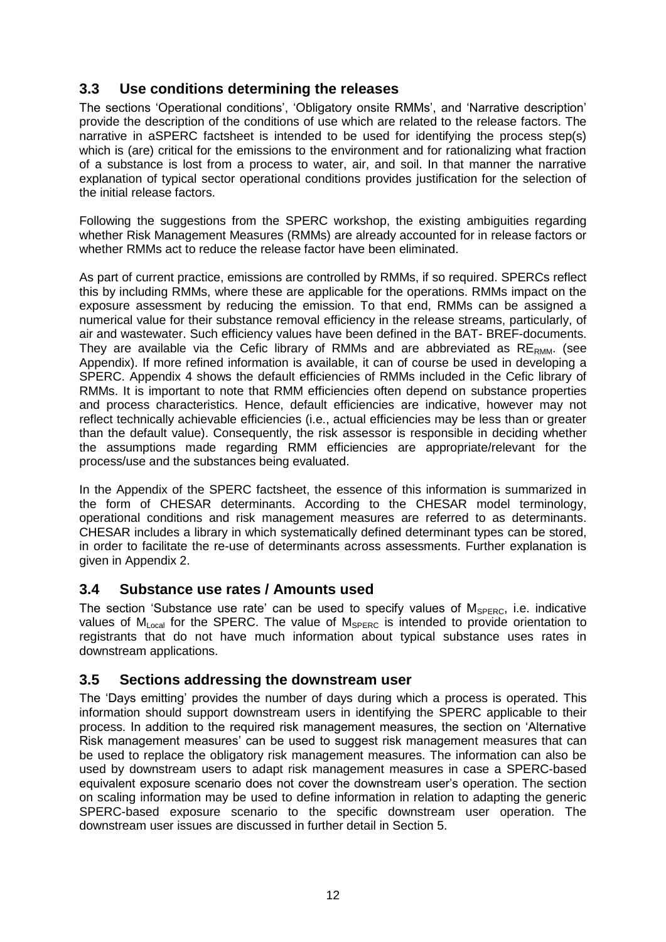# <span id="page-11-0"></span>**3.3 Use conditions determining the releases**

The sections 'Operational conditions', 'Obligatory onsite RMMs', and 'Narrative description' provide the description of the conditions of use which are related to the release factors. The narrative in aSPERC factsheet is intended to be used for identifying the process step(s) which is (are) critical for the emissions to the environment and for rationalizing what fraction of a substance is lost from a process to water, air, and soil. In that manner the narrative explanation of typical sector operational conditions provides justification for the selection of the initial release factors.

Following the suggestions from the SPERC workshop, the existing ambiguities regarding whether Risk Management Measures (RMMs) are already accounted for in release factors or whether RMMs act to reduce the release factor have been eliminated.

As part of current practice, emissions are controlled by RMMs, if so required. SPERCs reflect this by including RMMs, where these are applicable for the operations. RMMs impact on the exposure assessment by reducing the emission. To that end, RMMs can be assigned a numerical value for their substance removal efficiency in the release streams, particularly, of air and wastewater. Such efficiency values have been defined in the BAT- BREF-documents. They are available via the Cefic library of RMMs and are abbreviated as  $RE_{RMM}$ . (see Appendix). If more refined information is available, it can of course be used in developing a SPERC. Appendix 4 shows the default efficiencies of RMMs included in the Cefic library of RMMs. It is important to note that RMM efficiencies often depend on substance properties and process characteristics. Hence, default efficiencies are indicative, however may not reflect technically achievable efficiencies (i.e., actual efficiencies may be less than or greater than the default value). Consequently, the risk assessor is responsible in deciding whether the assumptions made regarding RMM efficiencies are appropriate/relevant for the process/use and the substances being evaluated.

In the Appendix of the SPERC factsheet, the essence of this information is summarized in the form of CHESAR determinants. According to the CHESAR model terminology, operational conditions and risk management measures are referred to as determinants. CHESAR includes a library in which systematically defined determinant types can be stored, in order to facilitate the re-use of determinants across assessments. Further explanation is given in Appendix 2.

### <span id="page-11-1"></span>**3.4 Substance use rates / Amounts used**

The section 'Substance use rate' can be used to specify values of  $M_{\text{SPERC}}$ , i.e. indicative values of  $M_{Local}$  for the SPERC. The value of  $M_{SPERC}$  is intended to provide orientation to registrants that do not have much information about typical substance uses rates in downstream applications.

### <span id="page-11-2"></span>**3.5 Sections addressing the downstream user**

The 'Days emitting' provides the number of days during which a process is operated. This information should support downstream users in identifying the SPERC applicable to their process. In addition to the required risk management measures, the section on 'Alternative Risk management measures' can be used to suggest risk management measures that can be used to replace the obligatory risk management measures. The information can also be used by downstream users to adapt risk management measures in case a SPERC-based equivalent exposure scenario does not cover the downstream user's operation. The section on scaling information may be used to define information in relation to adapting the generic SPERC-based exposure scenario to the specific downstream user operation. The downstream user issues are discussed in further detail in Section 5.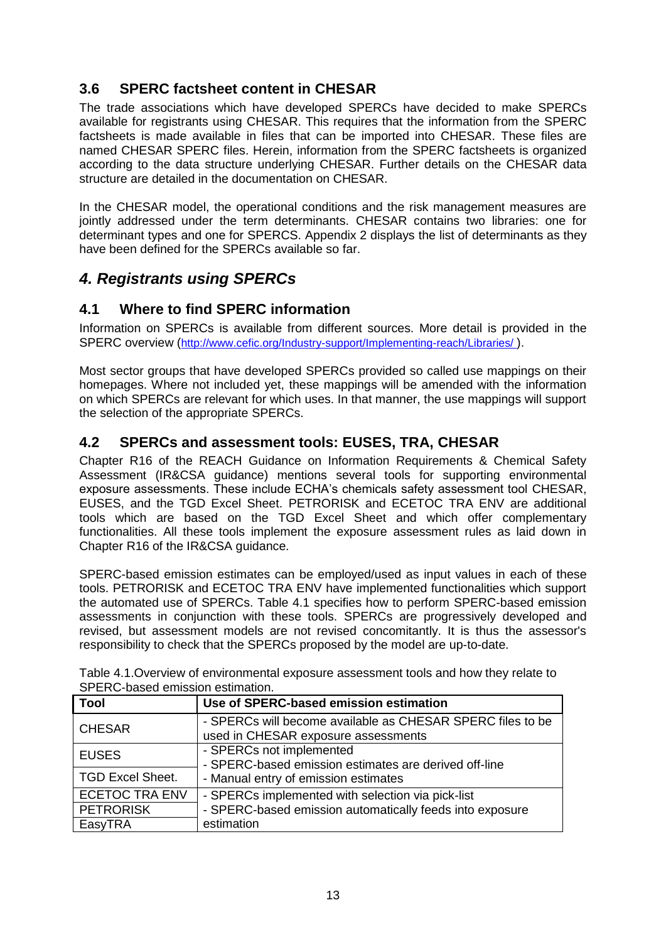# <span id="page-12-0"></span>**3.6 SPERC factsheet content in CHESAR**

The trade associations which have developed SPERCs have decided to make SPERCs available for registrants using CHESAR. This requires that the information from the SPERC factsheets is made available in files that can be imported into CHESAR. These files are named CHESAR SPERC files. Herein, information from the SPERC factsheets is organized according to the data structure underlying CHESAR. Further details on the CHESAR data structure are detailed in the documentation on CHESAR.

In the CHESAR model, the operational conditions and the risk management measures are jointly addressed under the term determinants. CHESAR contains two libraries: one for determinant types and one for SPERCS. Appendix 2 displays the list of determinants as they have been defined for the SPERCs available so far.

# <span id="page-12-1"></span>*4. Registrants using SPERCs*

# <span id="page-12-2"></span>**4.1 Where to find SPERC information**

Information on SPERCs is available from different sources. More detail is provided in the SPERC overview (<http://www.cefic.org/Industry-support/Implementing-reach/Libraries/>).

Most sector groups that have developed SPERCs provided so called use mappings on their homepages. Where not included yet, these mappings will be amended with the information on which SPERCs are relevant for which uses. In that manner, the use mappings will support the selection of the appropriate SPERCs.

### <span id="page-12-3"></span>**4.2 SPERCs and assessment tools: EUSES, TRA, CHESAR**

Chapter R16 of the REACH Guidance on Information Requirements & Chemical Safety Assessment (IR&CSA guidance) mentions several tools for supporting environmental exposure assessments. These include ECHA's chemicals safety assessment tool CHESAR, EUSES, and the TGD Excel Sheet. PETRORISK and ECETOC TRA ENV are additional tools which are based on the TGD Excel Sheet and which offer complementary functionalities. All these tools implement the exposure assessment rules as laid down in Chapter R16 of the IR&CSA guidance.

SPERC-based emission estimates can be employed/used as input values in each of these tools. PETRORISK and ECETOC TRA ENV have implemented functionalities which support the automated use of SPERCs. Table 4.1 specifies how to perform SPERC-based emission assessments in conjunction with these tools. SPERCs are progressively developed and revised, but assessment models are not revised concomitantly. It is thus the assessor's responsibility to check that the SPERCs proposed by the model are up-to-date.

| <u>UL ENU DASUA UNISSIDII USHINAHUNI.</u><br><b>Tool</b> | Use of SPERC-based emission estimation                                                            |  |  |
|----------------------------------------------------------|---------------------------------------------------------------------------------------------------|--|--|
| <b>CHESAR</b>                                            | - SPERCs will become available as CHESAR SPERC files to be<br>used in CHESAR exposure assessments |  |  |
| <b>EUSES</b>                                             | - SPERCs not implemented<br>- SPERC-based emission estimates are derived off-line                 |  |  |
| <b>TGD Excel Sheet.</b>                                  | - Manual entry of emission estimates                                                              |  |  |
| <b>ECETOC TRA ENV</b>                                    | - SPERCs implemented with selection via pick-list                                                 |  |  |
| <b>PETRORISK</b>                                         | - SPERC-based emission automatically feeds into exposure                                          |  |  |
| EasyTRA                                                  | estimation                                                                                        |  |  |

Table 4.1.Overview of environmental exposure assessment tools and how they relate to SPERC-based emission estimation.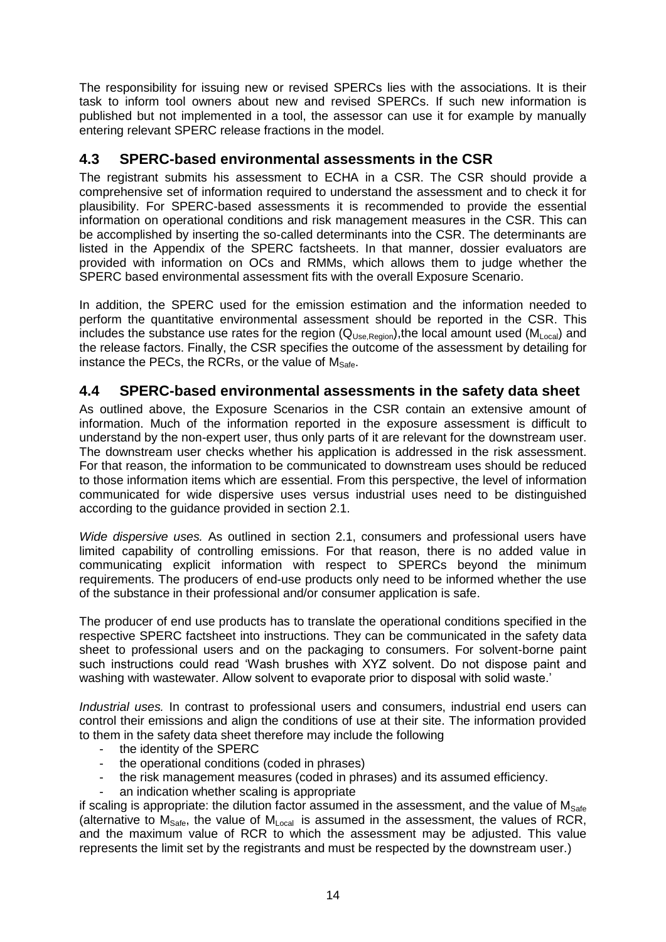The responsibility for issuing new or revised SPERCs lies with the associations. It is their task to inform tool owners about new and revised SPERCs. If such new information is published but not implemented in a tool, the assessor can use it for example by manually entering relevant SPERC release fractions in the model.

### <span id="page-13-0"></span>**4.3 SPERC-based environmental assessments in the CSR**

The registrant submits his assessment to ECHA in a CSR. The CSR should provide a comprehensive set of information required to understand the assessment and to check it for plausibility. For SPERC-based assessments it is recommended to provide the essential information on operational conditions and risk management measures in the CSR. This can be accomplished by inserting the so-called determinants into the CSR. The determinants are listed in the Appendix of the SPERC factsheets. In that manner, dossier evaluators are provided with information on OCs and RMMs, which allows them to judge whether the SPERC based environmental assessment fits with the overall Exposure Scenario.

In addition, the SPERC used for the emission estimation and the information needed to perform the quantitative environmental assessment should be reported in the CSR. This includes the substance use rates for the region  $(Q_{Use, Region})$ , the local amount used  $(M_{Local})$  and the release factors. Finally, the CSR specifies the outcome of the assessment by detailing for instance the PECs, the RCRs, or the value of  $M_{\text{Safe}}$ .

### <span id="page-13-1"></span>**4.4 SPERC-based environmental assessments in the safety data sheet**

As outlined above, the Exposure Scenarios in the CSR contain an extensive amount of information. Much of the information reported in the exposure assessment is difficult to understand by the non-expert user, thus only parts of it are relevant for the downstream user. The downstream user checks whether his application is addressed in the risk assessment. For that reason, the information to be communicated to downstream uses should be reduced to those information items which are essential. From this perspective, the level of information communicated for wide dispersive uses versus industrial uses need to be distinguished according to the guidance provided in section 2.1.

*Wide dispersive uses.* As outlined in section 2.1, consumers and professional users have limited capability of controlling emissions. For that reason, there is no added value in communicating explicit information with respect to SPERCs beyond the minimum requirements. The producers of end-use products only need to be informed whether the use of the substance in their professional and/or consumer application is safe.

The producer of end use products has to translate the operational conditions specified in the respective SPERC factsheet into instructions. They can be communicated in the safety data sheet to professional users and on the packaging to consumers. For solvent-borne paint such instructions could read 'Wash brushes with XYZ solvent. Do not dispose paint and washing with wastewater. Allow solvent to evaporate prior to disposal with solid waste.'

*Industrial uses.* In contrast to professional users and consumers, industrial end users can control their emissions and align the conditions of use at their site. The information provided to them in the safety data sheet therefore may include the following

- the identity of the SPERC
- the operational conditions (coded in phrases)
- the risk management measures (coded in phrases) and its assumed efficiency.
- an indication whether scaling is appropriate

if scaling is appropriate: the dilution factor assumed in the assessment, and the value of  $M_{\text{Safe}}$ (alternative to  $M_{\text{Safe}}$ , the value of  $M_{\text{Local}}$  is assumed in the assessment, the values of RCR, and the maximum value of RCR to which the assessment may be adjusted. This value represents the limit set by the registrants and must be respected by the downstream user.)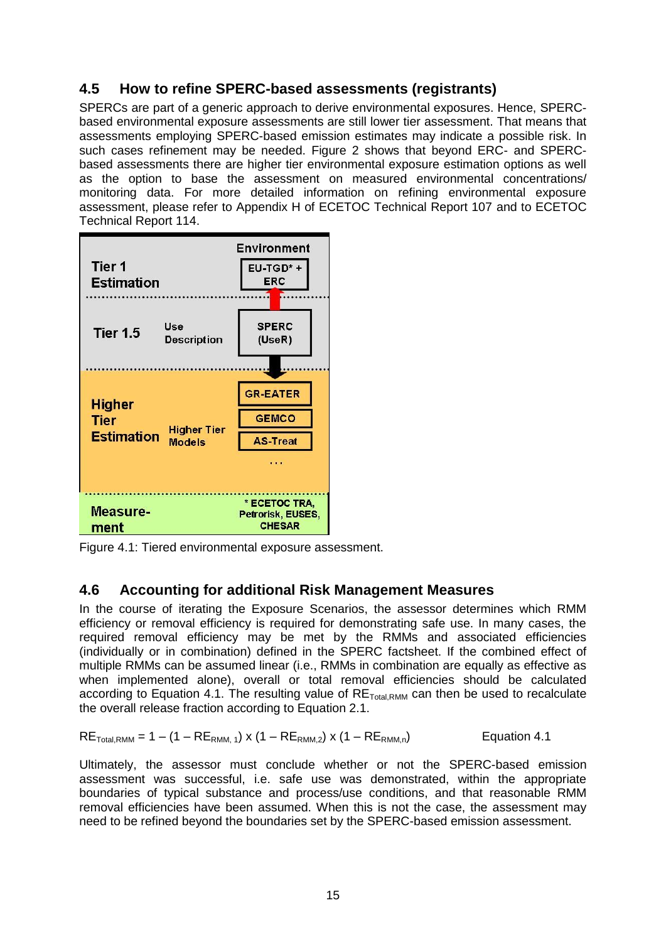# <span id="page-14-0"></span>**4.5 How to refine SPERC-based assessments (registrants)**

SPERCs are part of a generic approach to derive environmental exposures. Hence, SPERCbased environmental exposure assessments are still lower tier assessment. That means that assessments employing SPERC-based emission estimates may indicate a possible risk. In such cases refinement may be needed. Figure 2 shows that beyond ERC- and SPERCbased assessments there are higher tier environmental exposure estimation options as well as the option to base the assessment on measured environmental concentrations/ monitoring data. For more detailed information on refining environmental exposure assessment, please refer to Appendix H of ECETOC Technical Report 107 and to ECETOC Technical Report 114.



Figure 4.1: Tiered environmental exposure assessment.

### <span id="page-14-1"></span>**4.6 Accounting for additional Risk Management Measures**

In the course of iterating the Exposure Scenarios, the assessor determines which RMM efficiency or removal efficiency is required for demonstrating safe use. In many cases, the required removal efficiency may be met by the RMMs and associated efficiencies (individually or in combination) defined in the SPERC factsheet. If the combined effect of multiple RMMs can be assumed linear (i.e., RMMs in combination are equally as effective as when implemented alone), overall or total removal efficiencies should be calculated according to Equation 4.1. The resulting value of  $RE<sub>Total RMM</sub>$  can then be used to recalculate the overall release fraction according to Equation 2.1.

$$
RE_{\text{Total,RMM}} = 1 - (1 - RE_{\text{RMM},1}) \times (1 - RE_{\text{RMM},2}) \times (1 - RE_{\text{RMM},n})
$$

Ultimately, the assessor must conclude whether or not the SPERC-based emission assessment was successful, i.e. safe use was demonstrated, within the appropriate boundaries of typical substance and process/use conditions, and that reasonable RMM removal efficiencies have been assumed. When this is not the case, the assessment may need to be refined beyond the boundaries set by the SPERC-based emission assessment.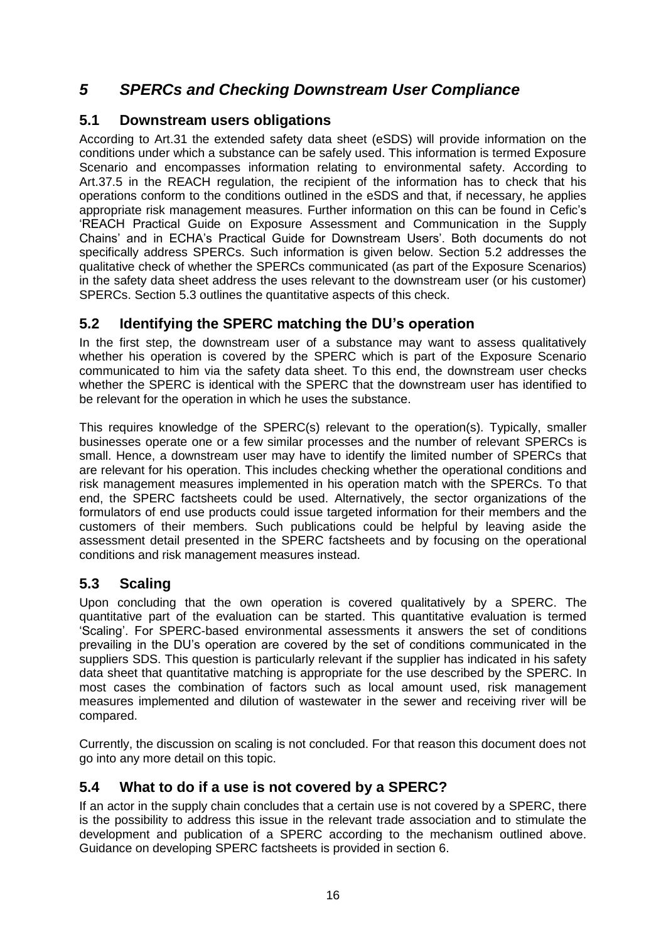# <span id="page-15-0"></span>*5 SPERCs and Checking Downstream User Compliance*

### <span id="page-15-1"></span>**5.1 Downstream users obligations**

According to Art.31 the extended safety data sheet (eSDS) will provide information on the conditions under which a substance can be safely used. This information is termed Exposure Scenario and encompasses information relating to environmental safety. According to Art.37.5 in the REACH regulation, the recipient of the information has to check that his operations conform to the conditions outlined in the eSDS and that, if necessary, he applies appropriate risk management measures. Further information on this can be found in Cefic's 'REACH Practical Guide on Exposure Assessment and Communication in the Supply Chains' and in ECHA's Practical Guide for Downstream Users'. Both documents do not specifically address SPERCs. Such information is given below. Section 5.2 addresses the qualitative check of whether the SPERCs communicated (as part of the Exposure Scenarios) in the safety data sheet address the uses relevant to the downstream user (or his customer) SPERCs. Section 5.3 outlines the quantitative aspects of this check.

# <span id="page-15-2"></span>**5.2 Identifying the SPERC matching the DU's operation**

In the first step, the downstream user of a substance may want to assess qualitatively whether his operation is covered by the SPERC which is part of the Exposure Scenario communicated to him via the safety data sheet. To this end, the downstream user checks whether the SPERC is identical with the SPERC that the downstream user has identified to be relevant for the operation in which he uses the substance.

This requires knowledge of the SPERC(s) relevant to the operation(s). Typically, smaller businesses operate one or a few similar processes and the number of relevant SPERCs is small. Hence, a downstream user may have to identify the limited number of SPERCs that are relevant for his operation. This includes checking whether the operational conditions and risk management measures implemented in his operation match with the SPERCs. To that end, the SPERC factsheets could be used. Alternatively, the sector organizations of the formulators of end use products could issue targeted information for their members and the customers of their members. Such publications could be helpful by leaving aside the assessment detail presented in the SPERC factsheets and by focusing on the operational conditions and risk management measures instead.

# <span id="page-15-3"></span>**5.3 Scaling**

Upon concluding that the own operation is covered qualitatively by a SPERC. The quantitative part of the evaluation can be started. This quantitative evaluation is termed 'Scaling'. For SPERC-based environmental assessments it answers the set of conditions prevailing in the DU's operation are covered by the set of conditions communicated in the suppliers SDS. This question is particularly relevant if the supplier has indicated in his safety data sheet that quantitative matching is appropriate for the use described by the SPERC. In most cases the combination of factors such as local amount used, risk management measures implemented and dilution of wastewater in the sewer and receiving river will be compared.

Currently, the discussion on scaling is not concluded. For that reason this document does not go into any more detail on this topic.

# <span id="page-15-4"></span>**5.4 What to do if a use is not covered by a SPERC?**

If an actor in the supply chain concludes that a certain use is not covered by a SPERC, there is the possibility to address this issue in the relevant trade association and to stimulate the development and publication of a SPERC according to the mechanism outlined above. Guidance on developing SPERC factsheets is provided in section 6.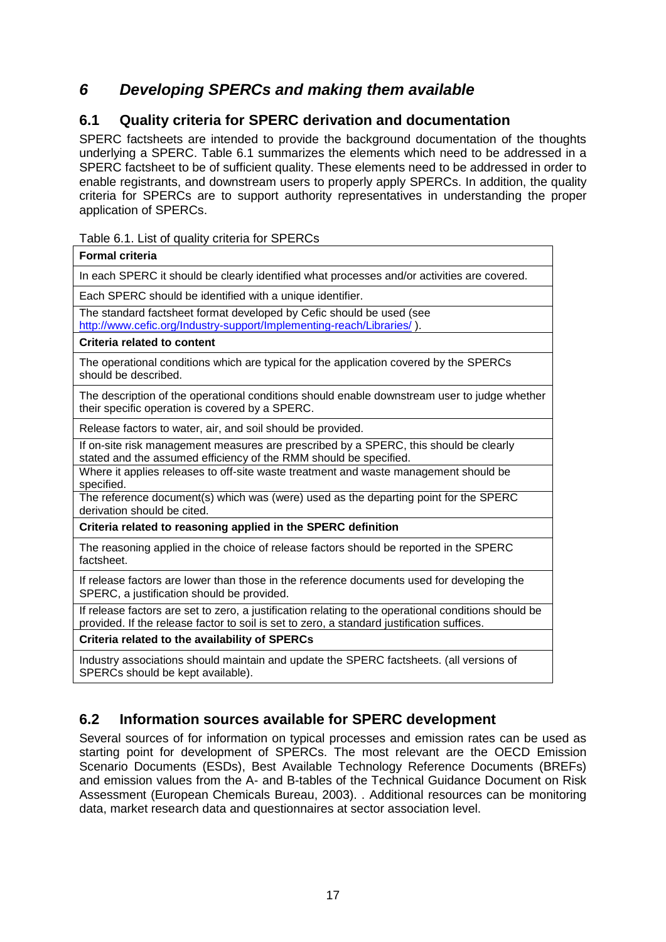# <span id="page-16-0"></span>*6 Developing SPERCs and making them available*

# <span id="page-16-1"></span>**6.1 Quality criteria for SPERC derivation and documentation**

SPERC factsheets are intended to provide the background documentation of the thoughts underlying a SPERC. Table 6.1 summarizes the elements which need to be addressed in a SPERC factsheet to be of sufficient quality. These elements need to be addressed in order to enable registrants, and downstream users to properly apply SPERCs. In addition, the quality criteria for SPERCs are to support authority representatives in understanding the proper application of SPERCs.

### Table 6.1. List of quality criteria for SPERCs

| <b>Formal criteria</b>                                                                                                                                                                             |
|----------------------------------------------------------------------------------------------------------------------------------------------------------------------------------------------------|
| In each SPERC it should be clearly identified what processes and/or activities are covered.                                                                                                        |
| Each SPERC should be identified with a unique identifier.                                                                                                                                          |
| The standard factsheet format developed by Cefic should be used (see<br>http://www.cefic.org/Industry-support/Implementing-reach/Libraries/).                                                      |
| <b>Criteria related to content</b>                                                                                                                                                                 |
| The operational conditions which are typical for the application covered by the SPERCs<br>should be described.                                                                                     |
| The description of the operational conditions should enable downstream user to judge whether<br>their specific operation is covered by a SPERC.                                                    |
| Release factors to water, air, and soil should be provided.                                                                                                                                        |
| If on-site risk management measures are prescribed by a SPERC, this should be clearly<br>stated and the assumed efficiency of the RMM should be specified.                                         |
| Where it applies releases to off-site waste treatment and waste management should be<br>specified.                                                                                                 |
| The reference document(s) which was (were) used as the departing point for the SPERC<br>derivation should be cited.                                                                                |
| Criteria related to reasoning applied in the SPERC definition                                                                                                                                      |
| The reasoning applied in the choice of release factors should be reported in the SPERC<br>factsheet.                                                                                               |
| If release factors are lower than those in the reference documents used for developing the<br>SPERC, a justification should be provided.                                                           |
| If release factors are set to zero, a justification relating to the operational conditions should be<br>provided. If the release factor to soil is set to zero, a standard justification suffices. |
| Criteria related to the availability of SPERCs                                                                                                                                                     |
| Industry associations should maintain and update the SPERC factsheets. (all versions of<br>SPERCs should be kept available).                                                                       |

# <span id="page-16-2"></span>**6.2 Information sources available for SPERC development**

Several sources of for information on typical processes and emission rates can be used as starting point for development of SPERCs. The most relevant are the OECD Emission Scenario Documents (ESDs), Best Available Technology Reference Documents (BREFs) and emission values from the A- and B-tables of the Technical Guidance Document on Risk Assessment (European Chemicals Bureau, 2003). . Additional resources can be monitoring data, market research data and questionnaires at sector association level.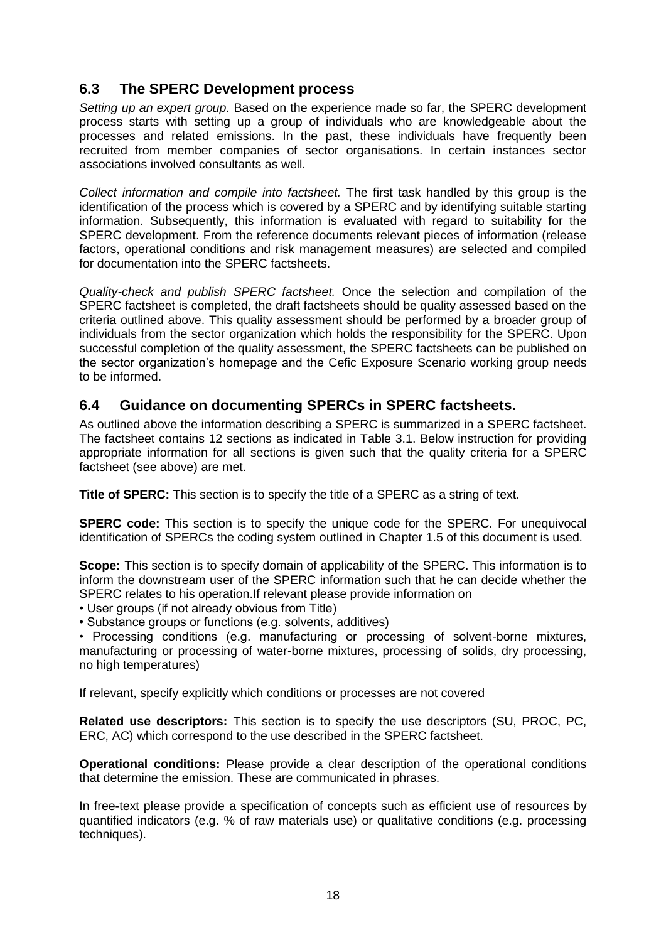### <span id="page-17-0"></span>**6.3 The SPERC Development process**

*Setting up an expert group.* Based on the experience made so far, the SPERC development process starts with setting up a group of individuals who are knowledgeable about the processes and related emissions. In the past, these individuals have frequently been recruited from member companies of sector organisations. In certain instances sector associations involved consultants as well.

*Collect information and compile into factsheet.* The first task handled by this group is the identification of the process which is covered by a SPERC and by identifying suitable starting information. Subsequently, this information is evaluated with regard to suitability for the SPERC development. From the reference documents relevant pieces of information (release factors, operational conditions and risk management measures) are selected and compiled for documentation into the SPERC factsheets.

*Quality-check and publish SPERC factsheet.* Once the selection and compilation of the SPERC factsheet is completed, the draft factsheets should be quality assessed based on the criteria outlined above. This quality assessment should be performed by a broader group of individuals from the sector organization which holds the responsibility for the SPERC. Upon successful completion of the quality assessment, the SPERC factsheets can be published on the sector organization's homepage and the Cefic Exposure Scenario working group needs to be informed.

### <span id="page-17-1"></span>**6.4 Guidance on documenting SPERCs in SPERC factsheets.**

As outlined above the information describing a SPERC is summarized in a SPERC factsheet. The factsheet contains 12 sections as indicated in Table 3.1. Below instruction for providing appropriate information for all sections is given such that the quality criteria for a SPERC factsheet (see above) are met.

**Title of SPERC:** This section is to specify the title of a SPERC as a string of text.

**SPERC code:** This section is to specify the unique code for the SPERC. For unequivocal identification of SPERCs the coding system outlined in Chapter 1.5 of this document is used.

**Scope:** This section is to specify domain of applicability of the SPERC. This information is to inform the downstream user of the SPERC information such that he can decide whether the SPERC relates to his operation.If relevant please provide information on

• User groups (if not already obvious from Title)

• Substance groups or functions (e.g. solvents, additives)

• Processing conditions (e.g. manufacturing or processing of solvent-borne mixtures, manufacturing or processing of water-borne mixtures, processing of solids, dry processing, no high temperatures)

If relevant, specify explicitly which conditions or processes are not covered

**Related use descriptors:** This section is to specify the use descriptors (SU, PROC, PC, ERC, AC) which correspond to the use described in the SPERC factsheet.

**Operational conditions:** Please provide a clear description of the operational conditions that determine the emission. These are communicated in phrases.

In free-text please provide a specification of concepts such as efficient use of resources by quantified indicators (e.g. % of raw materials use) or qualitative conditions (e.g. processing techniques).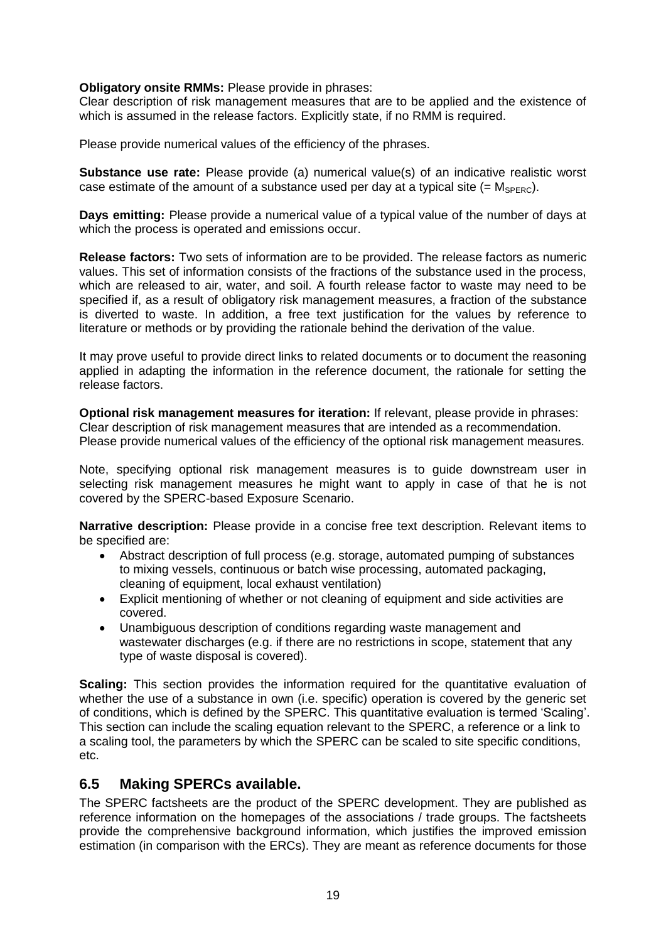### **Obligatory onsite RMMs:** Please provide in phrases:

Clear description of risk management measures that are to be applied and the existence of which is assumed in the release factors. Explicitly state, if no RMM is required.

Please provide numerical values of the efficiency of the phrases.

**Substance use rate:** Please provide (a) numerical value(s) of an indicative realistic worst case estimate of the amount of a substance used per day at a typical site  $(= M_{\text{SPERC}})$ .

**Days emitting:** Please provide a numerical value of a typical value of the number of days at which the process is operated and emissions occur.

**Release factors:** Two sets of information are to be provided. The release factors as numeric values. This set of information consists of the fractions of the substance used in the process, which are released to air, water, and soil. A fourth release factor to waste may need to be specified if, as a result of obligatory risk management measures, a fraction of the substance is diverted to waste. In addition, a free text justification for the values by reference to literature or methods or by providing the rationale behind the derivation of the value.

It may prove useful to provide direct links to related documents or to document the reasoning applied in adapting the information in the reference document, the rationale for setting the release factors.

**Optional risk management measures for iteration:** If relevant, please provide in phrases: Clear description of risk management measures that are intended as a recommendation. Please provide numerical values of the efficiency of the optional risk management measures.

Note, specifying optional risk management measures is to guide downstream user in selecting risk management measures he might want to apply in case of that he is not covered by the SPERC-based Exposure Scenario.

**Narrative description:** Please provide in a concise free text description. Relevant items to be specified are:

- Abstract description of full process (e.g. storage, automated pumping of substances to mixing vessels, continuous or batch wise processing, automated packaging, cleaning of equipment, local exhaust ventilation)
- Explicit mentioning of whether or not cleaning of equipment and side activities are covered.
- Unambiguous description of conditions regarding waste management and wastewater discharges (e.g. if there are no restrictions in scope, statement that any type of waste disposal is covered).

**Scaling:** This section provides the information required for the quantitative evaluation of whether the use of a substance in own (i.e. specific) operation is covered by the generic set of conditions, which is defined by the SPERC. This quantitative evaluation is termed 'Scaling'. This section can include the scaling equation relevant to the SPERC, a reference or a link to a scaling tool, the parameters by which the SPERC can be scaled to site specific conditions, etc.

### <span id="page-18-0"></span>**6.5 Making SPERCs available.**

The SPERC factsheets are the product of the SPERC development. They are published as reference information on the homepages of the associations / trade groups. The factsheets provide the comprehensive background information, which justifies the improved emission estimation (in comparison with the ERCs). They are meant as reference documents for those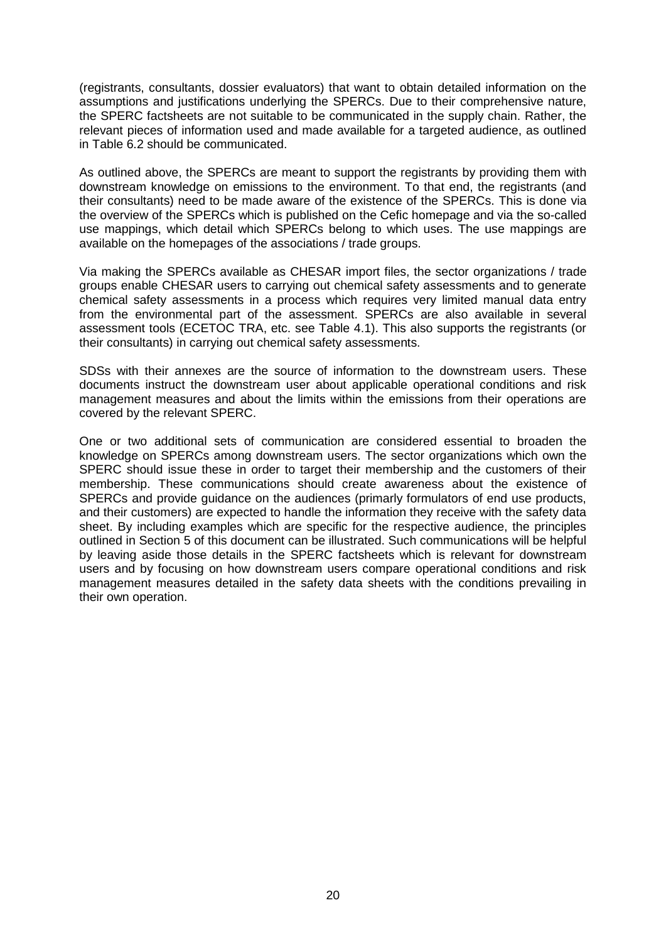(registrants, consultants, dossier evaluators) that want to obtain detailed information on the assumptions and justifications underlying the SPERCs. Due to their comprehensive nature, the SPERC factsheets are not suitable to be communicated in the supply chain. Rather, the relevant pieces of information used and made available for a targeted audience, as outlined in Table 6.2 should be communicated.

As outlined above, the SPERCs are meant to support the registrants by providing them with downstream knowledge on emissions to the environment. To that end, the registrants (and their consultants) need to be made aware of the existence of the SPERCs. This is done via the overview of the SPERCs which is published on the Cefic homepage and via the so-called use mappings, which detail which SPERCs belong to which uses. The use mappings are available on the homepages of the associations / trade groups.

Via making the SPERCs available as CHESAR import files, the sector organizations / trade groups enable CHESAR users to carrying out chemical safety assessments and to generate chemical safety assessments in a process which requires very limited manual data entry from the environmental part of the assessment. SPERCs are also available in several assessment tools (ECETOC TRA, etc. see Table 4.1). This also supports the registrants (or their consultants) in carrying out chemical safety assessments.

SDSs with their annexes are the source of information to the downstream users. These documents instruct the downstream user about applicable operational conditions and risk management measures and about the limits within the emissions from their operations are covered by the relevant SPERC.

One or two additional sets of communication are considered essential to broaden the knowledge on SPERCs among downstream users. The sector organizations which own the SPERC should issue these in order to target their membership and the customers of their membership. These communications should create awareness about the existence of SPERCs and provide guidance on the audiences (primarly formulators of end use products, and their customers) are expected to handle the information they receive with the safety data sheet. By including examples which are specific for the respective audience, the principles outlined in Section 5 of this document can be illustrated. Such communications will be helpful by leaving aside those details in the SPERC factsheets which is relevant for downstream users and by focusing on how downstream users compare operational conditions and risk management measures detailed in the safety data sheets with the conditions prevailing in their own operation.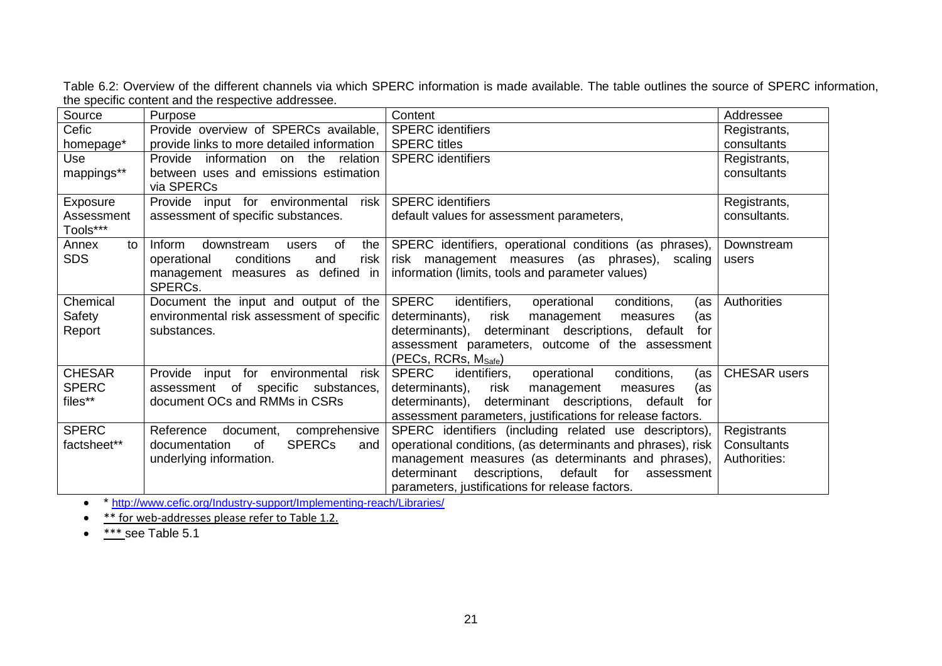Table 6.2: Overview of the different channels via which SPERC information is made available. The table outlines the source of SPERC information, the specific content and the respective addressee.

| Source                 | Purpose                                        | Content                                                           | Addressee           |
|------------------------|------------------------------------------------|-------------------------------------------------------------------|---------------------|
| Cefic                  | Provide overview of SPERCs available,          | <b>SPERC</b> identifiers                                          | Registrants,        |
| homepage*              | provide links to more detailed information     | <b>SPERC</b> titles                                               | consultants         |
| Use                    | Provide<br>information on the relation         | <b>SPERC</b> identifiers                                          | Registrants,        |
| mappings**             | between uses and emissions estimation          |                                                                   | consultants         |
|                        | via SPERCs                                     |                                                                   |                     |
| Exposure               | Provide input for environmental<br>risk        | <b>SPERC</b> identifiers                                          | Registrants,        |
| Assessment<br>Tools*** | assessment of specific substances.             | default values for assessment parameters,                         | consultants.        |
| to<br>Annex            | Inform<br>downstream<br>of<br>the $ $<br>users | SPERC identifiers, operational conditions (as phrases),           | Downstream          |
| <b>SDS</b>             | conditions<br>risk<br>operational<br>and       | risk management measures (as phrases), scaling                    | users               |
|                        | management measures as defined in              | information (limits, tools and parameter values)                  |                     |
|                        | SPERCs.                                        |                                                                   |                     |
| Chemical               | Document the input and output of the           | <b>SPERC</b><br>identifiers,<br>operational<br>conditions,<br>(as | Authorities         |
| Safety                 | environmental risk assessment of specific      | determinants),<br>risk<br>management<br>measures<br>(as           |                     |
| Report                 | substances.                                    | determinants), determinant descriptions, default<br>for           |                     |
|                        |                                                | assessment parameters, outcome of the assessment                  |                     |
|                        |                                                | (PECs, RCRs, M <sub>Safe</sub> )                                  |                     |
| <b>CHESAR</b>          | Provide input for environmental<br>risk l      | <b>SPERC</b><br>identifiers,<br>operational<br>conditions,<br>(as | <b>CHESAR</b> users |
| <b>SPERC</b>           | assessment of specific substances,             | determinants),<br>risk<br>management<br>measures<br>(as           |                     |
| files**                | document OCs and RMMs in CSRs                  | determinants), determinant descriptions, default<br>for           |                     |
|                        |                                                | assessment parameters, justifications for release factors.        |                     |
| <b>SPERC</b>           | comprehensive<br>Reference<br>document,        | SPERC identifiers (including related use descriptors),            | Registrants         |
| factsheet**            | <b>SPERCs</b><br>documentation<br>0f<br>and    | operational conditions, (as determinants and phrases), risk       | Consultants         |
|                        | underlying information.                        | management measures (as determinants and phrases),                | Authorities:        |
|                        |                                                | determinant<br>descriptions,<br>default for<br>assessment         |                     |
|                        |                                                | parameters, justifications for release factors.                   |                     |

\* <http://www.cefic.org/Industry-support/Implementing-reach/Libraries/>

 $\bullet$   $\overbrace{\text{*}^*$  for web-addresses please refer to Table 1.2.

 $\bullet$  \*\*\* see Table 5.1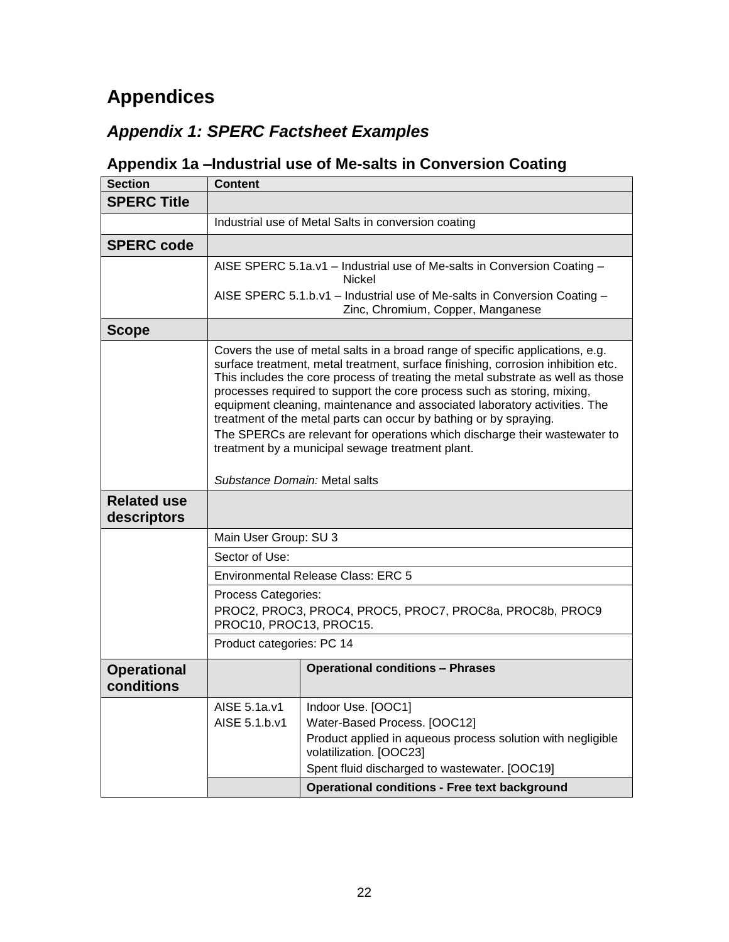# **Appendices**

# *Appendix 1: SPERC Factsheet Examples*

# **Appendix 1a –Industrial use of Me-salts in Conversion Coating**

<span id="page-21-1"></span><span id="page-21-0"></span>

| <b>SPERC Title</b><br>Industrial use of Metal Salts in conversion coating<br><b>SPERC code</b><br>AISE SPERC 5.1a.v1 - Industrial use of Me-salts in Conversion Coating -<br>Nickel<br>AISE SPERC 5.1.b.v1 - Industrial use of Me-salts in Conversion Coating -<br>Zinc, Chromium, Copper, Manganese<br><b>Scope</b><br>Covers the use of metal salts in a broad range of specific applications, e.g.<br>surface treatment, metal treatment, surface finishing, corrosion inhibition etc.<br>This includes the core process of treating the metal substrate as well as those<br>processes required to support the core process such as storing, mixing,<br>equipment cleaning, maintenance and associated laboratory activities. The<br>treatment of the metal parts can occur by bathing or by spraying.<br>The SPERCs are relevant for operations which discharge their wastewater to<br>treatment by a municipal sewage treatment plant.<br>Substance Domain: Metal salts<br><b>Related use</b><br>descriptors<br>Main User Group: SU 3<br>Sector of Use: |
|--------------------------------------------------------------------------------------------------------------------------------------------------------------------------------------------------------------------------------------------------------------------------------------------------------------------------------------------------------------------------------------------------------------------------------------------------------------------------------------------------------------------------------------------------------------------------------------------------------------------------------------------------------------------------------------------------------------------------------------------------------------------------------------------------------------------------------------------------------------------------------------------------------------------------------------------------------------------------------------------------------------------------------------------------------------|
|                                                                                                                                                                                                                                                                                                                                                                                                                                                                                                                                                                                                                                                                                                                                                                                                                                                                                                                                                                                                                                                              |
|                                                                                                                                                                                                                                                                                                                                                                                                                                                                                                                                                                                                                                                                                                                                                                                                                                                                                                                                                                                                                                                              |
|                                                                                                                                                                                                                                                                                                                                                                                                                                                                                                                                                                                                                                                                                                                                                                                                                                                                                                                                                                                                                                                              |
|                                                                                                                                                                                                                                                                                                                                                                                                                                                                                                                                                                                                                                                                                                                                                                                                                                                                                                                                                                                                                                                              |
|                                                                                                                                                                                                                                                                                                                                                                                                                                                                                                                                                                                                                                                                                                                                                                                                                                                                                                                                                                                                                                                              |
|                                                                                                                                                                                                                                                                                                                                                                                                                                                                                                                                                                                                                                                                                                                                                                                                                                                                                                                                                                                                                                                              |
|                                                                                                                                                                                                                                                                                                                                                                                                                                                                                                                                                                                                                                                                                                                                                                                                                                                                                                                                                                                                                                                              |
|                                                                                                                                                                                                                                                                                                                                                                                                                                                                                                                                                                                                                                                                                                                                                                                                                                                                                                                                                                                                                                                              |
|                                                                                                                                                                                                                                                                                                                                                                                                                                                                                                                                                                                                                                                                                                                                                                                                                                                                                                                                                                                                                                                              |
|                                                                                                                                                                                                                                                                                                                                                                                                                                                                                                                                                                                                                                                                                                                                                                                                                                                                                                                                                                                                                                                              |
|                                                                                                                                                                                                                                                                                                                                                                                                                                                                                                                                                                                                                                                                                                                                                                                                                                                                                                                                                                                                                                                              |
| <b>Environmental Release Class: ERC 5</b>                                                                                                                                                                                                                                                                                                                                                                                                                                                                                                                                                                                                                                                                                                                                                                                                                                                                                                                                                                                                                    |
| Process Categories:<br>PROC2, PROC3, PROC4, PROC5, PROC7, PROC8a, PROC8b, PROC9<br>PROC10, PROC13, PROC15.                                                                                                                                                                                                                                                                                                                                                                                                                                                                                                                                                                                                                                                                                                                                                                                                                                                                                                                                                   |
| Product categories: PC 14                                                                                                                                                                                                                                                                                                                                                                                                                                                                                                                                                                                                                                                                                                                                                                                                                                                                                                                                                                                                                                    |
| <b>Operational conditions - Phrases</b><br><b>Operational</b><br>conditions                                                                                                                                                                                                                                                                                                                                                                                                                                                                                                                                                                                                                                                                                                                                                                                                                                                                                                                                                                                  |
| AISE 5.1a.v1<br>Indoor Use. [OOC1]<br>AISE 5.1.b.v1<br>Water-Based Process. [OOC12]                                                                                                                                                                                                                                                                                                                                                                                                                                                                                                                                                                                                                                                                                                                                                                                                                                                                                                                                                                          |
| Product applied in aqueous process solution with negligible<br>volatilization. [OOC23]<br>Spent fluid discharged to wastewater. [OOC19]                                                                                                                                                                                                                                                                                                                                                                                                                                                                                                                                                                                                                                                                                                                                                                                                                                                                                                                      |
| <b>Operational conditions - Free text background</b>                                                                                                                                                                                                                                                                                                                                                                                                                                                                                                                                                                                                                                                                                                                                                                                                                                                                                                                                                                                                         |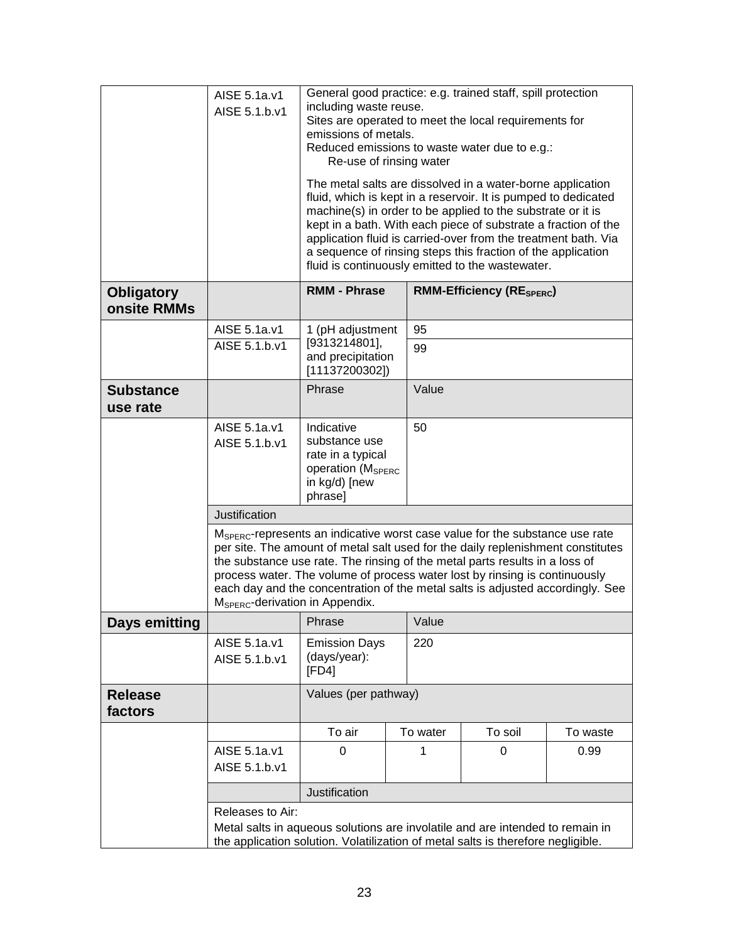|                                  | AISE 5.1a.v1<br>AISE 5.1.b.v1               | General good practice: e.g. trained staff, spill protection<br>including waste reuse.<br>Sites are operated to meet the local requirements for<br>emissions of metals.<br>Reduced emissions to waste water due to e.g.:<br>Re-use of rinsing water<br>The metal salts are dissolved in a water-borne application<br>fluid, which is kept in a reservoir. It is pumped to dedicated<br>machine(s) in order to be applied to the substrate or it is<br>kept in a bath. With each piece of substrate a fraction of the<br>application fluid is carried-over from the treatment bath. Via<br>a sequence of rinsing steps this fraction of the application<br>fluid is continuously emitted to the wastewater. |          |         |          |  |
|----------------------------------|---------------------------------------------|-----------------------------------------------------------------------------------------------------------------------------------------------------------------------------------------------------------------------------------------------------------------------------------------------------------------------------------------------------------------------------------------------------------------------------------------------------------------------------------------------------------------------------------------------------------------------------------------------------------------------------------------------------------------------------------------------------------|----------|---------|----------|--|
| <b>Obligatory</b><br>onsite RMMs |                                             | <b>RMM - Phrase</b><br><b>RMM-Efficiency (RESPERC)</b>                                                                                                                                                                                                                                                                                                                                                                                                                                                                                                                                                                                                                                                    |          |         |          |  |
|                                  | AISE 5.1a.v1                                | 1 (pH adjustment<br>95                                                                                                                                                                                                                                                                                                                                                                                                                                                                                                                                                                                                                                                                                    |          |         |          |  |
|                                  | AISE 5.1.b.v1                               | [9313214801],<br>99<br>and precipitation<br>[11137200302]                                                                                                                                                                                                                                                                                                                                                                                                                                                                                                                                                                                                                                                 |          |         |          |  |
| <b>Substance</b><br>use rate     |                                             | Value<br>Phrase                                                                                                                                                                                                                                                                                                                                                                                                                                                                                                                                                                                                                                                                                           |          |         |          |  |
|                                  | AISE 5.1a.v1<br>AISE 5.1.b.v1               | Indicative<br>substance use<br>rate in a typical<br>operation (M <sub>SPERC</sub><br>in kg/d) [new<br>phrase]                                                                                                                                                                                                                                                                                                                                                                                                                                                                                                                                                                                             | 50       |         |          |  |
|                                  | Justification                               |                                                                                                                                                                                                                                                                                                                                                                                                                                                                                                                                                                                                                                                                                                           |          |         |          |  |
|                                  | M <sub>SPERC</sub> -derivation in Appendix. | M <sub>SPERC</sub> -represents an indicative worst case value for the substance use rate<br>per site. The amount of metal salt used for the daily replenishment constitutes<br>the substance use rate. The rinsing of the metal parts results in a loss of<br>process water. The volume of process water lost by rinsing is continuously<br>each day and the concentration of the metal salts is adjusted accordingly. See                                                                                                                                                                                                                                                                                |          |         |          |  |
| Days emitting                    |                                             | Phrase                                                                                                                                                                                                                                                                                                                                                                                                                                                                                                                                                                                                                                                                                                    | Value    |         |          |  |
|                                  | AISE 5.1a.v1<br>AISE 5.1.b.v1               | 220<br><b>Emission Days</b><br>(days/year):<br>[FD4]                                                                                                                                                                                                                                                                                                                                                                                                                                                                                                                                                                                                                                                      |          |         |          |  |
| <b>Release</b><br>factors        |                                             | Values (per pathway)                                                                                                                                                                                                                                                                                                                                                                                                                                                                                                                                                                                                                                                                                      |          |         |          |  |
|                                  |                                             | To air                                                                                                                                                                                                                                                                                                                                                                                                                                                                                                                                                                                                                                                                                                    | To water | To soil | To waste |  |
|                                  | AISE 5.1a.v1<br>AISE 5.1.b.v1               | 0.99<br>0<br>1<br>0                                                                                                                                                                                                                                                                                                                                                                                                                                                                                                                                                                                                                                                                                       |          |         |          |  |
|                                  |                                             | Justification                                                                                                                                                                                                                                                                                                                                                                                                                                                                                                                                                                                                                                                                                             |          |         |          |  |
|                                  | Releases to Air:                            | Metal salts in aqueous solutions are involatile and are intended to remain in<br>the application solution. Volatilization of metal salts is therefore negligible.                                                                                                                                                                                                                                                                                                                                                                                                                                                                                                                                         |          |         |          |  |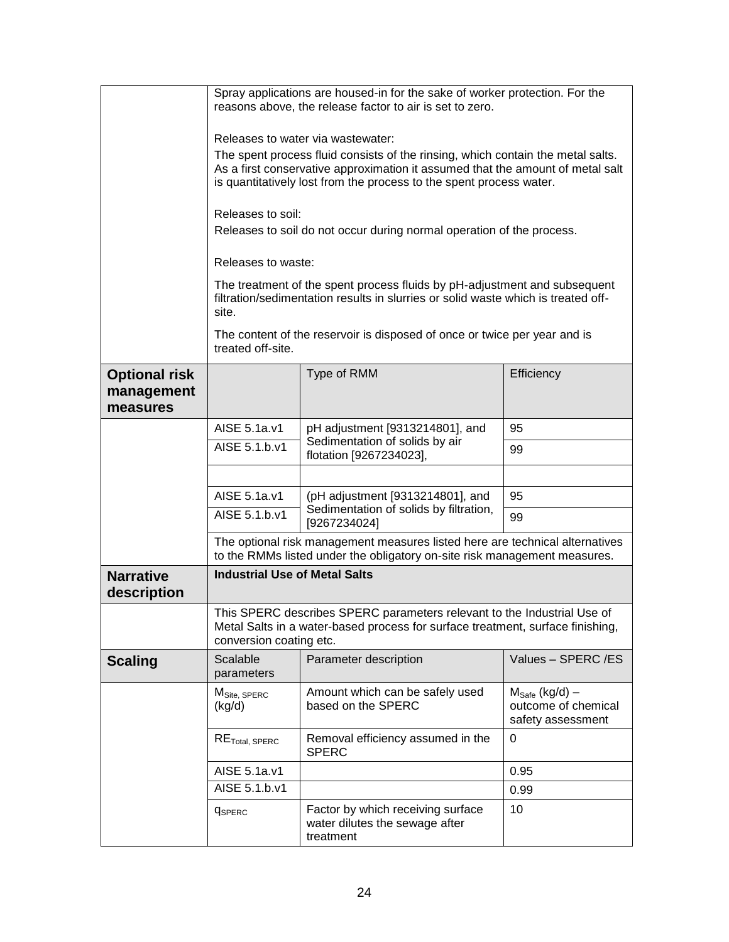|                                                | Spray applications are housed-in for the sake of worker protection. For the<br>reasons above, the release factor to air is set to zero.                                                                                                                                       |                                                                                                                                                                |                                                                        |  |  |  |
|------------------------------------------------|-------------------------------------------------------------------------------------------------------------------------------------------------------------------------------------------------------------------------------------------------------------------------------|----------------------------------------------------------------------------------------------------------------------------------------------------------------|------------------------------------------------------------------------|--|--|--|
|                                                | Releases to water via wastewater:<br>The spent process fluid consists of the rinsing, which contain the metal salts.<br>As a first conservative approximation it assumed that the amount of metal salt<br>is quantitatively lost from the process to the spent process water. |                                                                                                                                                                |                                                                        |  |  |  |
|                                                |                                                                                                                                                                                                                                                                               | Releases to soil:<br>Releases to soil do not occur during normal operation of the process.                                                                     |                                                                        |  |  |  |
|                                                | Releases to waste:                                                                                                                                                                                                                                                            |                                                                                                                                                                |                                                                        |  |  |  |
|                                                | site.                                                                                                                                                                                                                                                                         | The treatment of the spent process fluids by pH-adjustment and subsequent<br>filtration/sedimentation results in slurries or solid waste which is treated off- |                                                                        |  |  |  |
|                                                | treated off-site.                                                                                                                                                                                                                                                             | The content of the reservoir is disposed of once or twice per year and is                                                                                      |                                                                        |  |  |  |
| <b>Optional risk</b><br>management<br>measures |                                                                                                                                                                                                                                                                               | Type of RMM                                                                                                                                                    | Efficiency                                                             |  |  |  |
|                                                | AISE 5.1a.v1                                                                                                                                                                                                                                                                  | pH adjustment [9313214801], and                                                                                                                                | 95                                                                     |  |  |  |
|                                                | AISE 5.1.b.v1                                                                                                                                                                                                                                                                 | Sedimentation of solids by air<br>flotation [9267234023],                                                                                                      | 99                                                                     |  |  |  |
|                                                |                                                                                                                                                                                                                                                                               |                                                                                                                                                                |                                                                        |  |  |  |
|                                                | AISE 5.1a.v1                                                                                                                                                                                                                                                                  | (pH adjustment [9313214801], and                                                                                                                               | 95                                                                     |  |  |  |
|                                                | AISE 5.1.b.v1                                                                                                                                                                                                                                                                 | Sedimentation of solids by filtration,<br>[9267234024]                                                                                                         | 99                                                                     |  |  |  |
|                                                |                                                                                                                                                                                                                                                                               | The optional risk management measures listed here are technical alternatives<br>to the RMMs listed under the obligatory on-site risk management measures.      |                                                                        |  |  |  |
| <b>Narrative</b><br>description                | <b>Industrial Use of Metal Salts</b>                                                                                                                                                                                                                                          |                                                                                                                                                                |                                                                        |  |  |  |
|                                                | conversion coating etc.                                                                                                                                                                                                                                                       | This SPERC describes SPERC parameters relevant to the Industrial Use of<br>Metal Salts in a water-based process for surface treatment, surface finishing,      |                                                                        |  |  |  |
| <b>Scaling</b>                                 | Scalable<br>parameters                                                                                                                                                                                                                                                        | Parameter description                                                                                                                                          | Values - SPERC /ES                                                     |  |  |  |
|                                                | M <sub>Site, SPERC</sub><br>(kg/d)                                                                                                                                                                                                                                            | Amount which can be safely used<br>based on the SPERC                                                                                                          | $M_{\text{Safe}}$ (kg/d) –<br>outcome of chemical<br>safety assessment |  |  |  |
|                                                | RE <sub>Total, SPEC</sub>                                                                                                                                                                                                                                                     | Removal efficiency assumed in the<br><b>SPERC</b>                                                                                                              | 0                                                                      |  |  |  |
|                                                | AISE 5.1a.v1                                                                                                                                                                                                                                                                  |                                                                                                                                                                | 0.95                                                                   |  |  |  |
|                                                | AISE 5.1.b.v1                                                                                                                                                                                                                                                                 |                                                                                                                                                                | 0.99                                                                   |  |  |  |
|                                                | <b>C</b> SPERC                                                                                                                                                                                                                                                                | Factor by which receiving surface<br>water dilutes the sewage after<br>treatment                                                                               | 10                                                                     |  |  |  |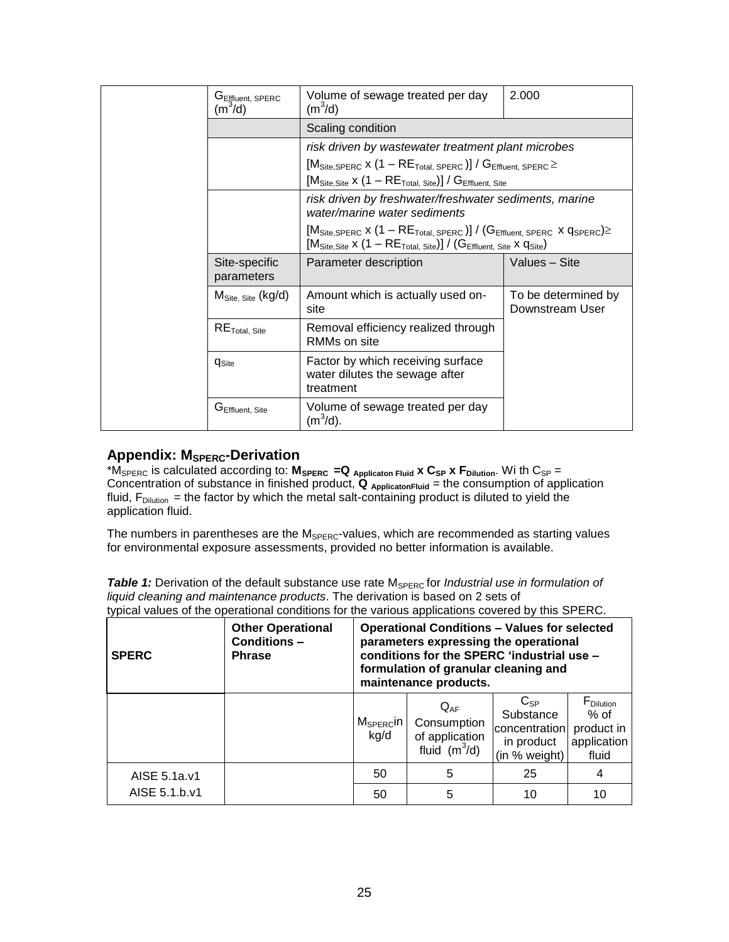|  | G <sub>Effluent, SPERC</sub><br>(m <sup>3</sup> /d) | Volume of sewage treated per day<br>(m <sup>3</sup> /d)                                                                                                                                                                                                                        | 2.000                                  |  |  |  |
|--|-----------------------------------------------------|--------------------------------------------------------------------------------------------------------------------------------------------------------------------------------------------------------------------------------------------------------------------------------|----------------------------------------|--|--|--|
|  |                                                     | Scaling condition                                                                                                                                                                                                                                                              |                                        |  |  |  |
|  |                                                     | risk driven by wastewater treatment plant microbes                                                                                                                                                                                                                             |                                        |  |  |  |
|  |                                                     | $[MSite, SPERC x (1 - RETotal, SPERC)] / GEffluent, SPERC \ge$                                                                                                                                                                                                                 |                                        |  |  |  |
|  |                                                     | $[M_{\text{Site},\text{Site}} \times (1 - \text{RE}_{\text{Total},\text{ Site}})] / G_{\text{Effluent},\text{ Site}}$                                                                                                                                                          |                                        |  |  |  |
|  |                                                     | risk driven by freshwater/freshwater sediments, marine<br>water/marine water sediments                                                                                                                                                                                         |                                        |  |  |  |
|  |                                                     | $[M_{\text{Site,SPERC}} \times (1 - RE_{\text{Total, SPERC}})] / (G_{\text{Effluent, SPERC}} \times q_{\text{SPERC}}) \ge$<br>$[M_{\text{Site},\text{Site}} \times (1 - \mathsf{RE}_{\text{Total},\text{ Site}})] / (G_{\text{Effluent},\text{ Site}} \times q_{\text{Site}})$ |                                        |  |  |  |
|  | Site-specific<br>parameters                         | Parameter description                                                                                                                                                                                                                                                          | Values - Site                          |  |  |  |
|  | $MSite. Site$ (kg/d)                                | Amount which is actually used on-<br>site                                                                                                                                                                                                                                      | To be determined by<br>Downstream User |  |  |  |
|  | $RE$ <sub>Total, Site</sub>                         | Removal efficiency realized through<br>RMMs on site                                                                                                                                                                                                                            |                                        |  |  |  |
|  | <b>C</b> Site                                       | Factor by which receiving surface<br>water dilutes the sewage after<br>treatment                                                                                                                                                                                               |                                        |  |  |  |
|  | G <sub>Effluent, Site</sub>                         | Volume of sewage treated per day<br>$(m^3/d)$ .                                                                                                                                                                                                                                |                                        |  |  |  |

### **Appendix: MSPERC-Derivation**

\*MSPERC is calculated according to: **MSPERC =Q Applicaton Fluid x CSP x FDilution**. Wi th CSP = Concentration of substance in finished product, **Q ApplicatonFluid** = the consumption of application fluid,  $F_{\text{Dilution}}$  = the factor by which the metal salt-containing product is diluted to yield the application fluid.

The numbers in parentheses are the M<sub>SPERC</sub>-values, which are recommended as starting values for environmental exposure assessments, provided no better information is available.

**Table 1:** Derivation of the default substance use rate M<sub>SPERC</sub> for *Industrial use in formulation of liquid cleaning and maintenance products*. The derivation is based on 2 sets of typical values of the operational conditions for the various applications covered by this SPERC.

| <b>SPERC</b>  | <b>Other Operational</b><br>Conditions-<br><b>Phrase</b> | <b>Operational Conditions - Values for selected</b><br>parameters expressing the operational<br>conditions for the SPERC 'industrial use -<br>formulation of granular cleaning and<br>maintenance products. |                                                              |                                                                       |                                                                     |  |  |
|---------------|----------------------------------------------------------|-------------------------------------------------------------------------------------------------------------------------------------------------------------------------------------------------------------|--------------------------------------------------------------|-----------------------------------------------------------------------|---------------------------------------------------------------------|--|--|
|               |                                                          | $M_{\text{SPERC}}$ in  <br>kg/d                                                                                                                                                                             | $Q_{AF}$<br>Consumption<br>of application<br>fluid $(m^3/d)$ | $C_{SP}$<br>Substance<br>concentration<br>in product<br>(in % weight) | F <sub>Dilution</sub><br>% of<br>product in<br>application<br>fluid |  |  |
| AISE 5.1a.v1  |                                                          | 50                                                                                                                                                                                                          | 5                                                            | 25                                                                    | 4                                                                   |  |  |
| AISE 5.1.b.v1 |                                                          | 50                                                                                                                                                                                                          | 5                                                            | 10                                                                    | 10                                                                  |  |  |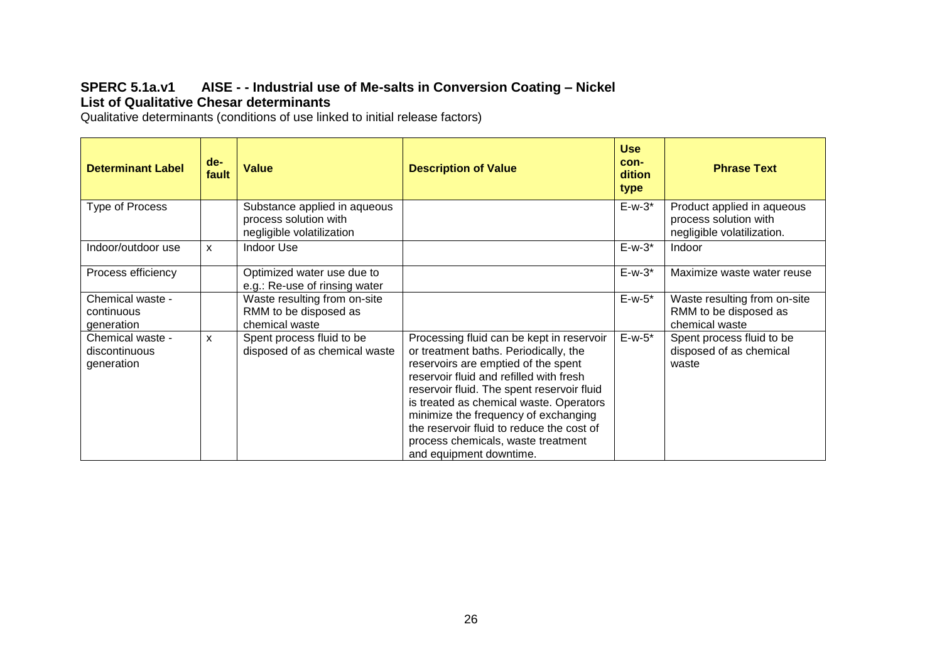### **SPERC 5.1a.v1 AISE - - Industrial use of Me-salts in Conversion Coating – Nickel List of Qualitative Chesar determinants**

Qualitative determinants (conditions of use linked to initial release factors)

| <b>Determinant Label</b>                        | de-<br>fault | <b>Value</b>                                                                       | <b>Description of Value</b>                                                                                                                                                                                                                                                                                                                                                                                         | <b>Use</b><br>con-<br>dition<br>type | <b>Phrase Text</b>                                                                |
|-------------------------------------------------|--------------|------------------------------------------------------------------------------------|---------------------------------------------------------------------------------------------------------------------------------------------------------------------------------------------------------------------------------------------------------------------------------------------------------------------------------------------------------------------------------------------------------------------|--------------------------------------|-----------------------------------------------------------------------------------|
| Type of Process                                 |              | Substance applied in aqueous<br>process solution with<br>negligible volatilization |                                                                                                                                                                                                                                                                                                                                                                                                                     | $E-w-3$ *                            | Product applied in aqueous<br>process solution with<br>negligible volatilization. |
| Indoor/outdoor use                              | $\mathsf{x}$ | <b>Indoor Use</b>                                                                  |                                                                                                                                                                                                                                                                                                                                                                                                                     | $E-w-3$ *                            | Indoor                                                                            |
| Process efficiency                              |              | Optimized water use due to<br>e.g.: Re-use of rinsing water                        |                                                                                                                                                                                                                                                                                                                                                                                                                     | $E-w-3$ *                            | Maximize waste water reuse                                                        |
| Chemical waste -<br>continuous<br>generation    |              | Waste resulting from on-site<br>RMM to be disposed as<br>chemical waste            |                                                                                                                                                                                                                                                                                                                                                                                                                     | $E-w-5$ *                            | Waste resulting from on-site<br>RMM to be disposed as<br>chemical waste           |
| Chemical waste -<br>discontinuous<br>generation | X            | Spent process fluid to be<br>disposed of as chemical waste                         | Processing fluid can be kept in reservoir<br>or treatment baths. Periodically, the<br>reservoirs are emptied of the spent<br>reservoir fluid and refilled with fresh<br>reservoir fluid. The spent reservoir fluid<br>is treated as chemical waste. Operators<br>minimize the frequency of exchanging<br>the reservoir fluid to reduce the cost of<br>process chemicals, waste treatment<br>and equipment downtime. | $E-w-5$ *                            | Spent process fluid to be<br>disposed of as chemical<br>waste                     |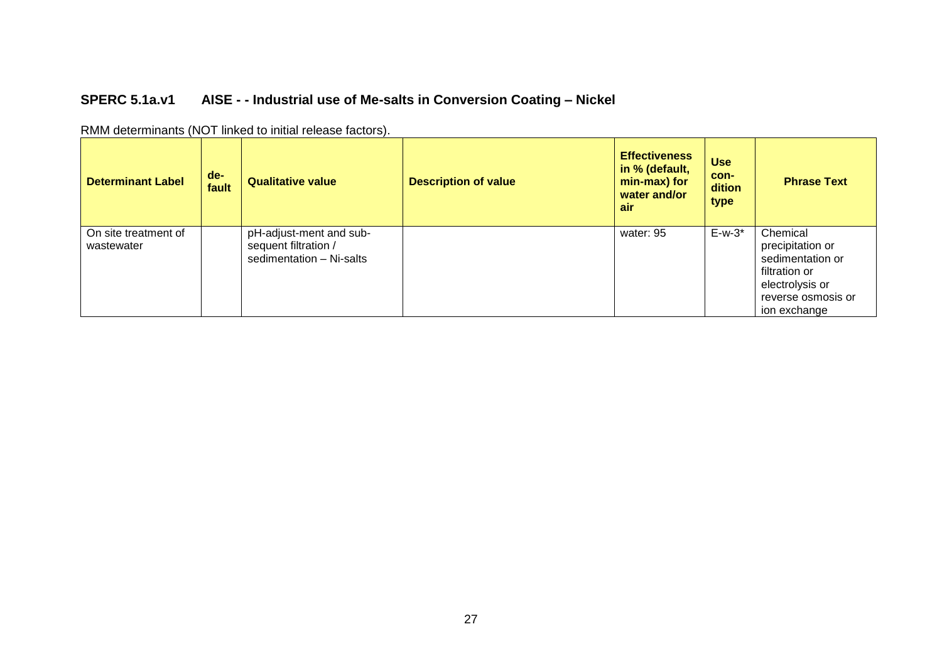# **SPERC 5.1a.v1 AISE - - Industrial use of Me-salts in Conversion Coating – Nickel**

| <b>Determinant Label</b>           | $de-$<br>fault | <b>Qualitative value</b>                                                    | <b>Description of value</b> | <b>Effectiveness</b><br>in % (default,<br>min-max) for<br>water and/or<br>air | <b>Use</b><br>con-<br>dition<br>type | <b>Phrase Text</b>                                                                                                         |
|------------------------------------|----------------|-----------------------------------------------------------------------------|-----------------------------|-------------------------------------------------------------------------------|--------------------------------------|----------------------------------------------------------------------------------------------------------------------------|
| On site treatment of<br>wastewater |                | pH-adjust-ment and sub-<br>sequent filtration /<br>sedimentation - Ni-salts |                             | water: 95                                                                     | $E-w-3$ *                            | Chemical<br>precipitation or<br>sedimentation or<br>filtration or<br>electrolysis or<br>reverse osmosis or<br>ion exchange |

RMM determinants (NOT linked to initial release factors).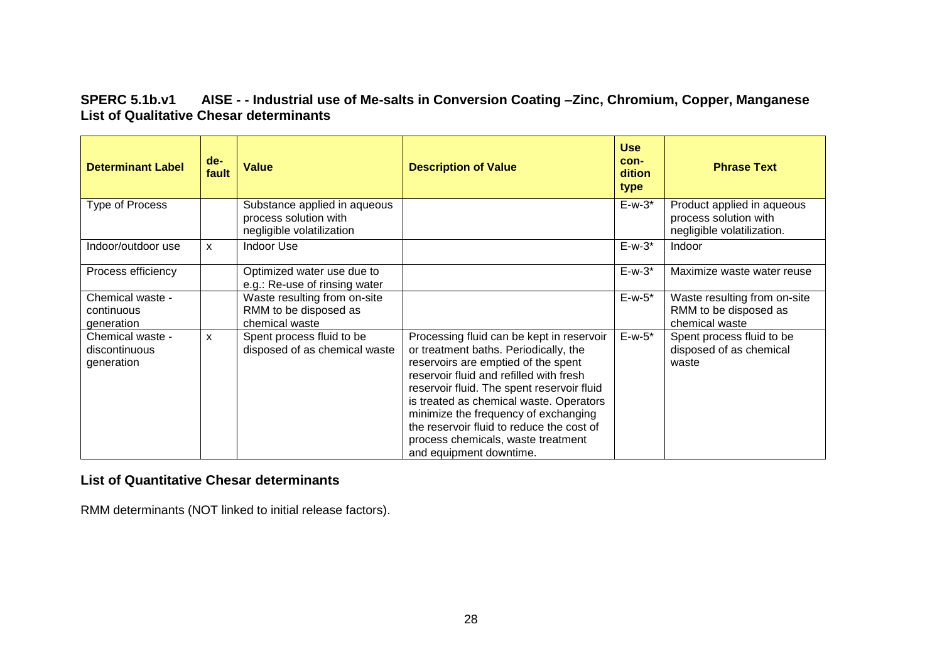### **SPERC 5.1b.v1 AISE - - Industrial use of Me-salts in Conversion Coating –Zinc, Chromium, Copper, Manganese List of Qualitative Chesar determinants**

| <b>Determinant Label</b>                        | $de-$<br>fault | <b>Value</b>                                                                       | <b>Description of Value</b>                                                                                                                                                                                                                                                                                                                                                                                         | <b>Use</b><br>con-<br>dition<br>type | <b>Phrase Text</b>                                                                |
|-------------------------------------------------|----------------|------------------------------------------------------------------------------------|---------------------------------------------------------------------------------------------------------------------------------------------------------------------------------------------------------------------------------------------------------------------------------------------------------------------------------------------------------------------------------------------------------------------|--------------------------------------|-----------------------------------------------------------------------------------|
| Type of Process                                 |                | Substance applied in aqueous<br>process solution with<br>negligible volatilization |                                                                                                                                                                                                                                                                                                                                                                                                                     | $E-w-3$ *                            | Product applied in aqueous<br>process solution with<br>negligible volatilization. |
| Indoor/outdoor use                              | $\mathsf{x}$   | <b>Indoor Use</b>                                                                  |                                                                                                                                                                                                                                                                                                                                                                                                                     | $E-w-3$ *                            | Indoor                                                                            |
| Process efficiency                              |                | Optimized water use due to<br>e.g.: Re-use of rinsing water                        |                                                                                                                                                                                                                                                                                                                                                                                                                     | $E-w-3$ *                            | Maximize waste water reuse                                                        |
| Chemical waste -<br>continuous<br>generation    |                | Waste resulting from on-site<br>RMM to be disposed as<br>chemical waste            |                                                                                                                                                                                                                                                                                                                                                                                                                     | $E-w-5$ *                            | Waste resulting from on-site<br>RMM to be disposed as<br>chemical waste           |
| Chemical waste -<br>discontinuous<br>generation | X              | Spent process fluid to be<br>disposed of as chemical waste                         | Processing fluid can be kept in reservoir<br>or treatment baths. Periodically, the<br>reservoirs are emptied of the spent<br>reservoir fluid and refilled with fresh<br>reservoir fluid. The spent reservoir fluid<br>is treated as chemical waste. Operators<br>minimize the frequency of exchanging<br>the reservoir fluid to reduce the cost of<br>process chemicals, waste treatment<br>and equipment downtime. | $E-w-5$ *                            | Spent process fluid to be<br>disposed of as chemical<br>waste                     |

### **List of Quantitative Chesar determinants**

RMM determinants (NOT linked to initial release factors).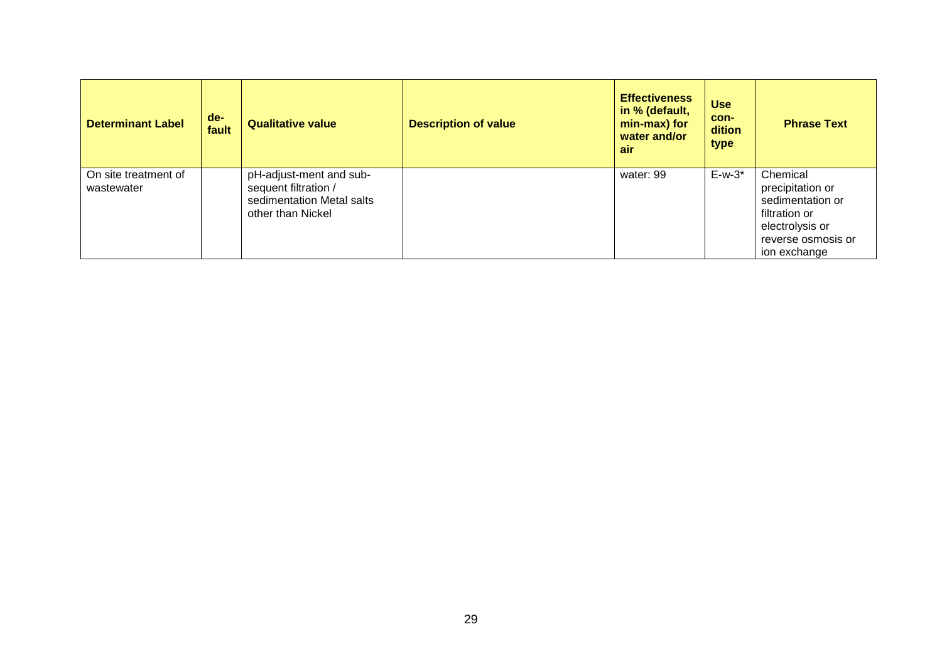| <b>Determinant Label</b>           | $de-$<br>fault | <b>Qualitative value</b>                                                                          | <b>Description of value</b> | <b>Effectiveness</b><br>in % (default,<br>min-max) for<br>water and/or<br>air | <b>Use</b><br>con-<br>dition<br>type | <b>Phrase Text</b>                                                                                                         |
|------------------------------------|----------------|---------------------------------------------------------------------------------------------------|-----------------------------|-------------------------------------------------------------------------------|--------------------------------------|----------------------------------------------------------------------------------------------------------------------------|
| On site treatment of<br>wastewater |                | pH-adjust-ment and sub-<br>sequent filtration /<br>sedimentation Metal salts<br>other than Nickel |                             | water: 99                                                                     | $E-w-3$ *                            | Chemical<br>precipitation or<br>sedimentation or<br>filtration or<br>electrolysis or<br>reverse osmosis or<br>ion exchange |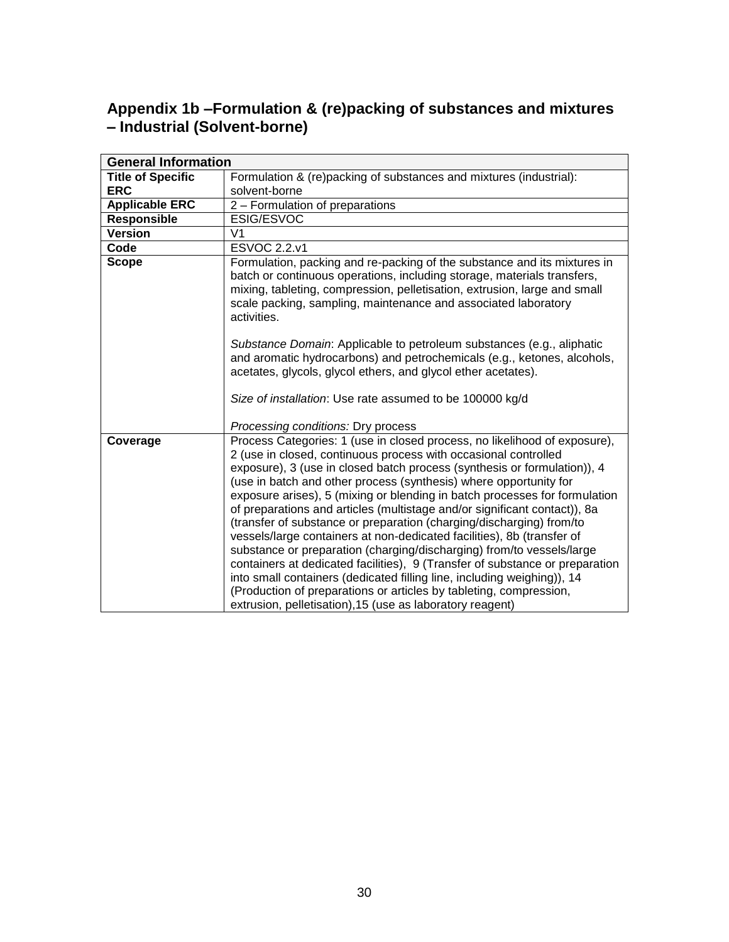# **Appendix 1b –Formulation & (re)packing of substances and mixtures – Industrial (Solvent-borne)**

<span id="page-29-0"></span>

| <b>General Information</b> |                                                                                                                                                                                                                                                                                                                                                                                                                                                                                                                                                                                                                                                                                                                                                                                                                                                                                                                                                                                   |
|----------------------------|-----------------------------------------------------------------------------------------------------------------------------------------------------------------------------------------------------------------------------------------------------------------------------------------------------------------------------------------------------------------------------------------------------------------------------------------------------------------------------------------------------------------------------------------------------------------------------------------------------------------------------------------------------------------------------------------------------------------------------------------------------------------------------------------------------------------------------------------------------------------------------------------------------------------------------------------------------------------------------------|
| <b>Title of Specific</b>   | Formulation & (re)packing of substances and mixtures (industrial):                                                                                                                                                                                                                                                                                                                                                                                                                                                                                                                                                                                                                                                                                                                                                                                                                                                                                                                |
| <b>ERC</b>                 | solvent-borne                                                                                                                                                                                                                                                                                                                                                                                                                                                                                                                                                                                                                                                                                                                                                                                                                                                                                                                                                                     |
| <b>Applicable ERC</b>      | 2 - Formulation of preparations                                                                                                                                                                                                                                                                                                                                                                                                                                                                                                                                                                                                                                                                                                                                                                                                                                                                                                                                                   |
| <b>Responsible</b>         | ESIG/ESVOC                                                                                                                                                                                                                                                                                                                                                                                                                                                                                                                                                                                                                                                                                                                                                                                                                                                                                                                                                                        |
| <b>Version</b>             | V <sub>1</sub>                                                                                                                                                                                                                                                                                                                                                                                                                                                                                                                                                                                                                                                                                                                                                                                                                                                                                                                                                                    |
| Code                       | <b>ESVOC 2.2.v1</b>                                                                                                                                                                                                                                                                                                                                                                                                                                                                                                                                                                                                                                                                                                                                                                                                                                                                                                                                                               |
| <b>Scope</b>               | Formulation, packing and re-packing of the substance and its mixtures in<br>batch or continuous operations, including storage, materials transfers,<br>mixing, tableting, compression, pelletisation, extrusion, large and small<br>scale packing, sampling, maintenance and associated laboratory<br>activities.<br>Substance Domain: Applicable to petroleum substances (e.g., aliphatic<br>and aromatic hydrocarbons) and petrochemicals (e.g., ketones, alcohols,<br>acetates, glycols, glycol ethers, and glycol ether acetates).                                                                                                                                                                                                                                                                                                                                                                                                                                            |
|                            | Size of installation: Use rate assumed to be 100000 kg/d<br>Processing conditions: Dry process                                                                                                                                                                                                                                                                                                                                                                                                                                                                                                                                                                                                                                                                                                                                                                                                                                                                                    |
| Coverage                   | Process Categories: 1 (use in closed process, no likelihood of exposure),<br>2 (use in closed, continuous process with occasional controlled<br>exposure), 3 (use in closed batch process (synthesis or formulation)), 4<br>(use in batch and other process (synthesis) where opportunity for<br>exposure arises), 5 (mixing or blending in batch processes for formulation<br>of preparations and articles (multistage and/or significant contact)), 8a<br>(transfer of substance or preparation (charging/discharging) from/to<br>vessels/large containers at non-dedicated facilities), 8b (transfer of<br>substance or preparation (charging/discharging) from/to vessels/large<br>containers at dedicated facilities), 9 (Transfer of substance or preparation<br>into small containers (dedicated filling line, including weighing)), 14<br>(Production of preparations or articles by tableting, compression,<br>extrusion, pelletisation), 15 (use as laboratory reagent) |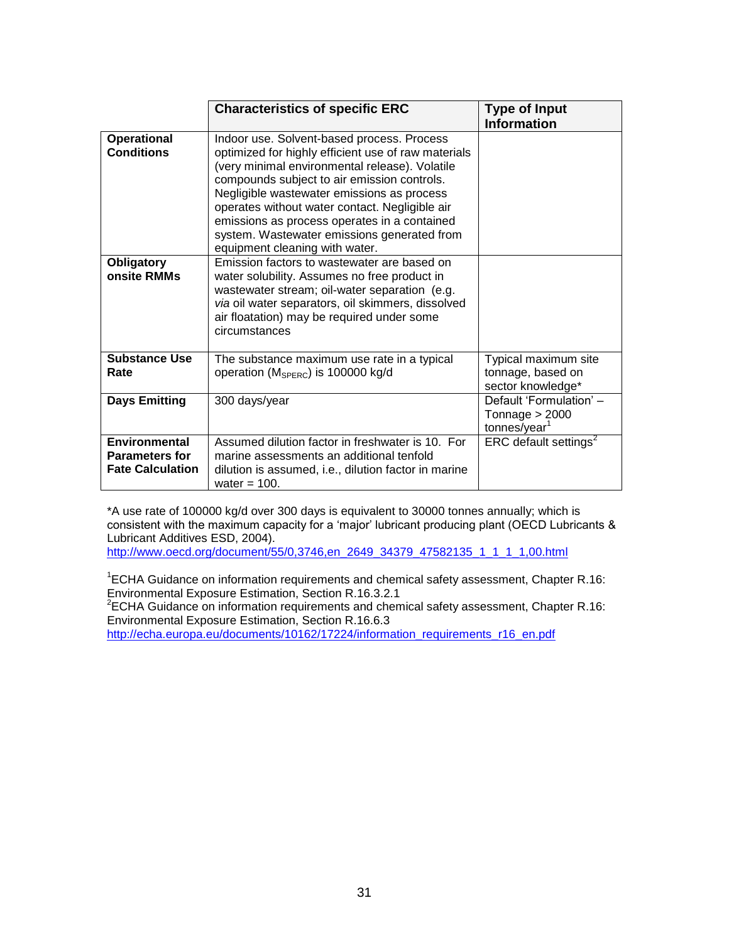|                                                                   | <b>Characteristics of specific ERC</b>                                                                                                                                                                                                                                                                                                                                                                                              | <b>Type of Input</b>                                                    |
|-------------------------------------------------------------------|-------------------------------------------------------------------------------------------------------------------------------------------------------------------------------------------------------------------------------------------------------------------------------------------------------------------------------------------------------------------------------------------------------------------------------------|-------------------------------------------------------------------------|
|                                                                   |                                                                                                                                                                                                                                                                                                                                                                                                                                     | <b>Information</b>                                                      |
| <b>Operational</b><br><b>Conditions</b>                           | Indoor use. Solvent-based process. Process<br>optimized for highly efficient use of raw materials<br>(very minimal environmental release). Volatile<br>compounds subject to air emission controls.<br>Negligible wastewater emissions as process<br>operates without water contact. Negligible air<br>emissions as process operates in a contained<br>system. Wastewater emissions generated from<br>equipment cleaning with water. |                                                                         |
| <b>Obligatory</b><br>onsite RMMs                                  | Emission factors to wastewater are based on<br>water solubility. Assumes no free product in<br>wastewater stream; oil-water separation (e.g.<br>via oil water separators, oil skimmers, dissolved<br>air floatation) may be required under some<br>circumstances                                                                                                                                                                    |                                                                         |
| <b>Substance Use</b><br>Rate                                      | The substance maximum use rate in a typical<br>operation (M <sub>SPERC</sub> ) is 100000 kg/d                                                                                                                                                                                                                                                                                                                                       | Typical maximum site<br>tonnage, based on<br>sector knowledge*          |
| <b>Days Emitting</b>                                              | 300 days/year                                                                                                                                                                                                                                                                                                                                                                                                                       | Default 'Formulation' -<br>Tonnage $> 2000$<br>tonnes/year <sup>1</sup> |
| Environmental<br><b>Parameters for</b><br><b>Fate Calculation</b> | Assumed dilution factor in freshwater is 10. For<br>marine assessments an additional tenfold<br>dilution is assumed, i.e., dilution factor in marine<br>water = $100$ .                                                                                                                                                                                                                                                             | ERC default settings <sup>2</sup>                                       |

\*A use rate of 100000 kg/d over 300 days is equivalent to 30000 tonnes annually; which is consistent with the maximum capacity for a 'major' lubricant producing plant (OECD Lubricants & Lubricant Additives ESD, 2004).

[http://www.oecd.org/document/55/0,3746,en\\_2649\\_34379\\_47582135\\_1\\_1\\_1\\_1,00.html](http://www.oecd.org/document/55/0,3746,en_2649_34379_47582135_1_1_1_1,00.html)

<sup>1</sup>ECHA Guidance on information requirements and chemical safety assessment, Chapter R.16: Environmental Exposure Estimation, Section R.16.3.2.1

 $2$ ECHA Guidance on information requirements and chemical safety assessment, Chapter R.16: Environmental Exposure Estimation, Section R.16.6.3

[http://echa.europa.eu/documents/10162/17224/information\\_requirements\\_r16\\_en.pdf](http://echa.europa.eu/documents/10162/17224/information_requirements_r16_en.pdf)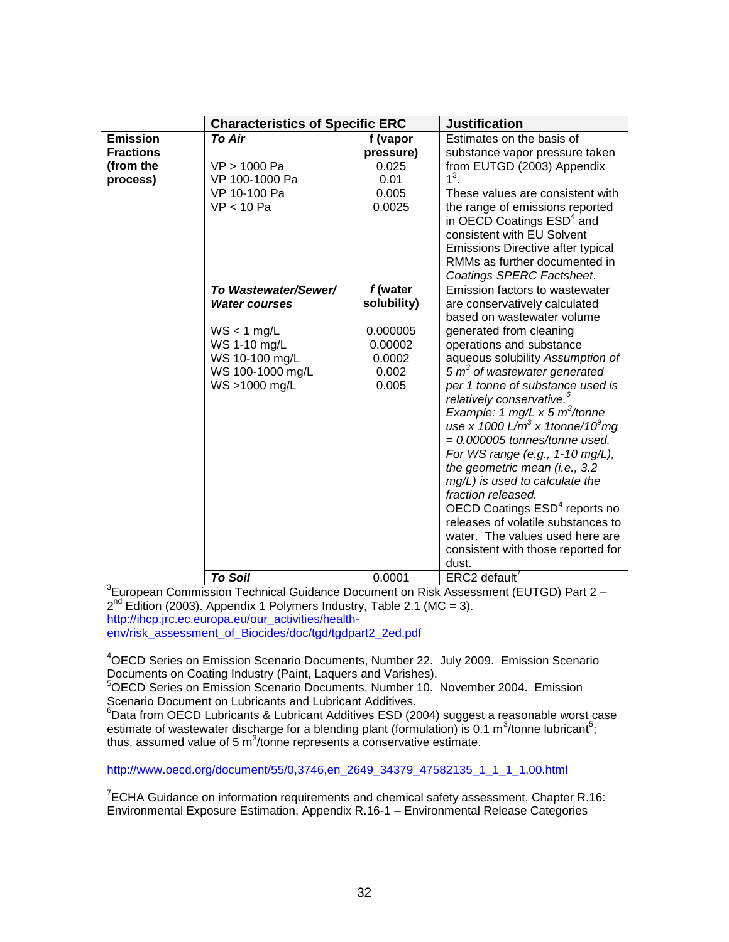|                  | <b>Characteristics of Specific ERC</b> |                   | <b>Justification</b>                                         |
|------------------|----------------------------------------|-------------------|--------------------------------------------------------------|
| <b>Emission</b>  | <b>To Air</b>                          | f (vapor          | Estimates on the basis of                                    |
| <b>Fractions</b> |                                        | pressure)         | substance vapor pressure taken                               |
| (from the        | VP > 1000 Pa                           | 0.025             | from EUTGD (2003) Appendix                                   |
| process)         | VP 100-1000 Pa                         | 0.01              | $1^3$ .                                                      |
|                  | VP 10-100 Pa                           | 0.005             | These values are consistent with                             |
|                  | VP < 10 Pa                             | 0.0025            | the range of emissions reported                              |
|                  |                                        |                   | in OECD Coatings ESD <sup>4</sup> and                        |
|                  |                                        |                   | consistent with EU Solvent                                   |
|                  |                                        |                   | Emissions Directive after typical                            |
|                  |                                        |                   | RMMs as further documented in                                |
|                  |                                        |                   | Coatings SPERC Factsheet.                                    |
|                  | To Wastewater/Sewer/                   | f (water          | Emission factors to wastewater                               |
|                  | <b>Water courses</b>                   | solubility)       | are conservatively calculated                                |
|                  |                                        |                   | based on wastewater volume                                   |
|                  | $WS < 1$ mg/L                          | 0.000005          | generated from cleaning                                      |
|                  | WS 1-10 mg/L<br>WS 10-100 mg/L         | 0.00002<br>0.0002 | operations and substance<br>aqueous solubility Assumption of |
|                  | WS 100-1000 mg/L                       | 0.002             | 5 $m3$ of wastewater generated                               |
|                  | WS >1000 mg/L                          | 0.005             | per 1 tonne of substance used is                             |
|                  |                                        |                   | relatively conservative. <sup>6</sup>                        |
|                  |                                        |                   | Example: 1 mg/L $\times$ 5 m <sup>3</sup> /tonne             |
|                  |                                        |                   | use x 1000 L/m <sup>3</sup> x 1tonne/10 <sup>9</sup> mg      |
|                  |                                        |                   | $= 0.000005$ tonnes/tonne used.                              |
|                  |                                        |                   | For WS range (e.g., 1-10 mg/L),                              |
|                  |                                        |                   | the geometric mean (i.e., 3.2)                               |
|                  |                                        |                   | mg/L) is used to calculate the                               |
|                  |                                        |                   | fraction released.                                           |
|                  |                                        |                   | OECD Coatings ESD <sup>4</sup> reports no                    |
|                  |                                        |                   | releases of volatile substances to                           |
|                  |                                        |                   | water. The values used here are                              |
|                  |                                        |                   | consistent with those reported for                           |
|                  |                                        |                   | dust.                                                        |
|                  | <b>To Soil</b>                         | 0.0001            | ERC2 default                                                 |

<sup>3</sup>European Commission Technical Guidance Document on Risk Assessment (EUTGD) Part 2 - $2^{nd}$  Edition (2003). Appendix 1 Polymers Industry, Table 2.1 (MC = 3). [http://ihcp.jrc.ec.europa.eu/our\\_activities/health](http://ihcp.jrc.ec.europa.eu/our_activities/health-env/risk_assessment_of_Biocides/doc/tgd/tgdpart2_2ed.pdf)[env/risk\\_assessment\\_of\\_Biocides/doc/tgd/tgdpart2\\_2ed.pdf](http://ihcp.jrc.ec.europa.eu/our_activities/health-env/risk_assessment_of_Biocides/doc/tgd/tgdpart2_2ed.pdf)

<sup>4</sup>OECD Series on Emission Scenario Documents, Number 22. July 2009. Emission Scenario Documents on Coating Industry (Paint, Laquers and Varishes).

<sup>5</sup>OECD Series on Emission Scenario Documents, Number 10. November 2004. Emission Scenario Document on Lubricants and Lubricant Additives.

 $6$ Data from OECD Lubricants & Lubricant Additives ESD (2004) suggest a reasonable worst case estimate of wastewater discharge for a blending plant (formulation) is 0.1 m<sup>3</sup>/tonne lubricant<sup>5</sup>; thus, assumed value of 5  $m^3$ /tonne represents a conservative estimate.

[http://www.oecd.org/document/55/0,3746,en\\_2649\\_34379\\_47582135\\_1\\_1\\_1\\_1,00.html](http://www.oecd.org/document/55/0,3746,en_2649_34379_47582135_1_1_1_1,00.html)

 $7$ ECHA Guidance on information requirements and chemical safety assessment, Chapter R.16: Environmental Exposure Estimation, Appendix R.16-1 – Environmental Release Categories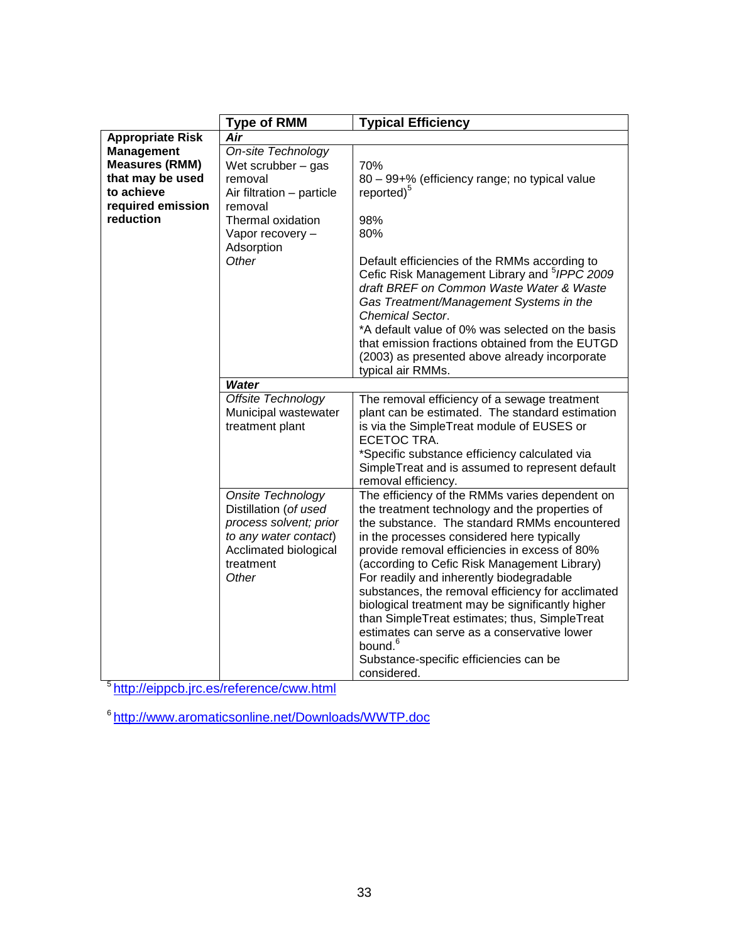|                         | <b>Type of RMM</b>                                                                                                                           | <b>Typical Efficiency</b>                                                                                                                                                                                                                                                                                                                                                                                                                                                                                                                                                                                             |
|-------------------------|----------------------------------------------------------------------------------------------------------------------------------------------|-----------------------------------------------------------------------------------------------------------------------------------------------------------------------------------------------------------------------------------------------------------------------------------------------------------------------------------------------------------------------------------------------------------------------------------------------------------------------------------------------------------------------------------------------------------------------------------------------------------------------|
| <b>Appropriate Risk</b> | Air                                                                                                                                          |                                                                                                                                                                                                                                                                                                                                                                                                                                                                                                                                                                                                                       |
| <b>Management</b>       | On-site Technology                                                                                                                           |                                                                                                                                                                                                                                                                                                                                                                                                                                                                                                                                                                                                                       |
| <b>Measures (RMM)</b>   | Wet scrubber $-$ gas                                                                                                                         | 70%                                                                                                                                                                                                                                                                                                                                                                                                                                                                                                                                                                                                                   |
| that may be used        | removal                                                                                                                                      | 80 - 99+% (efficiency range; no typical value                                                                                                                                                                                                                                                                                                                                                                                                                                                                                                                                                                         |
| to achieve              | Air filtration - particle                                                                                                                    | reported) <sup>5</sup>                                                                                                                                                                                                                                                                                                                                                                                                                                                                                                                                                                                                |
| required emission       | removal                                                                                                                                      |                                                                                                                                                                                                                                                                                                                                                                                                                                                                                                                                                                                                                       |
| reduction               | Thermal oxidation                                                                                                                            | 98%                                                                                                                                                                                                                                                                                                                                                                                                                                                                                                                                                                                                                   |
|                         | Vapor recovery -                                                                                                                             | 80%                                                                                                                                                                                                                                                                                                                                                                                                                                                                                                                                                                                                                   |
|                         | Adsorption                                                                                                                                   |                                                                                                                                                                                                                                                                                                                                                                                                                                                                                                                                                                                                                       |
|                         | Other                                                                                                                                        | Default efficiencies of the RMMs according to<br>Cefic Risk Management Library and <sup>5</sup> IPPC 2009<br>draft BREF on Common Waste Water & Waste<br>Gas Treatment/Management Systems in the<br><b>Chemical Sector.</b>                                                                                                                                                                                                                                                                                                                                                                                           |
|                         |                                                                                                                                              | *A default value of 0% was selected on the basis<br>that emission fractions obtained from the EUTGD<br>(2003) as presented above already incorporate<br>typical air RMMs.                                                                                                                                                                                                                                                                                                                                                                                                                                             |
|                         | <b>Water</b>                                                                                                                                 |                                                                                                                                                                                                                                                                                                                                                                                                                                                                                                                                                                                                                       |
|                         | Offsite Technology<br>Municipal wastewater<br>treatment plant                                                                                | The removal efficiency of a sewage treatment<br>plant can be estimated. The standard estimation<br>is via the SimpleTreat module of EUSES or<br>ECETOC TRA.<br>*Specific substance efficiency calculated via                                                                                                                                                                                                                                                                                                                                                                                                          |
|                         |                                                                                                                                              | SimpleTreat and is assumed to represent default<br>removal efficiency.                                                                                                                                                                                                                                                                                                                                                                                                                                                                                                                                                |
|                         | Onsite Technology<br>Distillation (of used<br>process solvent; prior<br>to any water contact)<br>Acclimated biological<br>treatment<br>Other | The efficiency of the RMMs varies dependent on<br>the treatment technology and the properties of<br>the substance. The standard RMMs encountered<br>in the processes considered here typically<br>provide removal efficiencies in excess of 80%<br>(according to Cefic Risk Management Library)<br>For readily and inherently biodegradable<br>substances, the removal efficiency for acclimated<br>biological treatment may be significantly higher<br>than SimpleTreat estimates; thus, SimpleTreat<br>estimates can serve as a conservative lower<br>bound. <sup>6</sup><br>Substance-specific efficiencies can be |
|                         |                                                                                                                                              | considered.                                                                                                                                                                                                                                                                                                                                                                                                                                                                                                                                                                                                           |

<sup>5</sup><http://eippcb.jrc.es/reference/cww.html>

<sup>6</sup><http://www.aromaticsonline.net/Downloads/WWTP.doc>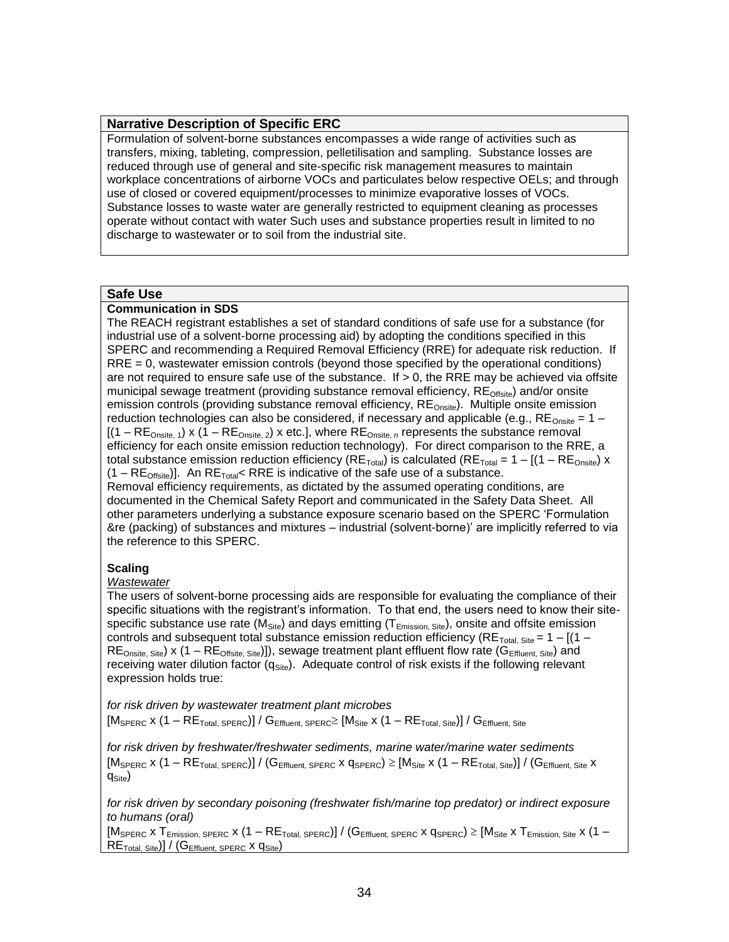#### **Narrative Description of Specific ERC**

Formulation of solvent-borne substances encompasses a wide range of activities such as transfers, mixing, tableting, compression, pelletilisation and sampling. Substance losses are reduced through use of general and site-specific risk management measures to maintain workplace concentrations of airborne VOCs and particulates below respective OELs; and through use of closed or covered equipment/processes to minimize evaporative losses of VOCs. Substance losses to waste water are generally restricted to equipment cleaning as processes operate without contact with water Such uses and substance properties result in limited to no discharge to wastewater or to soil from the industrial site.

#### **Safe Use**

#### **Communication in SDS**

The REACH registrant establishes a set of standard conditions of safe use for a substance (for industrial use of a solvent-borne processing aid) by adopting the conditions specified in this SPERC and recommending a Required Removal Efficiency (RRE) for adequate risk reduction. If RRE = 0, wastewater emission controls (beyond those specified by the operational conditions) are not required to ensure safe use of the substance. If  $> 0$ , the RRE may be achieved via offsite municipal sewage treatment (providing substance removal efficiency, RE<sub>Offsite</sub>) and/or onsite emission controls (providing substance removal efficiency,  $RE_{Onsite}$ ). Multiple onsite emission reduction technologies can also be considered, if necessary and applicable (e.g.,  $RE_{Onsite} = 1 [(1 - RE_{Onsite, 1}) \times (1 - RE_{Onsite, 2}) \times etc.]$ , where  $RE_{Onsite, n}$  represents the substance removal efficiency for each onsite emission reduction technology). For direct comparison to the RRE, a total substance emission reduction efficiency (RE<sub>Total</sub>) is calculated (RE<sub>Total</sub> =  $1 - [(1 - RE_{Onsite}) \times$  $(1 - RE<sub>Official</sub>)$ . An RE<sub>Total</sub> RRE is indicative of the safe use of a substance. Removal efficiency requirements, as dictated by the assumed operating conditions, are documented in the Chemical Safety Report and communicated in the Safety Data Sheet. All other parameters underlying a substance exposure scenario based on the SPERC 'Formulation

&re (packing) of substances and mixtures – industrial (solvent-borne)' are implicitly referred to via the reference to this SPERC.

#### **Scaling**

#### *Wastewater*

The users of solvent-borne processing aids are responsible for evaluating the compliance of their specific situations with the registrant's information. To that end, the users need to know their sitespecific substance use rate ( $M<sub>Site</sub>$ ) and days emitting ( $T<sub>Emission</sub>$ , site), onsite and offsite emission controls and subsequent total substance emission reduction efficiency (RE<sub>Total, Site</sub> =  $1 - [(1 RE_{Onsite, Site}$ ) x (1 –  $RE_{Offsite, Site}$ )]), sewage treatment plant effluent flow rate ( $G_{Effluent, Site}$ ) and receiving water dilution factor  $(q<sub>Site</sub>)$ . Adequate control of risk exists if the following relevant expression holds true:

*for risk driven by wastewater treatment plant microbes*  $[M_{\text{SPERC}} \times (1 - \text{RE}_{\text{Total, SPERC}}] / G_{\text{Effluent, SPERC}} \geq [M_{\text{Site}} \times (1 - \text{RE}_{\text{Total, Site}}] / G_{\text{Effluent, Site}}$ 

*for risk driven by freshwater/freshwater sediments, marine water/marine water sediments*  $[M_{\rm SPERC} \times (1 - {\sf RE}_{\rm Total, SPERC})] / ({\sf G}_{\rm Effluent, SPERC} \times {\sf G}_{\rm SPERC}) \geq [{\sf M}_{\rm Site} \times (1 - {\sf RE}_{\rm Total, Site})] / ({\sf G}_{\rm Effluent, Site} \times {\sf G}_{\rm SPERC})$  $q_{\rm Site}$ )

*for risk driven by secondary poisoning (freshwater fish/marine top predator) or indirect exposure to humans (oral)*

 $[M_{\text{SPERC}} \times T_{\text{Emission. SPERC}} \times (1 - \text{RE}_{\text{Total. SPERC}})] / (G_{\text{Effuent. SPERC}} \times q_{\text{SPERC}}) \geq [M_{\text{Site}} \times T_{\text{Emission. Site}} \times (1 - \text{RE}_{\text{Total}})]/ (G_{\text{Effuent. SPERC}} \times q_{\text{SPERC}})$  $RE<sub>Total, Site</sub>$ ] / (G<sub>Effluent, SPERC</sub> x  $q<sub>Site</sub>$ )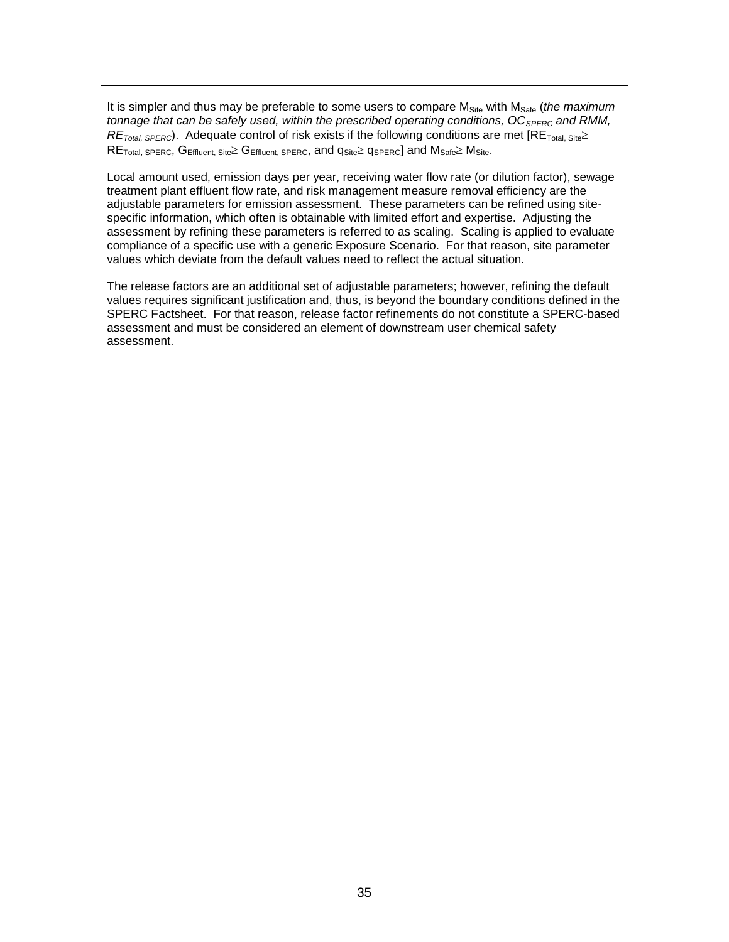It is simpler and thus may be preferable to some users to compare M<sub>Site</sub> with M<sub>Safe</sub> (*the maximum tonnage that can be safely used, within the prescribed operating conditions, OC*<sub>SPERC</sub> and RMM,  $RE<sub>Total, SPERC</sub>$ ). Adequate control of risk exists if the following conditions are met  $[RE<sub>Total, Site</sub>]$  $RE_{Total, SPERC}$ ,  $G_{Effuent, Site} \geq G_{Effuent, SPERC}$ , and  $q_{Site} \geq q_{SPERC}$ ] and  $M_{Safe} \geq M_{Site}$ .

Local amount used, emission days per year, receiving water flow rate (or dilution factor), sewage treatment plant effluent flow rate, and risk management measure removal efficiency are the adjustable parameters for emission assessment. These parameters can be refined using sitespecific information, which often is obtainable with limited effort and expertise. Adjusting the assessment by refining these parameters is referred to as scaling. Scaling is applied to evaluate compliance of a specific use with a generic Exposure Scenario. For that reason, site parameter values which deviate from the default values need to reflect the actual situation.

The release factors are an additional set of adjustable parameters; however, refining the default values requires significant justification and, thus, is beyond the boundary conditions defined in the SPERC Factsheet. For that reason, release factor refinements do not constitute a SPERC-based assessment and must be considered an element of downstream user chemical safety assessment.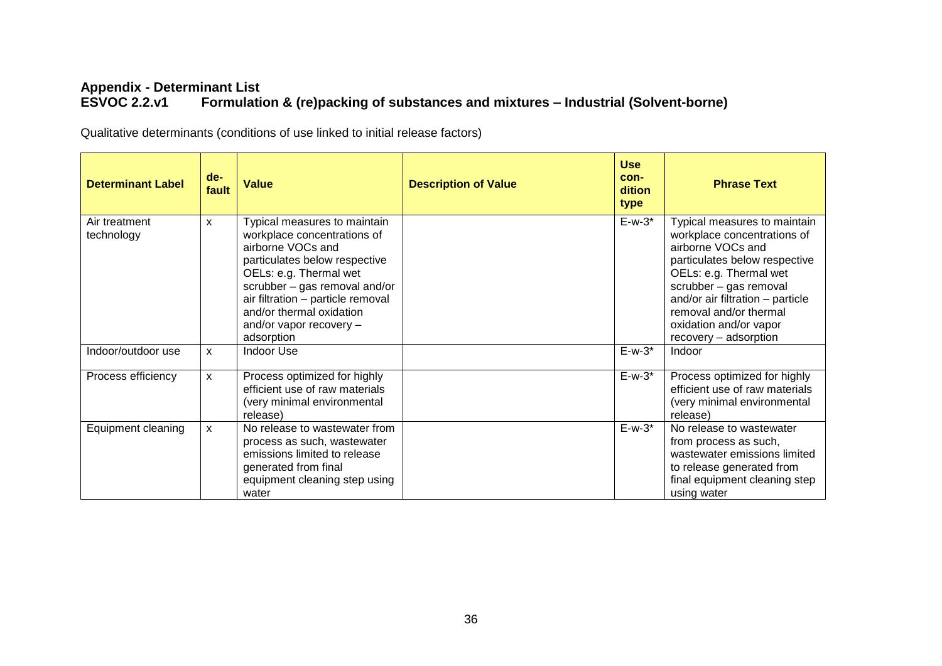### **Appendix - Determinant List Formulation & (re)packing of substances and mixtures – Industrial (Solvent-borne)**

Qualitative determinants (conditions of use linked to initial release factors)

| <b>Determinant Label</b>    | $de-$<br>fault | <b>Value</b>                                                                                                                                                                                                                                                                           | <b>Description of Value</b> | <b>Use</b><br>con-<br>dition<br>type | <b>Phrase Text</b>                                                                                                                                                                                                                                                                     |
|-----------------------------|----------------|----------------------------------------------------------------------------------------------------------------------------------------------------------------------------------------------------------------------------------------------------------------------------------------|-----------------------------|--------------------------------------|----------------------------------------------------------------------------------------------------------------------------------------------------------------------------------------------------------------------------------------------------------------------------------------|
| Air treatment<br>technology | $\mathsf{x}$   | Typical measures to maintain<br>workplace concentrations of<br>airborne VOCs and<br>particulates below respective<br>OELs: e.g. Thermal wet<br>scrubber - gas removal and/or<br>air filtration - particle removal<br>and/or thermal oxidation<br>and/or vapor recovery -<br>adsorption |                             | $E-w-3$ *                            | Typical measures to maintain<br>workplace concentrations of<br>airborne VOCs and<br>particulates below respective<br>OELs: e.g. Thermal wet<br>scrubber - gas removal<br>and/or air filtration - particle<br>removal and/or thermal<br>oxidation and/or vapor<br>recovery - adsorption |
| Indoor/outdoor use          | X              | <b>Indoor Use</b>                                                                                                                                                                                                                                                                      |                             | $E-w-3$ *                            | Indoor                                                                                                                                                                                                                                                                                 |
| Process efficiency          | $\mathsf{x}$   | Process optimized for highly<br>efficient use of raw materials<br>(very minimal environmental<br>release)                                                                                                                                                                              |                             | $E-w-3*$                             | Process optimized for highly<br>efficient use of raw materials<br>(very minimal environmental<br>release)                                                                                                                                                                              |
| Equipment cleaning          | $\mathsf{x}$   | No release to wastewater from<br>process as such, wastewater<br>emissions limited to release<br>generated from final<br>equipment cleaning step using<br>water                                                                                                                         |                             | $E-w-3$ *                            | No release to wastewater<br>from process as such,<br>wastewater emissions limited<br>to release generated from<br>final equipment cleaning step<br>using water                                                                                                                         |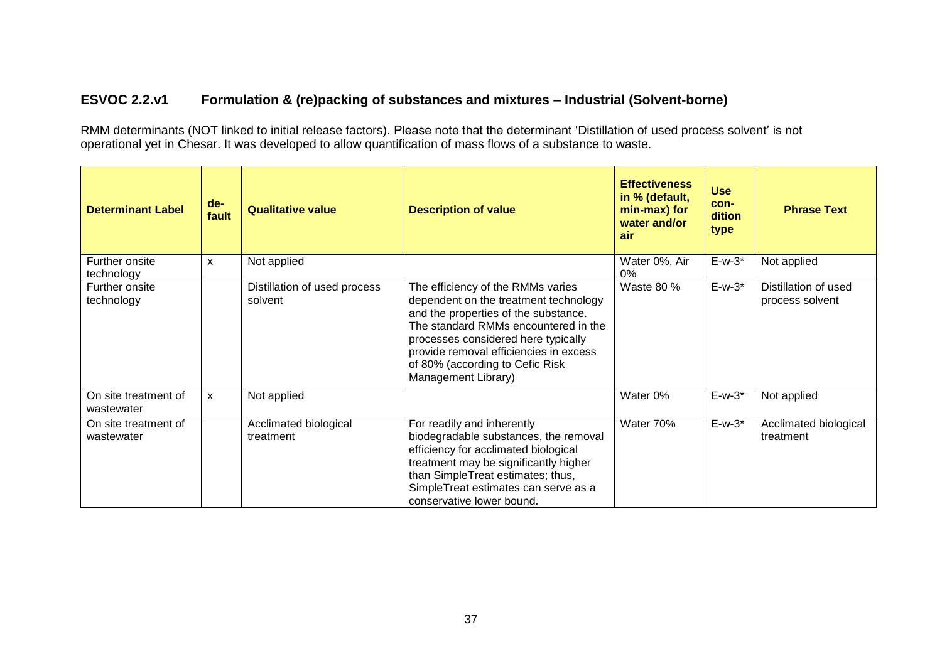### **ESVOC 2.2.v1 Formulation & (re)packing of substances and mixtures – Industrial (Solvent-borne)**

RMM determinants (NOT linked to initial release factors). Please note that the determinant 'Distillation of used process solvent' is not operational yet in Chesar. It was developed to allow quantification of mass flows of a substance to waste.

| <b>Determinant Label</b>           | $de-$<br>fault | <b>Qualitative value</b>                | <b>Description of value</b>                                                                                                                                                                                                                                                                           | <b>Effectiveness</b><br>in % (default,<br>min-max) for<br>water and/or<br>air | <b>Use</b><br>con-<br>dition<br>type | <b>Phrase Text</b>                      |
|------------------------------------|----------------|-----------------------------------------|-------------------------------------------------------------------------------------------------------------------------------------------------------------------------------------------------------------------------------------------------------------------------------------------------------|-------------------------------------------------------------------------------|--------------------------------------|-----------------------------------------|
| Further onsite<br>technology       | X              | Not applied                             |                                                                                                                                                                                                                                                                                                       | Water 0%, Air<br>0%                                                           | $E-w-3*$                             | Not applied                             |
| Further onsite<br>technology       |                | Distillation of used process<br>solvent | The efficiency of the RMMs varies<br>dependent on the treatment technology<br>and the properties of the substance.<br>The standard RMMs encountered in the<br>processes considered here typically<br>provide removal efficiencies in excess<br>of 80% (according to Cefic Risk<br>Management Library) | Waste 80 %                                                                    | $E-w-3*$                             | Distillation of used<br>process solvent |
| On site treatment of<br>wastewater | $\mathsf{x}$   | Not applied                             |                                                                                                                                                                                                                                                                                                       | Water 0%                                                                      | $E-w-3*$                             | Not applied                             |
| On site treatment of<br>wastewater |                | Acclimated biological<br>treatment      | For readily and inherently<br>biodegradable substances, the removal<br>efficiency for acclimated biological<br>treatment may be significantly higher<br>than SimpleTreat estimates; thus,<br>SimpleTreat estimates can serve as a<br>conservative lower bound.                                        | Water 70%                                                                     | $E-w-3*$                             | Acclimated biological<br>treatment      |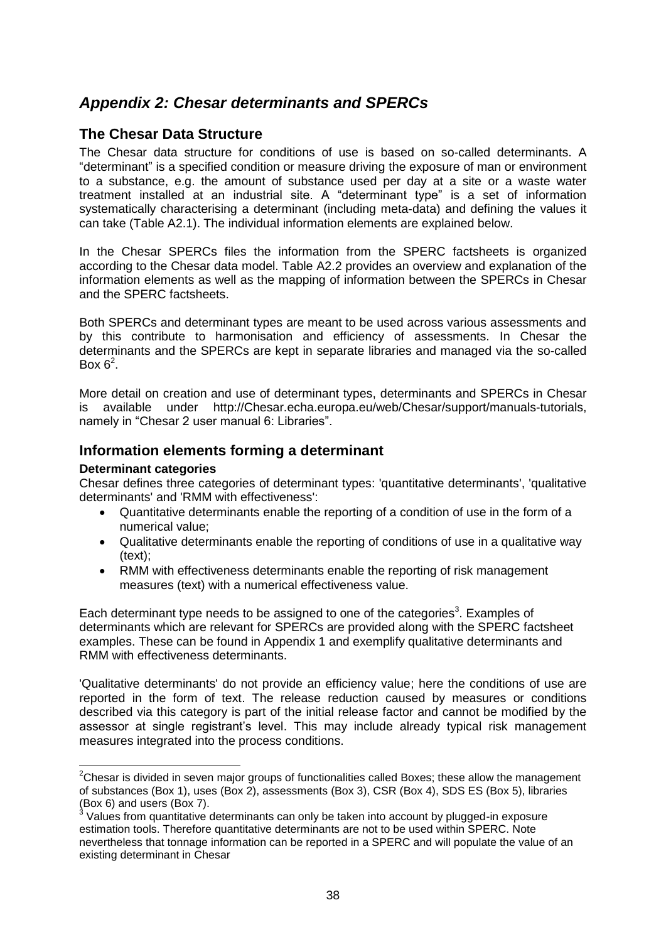# <span id="page-37-0"></span>*Appendix 2: Chesar determinants and SPERCs*

### <span id="page-37-1"></span>**The Chesar Data Structure**

The Chesar data structure for conditions of use is based on so-called determinants. A "determinant" is a specified condition or measure driving the exposure of man or environment to a substance, e.g. the amount of substance used per day at a site or a waste water treatment installed at an industrial site. A "determinant type" is a set of information systematically characterising a determinant (including meta-data) and defining the values it can take (Table A2.1). The individual information elements are explained below.

In the Chesar SPERCs files the information from the SPERC factsheets is organized according to the Chesar data model. Table A2.2 provides an overview and explanation of the information elements as well as the mapping of information between the SPERCs in Chesar and the SPERC factsheets.

Both SPERCs and determinant types are meant to be used across various assessments and by this contribute to harmonisation and efficiency of assessments. In Chesar the determinants and the SPERCs are kept in separate libraries and managed via the so-called Box  $6^2$ .

More detail on creation and use of determinant types, determinants and SPERCs in Chesar is available under http://Chesar.echa.europa.eu/web/Chesar/support/manuals-tutorials, namely in "Chesar 2 user manual 6: Libraries".

### <span id="page-37-2"></span>**Information elements forming a determinant**

### **Determinant categories**

Chesar defines three categories of determinant types: 'quantitative determinants', 'qualitative determinants' and 'RMM with effectiveness':

- Quantitative determinants enable the reporting of a condition of use in the form of a numerical value;
- Qualitative determinants enable the reporting of conditions of use in a qualitative way (text);
- RMM with effectiveness determinants enable the reporting of risk management measures (text) with a numerical effectiveness value.

Each determinant type needs to be assigned to one of the categories<sup>3</sup>. Examples of determinants which are relevant for SPERCs are provided along with the SPERC factsheet examples. These can be found in Appendix 1 and exemplify qualitative determinants and RMM with effectiveness determinants.

'Qualitative determinants' do not provide an efficiency value; here the conditions of use are reported in the form of text. The release reduction caused by measures or conditions described via this category is part of the initial release factor and cannot be modified by the assessor at single registrant's level. This may include already typical risk management measures integrated into the process conditions.

 $2$ Chesar is divided in seven major groups of functionalities called Boxes; these allow the management of substances (Box 1), uses (Box 2), assessments (Box 3), CSR (Box 4), SDS ES (Box 5), libraries (Box 6) and users (Box 7).<br> $3 \text{ Vol}$  use from quantitative

Values from quantitative determinants can only be taken into account by plugged-in exposure estimation tools. Therefore quantitative determinants are not to be used within SPERC. Note nevertheless that tonnage information can be reported in a SPERC and will populate the value of an existing determinant in Chesar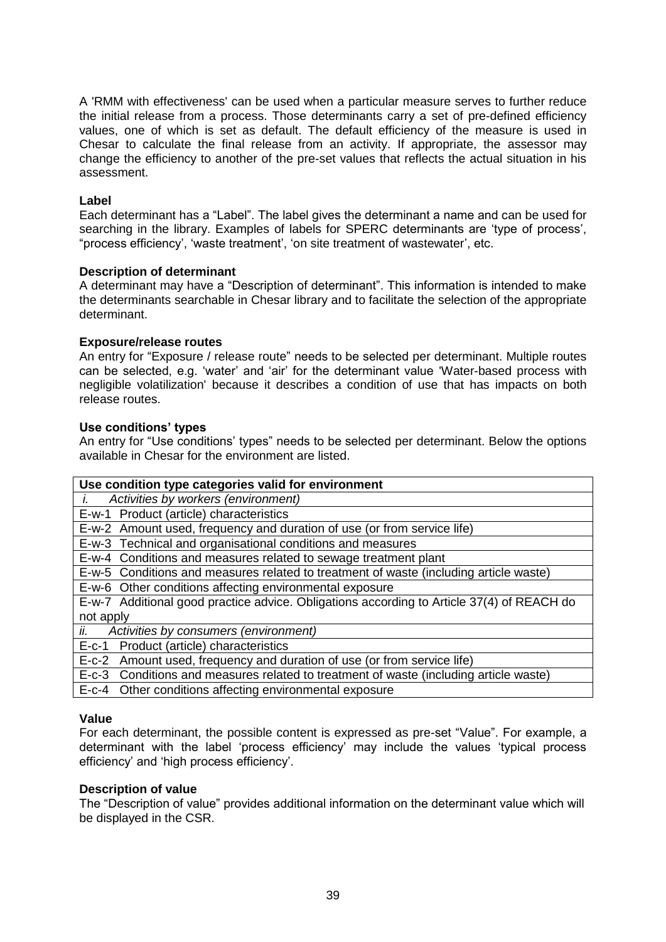A 'RMM with effectiveness' can be used when a particular measure serves to further reduce the initial release from a process. Those determinants carry a set of pre-defined efficiency values, one of which is set as default. The default efficiency of the measure is used in Chesar to calculate the final release from an activity. If appropriate, the assessor may change the efficiency to another of the pre-set values that reflects the actual situation in his assessment.

### **Label**

Each determinant has a "Label". The label gives the determinant a name and can be used for searching in the library. Examples of labels for SPERC determinants are 'type of process', "process efficiency', 'waste treatment', 'on site treatment of wastewater', etc.

### **Description of determinant**

A determinant may have a "Description of determinant". This information is intended to make the determinants searchable in Chesar library and to facilitate the selection of the appropriate determinant.

### **Exposure/release routes**

An entry for "Exposure / release route" needs to be selected per determinant. Multiple routes can be selected, e.g. 'water' and 'air' for the determinant value 'Water-based process with negligible volatilization' because it describes a condition of use that has impacts on both release routes.

### **Use conditions' types**

An entry for "Use conditions' types" needs to be selected per determinant. Below the options available in Chesar for the environment are listed.

| Use condition type categories valid for environment                                       |  |  |  |
|-------------------------------------------------------------------------------------------|--|--|--|
| Activities by workers (environment)                                                       |  |  |  |
| E-w-1 Product (article) characteristics                                                   |  |  |  |
| E-w-2 Amount used, frequency and duration of use (or from service life)                   |  |  |  |
| E-w-3 Technical and organisational conditions and measures                                |  |  |  |
| E-w-4 Conditions and measures related to sewage treatment plant                           |  |  |  |
| E-w-5 Conditions and measures related to treatment of waste (including article waste)     |  |  |  |
| E-w-6 Other conditions affecting environmental exposure                                   |  |  |  |
| E-w-7 Additional good practice advice. Obligations according to Article 37(4) of REACH do |  |  |  |
| not apply                                                                                 |  |  |  |
| ii.<br>Activities by consumers (environment)                                              |  |  |  |
| E-c-1 Product (article) characteristics                                                   |  |  |  |
| E-c-2 Amount used, frequency and duration of use (or from service life)                   |  |  |  |
| E-c-3 Conditions and measures related to treatment of waste (including article waste)     |  |  |  |

E-c-4 Other conditions affecting environmental exposure

#### **Value**

For each determinant, the possible content is expressed as pre-set "Value". For example, a determinant with the label 'process efficiency' may include the values 'typical process efficiency' and 'high process efficiency'.

#### **Description of value**

The "Description of value" provides additional information on the determinant value which will be displayed in the CSR.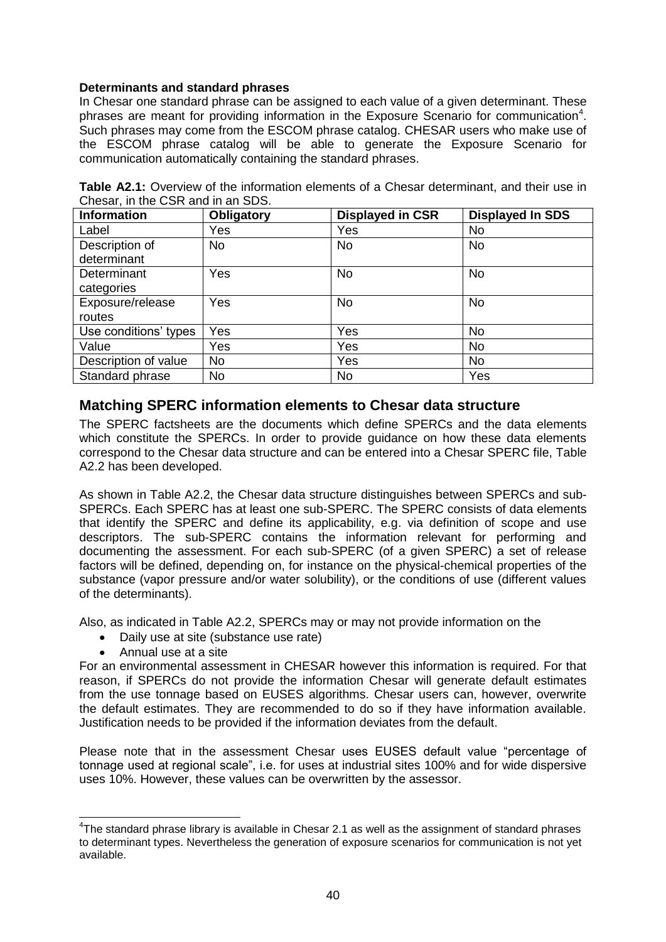### **Determinants and standard phrases**

In Chesar one standard phrase can be assigned to each value of a given determinant. These phrases are meant for providing information in the Exposure Scenario for communication<sup>4</sup>. Such phrases may come from the ESCOM phrase catalog. CHESAR users who make use of the ESCOM phrase catalog will be able to generate the Exposure Scenario for communication automatically containing the standard phrases.

| Obligatory | <b>Displayed in CSR</b> | <b>Displayed In SDS</b> |  |  |
|------------|-------------------------|-------------------------|--|--|
| Yes        | Yes                     | <b>No</b>               |  |  |
| <b>No</b>  | <b>No</b>               | <b>No</b>               |  |  |
|            |                         |                         |  |  |
| Yes        | <b>No</b>               | <b>No</b>               |  |  |
|            |                         |                         |  |  |
| Yes        | <b>No</b>               | <b>No</b>               |  |  |
|            |                         |                         |  |  |
| Yes        | Yes                     | <b>No</b>               |  |  |
| Yes        | Yes                     | <b>No</b>               |  |  |
| <b>No</b>  | Yes                     | <b>No</b>               |  |  |
| <b>No</b>  | <b>No</b>               | Yes                     |  |  |
|            |                         |                         |  |  |

**Table A2.1:** Overview of the information elements of a Chesar determinant, and their use in Chesar, in the CSR and in an SDS.

### <span id="page-39-0"></span>**Matching SPERC information elements to Chesar data structure**

The SPERC factsheets are the documents which define SPERCs and the data elements which constitute the SPERCs. In order to provide guidance on how these data elements correspond to the Chesar data structure and can be entered into a Chesar SPERC file, Table A2.2 has been developed.

As shown in Table A2.2, the Chesar data structure distinguishes between SPERCs and sub-SPERCs. Each SPERC has at least one sub-SPERC. The SPERC consists of data elements that identify the SPERC and define its applicability, e.g. via definition of scope and use descriptors. The sub-SPERC contains the information relevant for performing and documenting the assessment. For each sub-SPERC (of a given SPERC) a set of release factors will be defined, depending on, for instance on the physical-chemical properties of the substance (vapor pressure and/or water solubility), or the conditions of use (different values of the determinants).

Also, as indicated in Table A2.2, SPERCs may or may not provide information on the

- Daily use at site (substance use rate)
- Annual use at a site

j

For an environmental assessment in CHESAR however this information is required. For that reason, if SPERCs do not provide the information Chesar will generate default estimates from the use tonnage based on EUSES algorithms. Chesar users can, however, overwrite the default estimates. They are recommended to do so if they have information available. Justification needs to be provided if the information deviates from the default.

Please note that in the assessment Chesar uses EUSES default value "percentage of tonnage used at regional scale", i.e. for uses at industrial sites 100% and for wide dispersive uses 10%. However, these values can be overwritten by the assessor.

 $4$ The standard phrase library is available in Chesar 2.1 as well as the assignment of standard phrases to determinant types. Nevertheless the generation of exposure scenarios for communication is not yet available.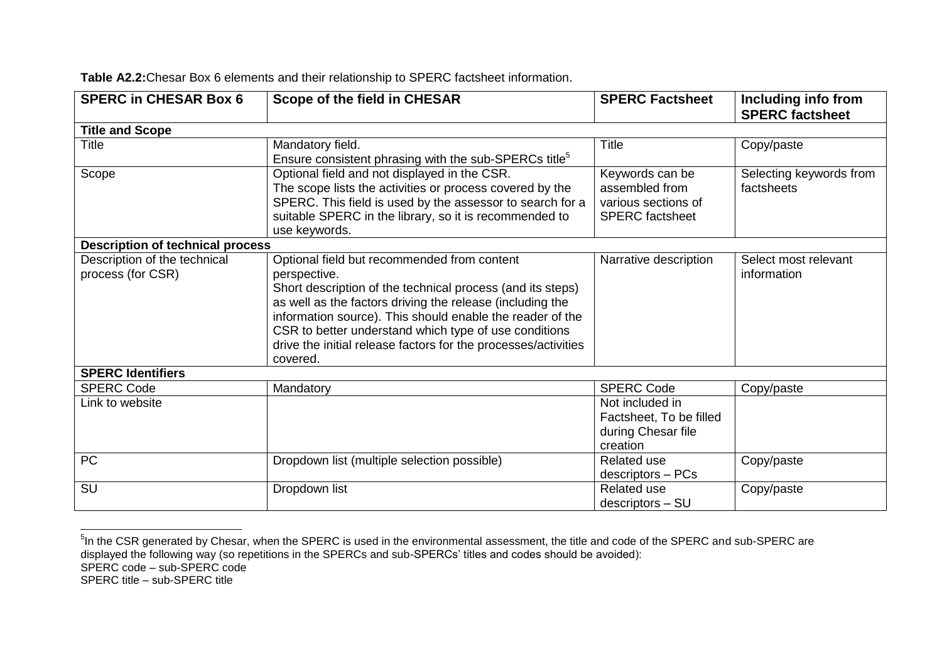| <b>SPERC in CHESAR Box 6</b>                      | Scope of the field in CHESAR                                                                                                                                                                                                                                                                                                                                                               | <b>SPERC Factsheet</b>                                                             | Including info from<br><b>SPERC factsheet</b> |
|---------------------------------------------------|--------------------------------------------------------------------------------------------------------------------------------------------------------------------------------------------------------------------------------------------------------------------------------------------------------------------------------------------------------------------------------------------|------------------------------------------------------------------------------------|-----------------------------------------------|
| <b>Title and Scope</b>                            |                                                                                                                                                                                                                                                                                                                                                                                            |                                                                                    |                                               |
| <b>Title</b>                                      | Mandatory field.<br>Ensure consistent phrasing with the sub-SPERCs title <sup>5</sup>                                                                                                                                                                                                                                                                                                      | <b>Title</b>                                                                       | Copy/paste                                    |
| Scope                                             | Optional field and not displayed in the CSR.<br>The scope lists the activities or process covered by the<br>SPERC. This field is used by the assessor to search for a<br>suitable SPERC in the library, so it is recommended to<br>use keywords.                                                                                                                                           | Keywords can be<br>assembled from<br>various sections of<br><b>SPERC</b> factsheet | Selecting keywords from<br>factsheets         |
| <b>Description of technical process</b>           |                                                                                                                                                                                                                                                                                                                                                                                            |                                                                                    |                                               |
| Description of the technical<br>process (for CSR) | Optional field but recommended from content<br>perspective.<br>Short description of the technical process (and its steps)<br>as well as the factors driving the release (including the<br>information source). This should enable the reader of the<br>CSR to better understand which type of use conditions<br>drive the initial release factors for the processes/activities<br>covered. | Narrative description                                                              | Select most relevant<br>information           |
| <b>SPERC Identifiers</b>                          |                                                                                                                                                                                                                                                                                                                                                                                            |                                                                                    |                                               |
| <b>SPERC Code</b>                                 | Mandatory                                                                                                                                                                                                                                                                                                                                                                                  | <b>SPERC Code</b>                                                                  | Copy/paste                                    |
| Link to website                                   |                                                                                                                                                                                                                                                                                                                                                                                            | Not included in<br>Factsheet, To be filled<br>during Chesar file<br>creation       |                                               |
| PC                                                | Dropdown list (multiple selection possible)                                                                                                                                                                                                                                                                                                                                                | <b>Related use</b><br>descriptors - PCs                                            | Copy/paste                                    |
| SU                                                | Dropdown list                                                                                                                                                                                                                                                                                                                                                                              | <b>Related use</b><br>descriptors - SU                                             | Copy/paste                                    |

**Table A2.2:**Chesar Box 6 elements and their relationship to SPERC factsheet information.

SPERC code – sub-SPERC code

SPERC title – sub-SPERC title

 5 In the CSR generated by Chesar, when the SPERC is used in the environmental assessment, the title and code of the SPERC and sub-SPERC are displayed the following way (so repetitions in the SPERCs and sub-SPERCs' titles and codes should be avoided):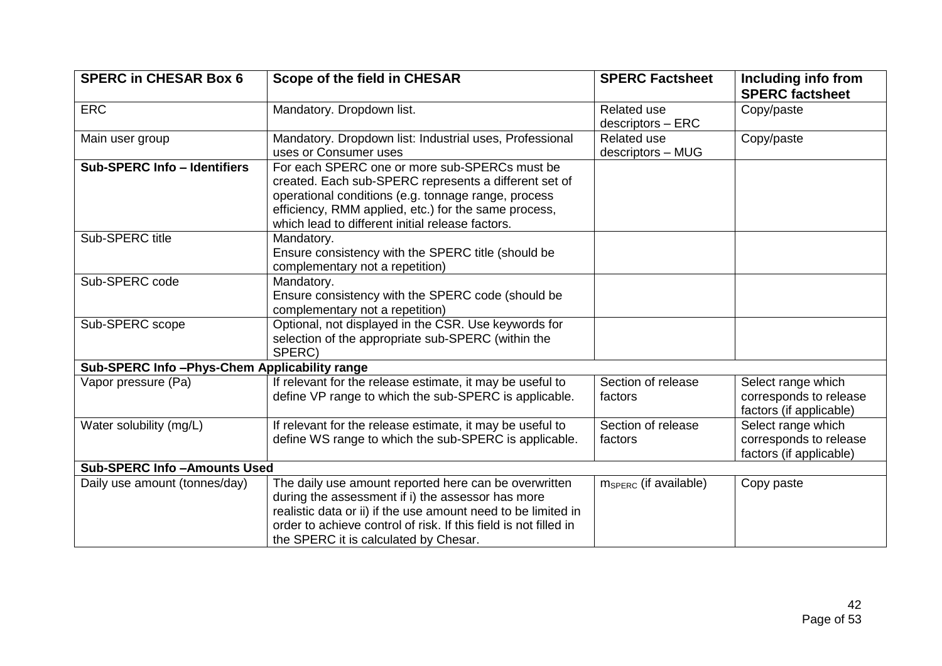| <b>SPERC in CHESAR Box 6</b>                 | <b>Scope of the field in CHESAR</b>                                                                                                                                                                                                                                                      | <b>SPERC Factsheet</b>                  | Including info from<br><b>SPERC factsheet</b>                           |
|----------------------------------------------|------------------------------------------------------------------------------------------------------------------------------------------------------------------------------------------------------------------------------------------------------------------------------------------|-----------------------------------------|-------------------------------------------------------------------------|
| <b>ERC</b>                                   | Mandatory. Dropdown list.                                                                                                                                                                                                                                                                | <b>Related use</b><br>descriptors - ERC | Copy/paste                                                              |
| Main user group                              | Mandatory. Dropdown list: Industrial uses, Professional<br>uses or Consumer uses                                                                                                                                                                                                         | Related use<br>descriptors - MUG        | Copy/paste                                                              |
| <b>Sub-SPERC Info - Identifiers</b>          | For each SPERC one or more sub-SPERCs must be<br>created. Each sub-SPERC represents a different set of<br>operational conditions (e.g. tonnage range, process<br>efficiency, RMM applied, etc.) for the same process,<br>which lead to different initial release factors.                |                                         |                                                                         |
| Sub-SPERC title                              | Mandatory.<br>Ensure consistency with the SPERC title (should be<br>complementary not a repetition)                                                                                                                                                                                      |                                         |                                                                         |
| Sub-SPERC code                               | Mandatory.<br>Ensure consistency with the SPERC code (should be<br>complementary not a repetition)                                                                                                                                                                                       |                                         |                                                                         |
| Sub-SPERC scope                              | Optional, not displayed in the CSR. Use keywords for<br>selection of the appropriate sub-SPERC (within the<br>SPERC)                                                                                                                                                                     |                                         |                                                                         |
| Sub-SPERC Info-Phys-Chem Applicability range |                                                                                                                                                                                                                                                                                          |                                         |                                                                         |
| Vapor pressure (Pa)                          | If relevant for the release estimate, it may be useful to<br>define VP range to which the sub-SPERC is applicable.                                                                                                                                                                       | Section of release<br>factors           | Select range which<br>corresponds to release<br>factors (if applicable) |
| Water solubility (mg/L)                      | If relevant for the release estimate, it may be useful to<br>define WS range to which the sub-SPERC is applicable.                                                                                                                                                                       | Section of release<br>factors           | Select range which<br>corresponds to release<br>factors (if applicable) |
| <b>Sub-SPERC Info-Amounts Used</b>           |                                                                                                                                                                                                                                                                                          |                                         |                                                                         |
| Daily use amount (tonnes/day)                | The daily use amount reported here can be overwritten<br>during the assessment if i) the assessor has more<br>realistic data or ii) if the use amount need to be limited in<br>order to achieve control of risk. If this field is not filled in<br>the SPERC it is calculated by Chesar. | $m_{SPERC}$ (if available)              | Copy paste                                                              |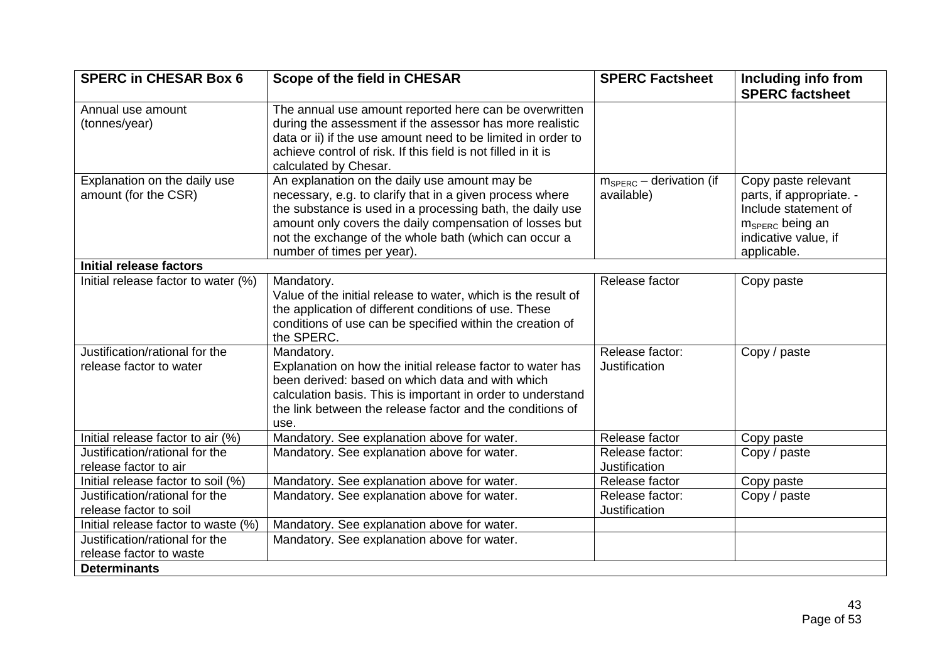| <b>SPERC in CHESAR Box 6</b>                         | Scope of the field in CHESAR                                                                              | <b>SPERC Factsheet</b>                            | Including info from<br><b>SPERC factsheet</b>   |
|------------------------------------------------------|-----------------------------------------------------------------------------------------------------------|---------------------------------------------------|-------------------------------------------------|
| Annual use amount                                    | The annual use amount reported here can be overwritten                                                    |                                                   |                                                 |
| (tonnes/year)                                        | during the assessment if the assessor has more realistic                                                  |                                                   |                                                 |
|                                                      | data or ii) if the use amount need to be limited in order to                                              |                                                   |                                                 |
|                                                      | achieve control of risk. If this field is not filled in it is                                             |                                                   |                                                 |
|                                                      | calculated by Chesar.                                                                                     |                                                   |                                                 |
| Explanation on the daily use<br>amount (for the CSR) | An explanation on the daily use amount may be<br>necessary, e.g. to clarify that in a given process where | $m_{\text{SPERC}}$ – derivation (if<br>available) | Copy paste relevant<br>parts, if appropriate. - |
|                                                      | the substance is used in a processing bath, the daily use                                                 |                                                   | Include statement of                            |
|                                                      | amount only covers the daily compensation of losses but                                                   |                                                   | m <sub>SPERC</sub> being an                     |
|                                                      | not the exchange of the whole bath (which can occur a                                                     |                                                   | indicative value, if                            |
|                                                      | number of times per year).                                                                                |                                                   | applicable.                                     |
| <b>Initial release factors</b>                       |                                                                                                           |                                                   |                                                 |
| Initial release factor to water (%)                  | Mandatory.                                                                                                | Release factor                                    | Copy paste                                      |
|                                                      | Value of the initial release to water, which is the result of                                             |                                                   |                                                 |
|                                                      | the application of different conditions of use. These                                                     |                                                   |                                                 |
|                                                      | conditions of use can be specified within the creation of<br>the SPERC.                                   |                                                   |                                                 |
| Justification/rational for the                       | Mandatory.                                                                                                | Release factor:                                   | Copy / paste                                    |
| release factor to water                              | Explanation on how the initial release factor to water has                                                | Justification                                     |                                                 |
|                                                      | been derived: based on which data and with which                                                          |                                                   |                                                 |
|                                                      | calculation basis. This is important in order to understand                                               |                                                   |                                                 |
|                                                      | the link between the release factor and the conditions of<br>use.                                         |                                                   |                                                 |
| Initial release factor to air (%)                    | Mandatory. See explanation above for water.                                                               | Release factor                                    | Copy paste                                      |
| Justification/rational for the                       | Mandatory. See explanation above for water.                                                               | Release factor:                                   | Copy / paste                                    |
| release factor to air                                |                                                                                                           | <b>Justification</b>                              |                                                 |
| Initial release factor to soil (%)                   | Mandatory. See explanation above for water.                                                               | Release factor                                    | Copy paste                                      |
| Justification/rational for the                       | Mandatory. See explanation above for water.                                                               | Release factor:                                   | Copy / paste                                    |
| release factor to soil                               |                                                                                                           | Justification                                     |                                                 |
| Initial release factor to waste (%)                  | Mandatory. See explanation above for water.                                                               |                                                   |                                                 |
| Justification/rational for the                       | Mandatory. See explanation above for water.                                                               |                                                   |                                                 |
| release factor to waste                              |                                                                                                           |                                                   |                                                 |
| <b>Determinants</b>                                  |                                                                                                           |                                                   |                                                 |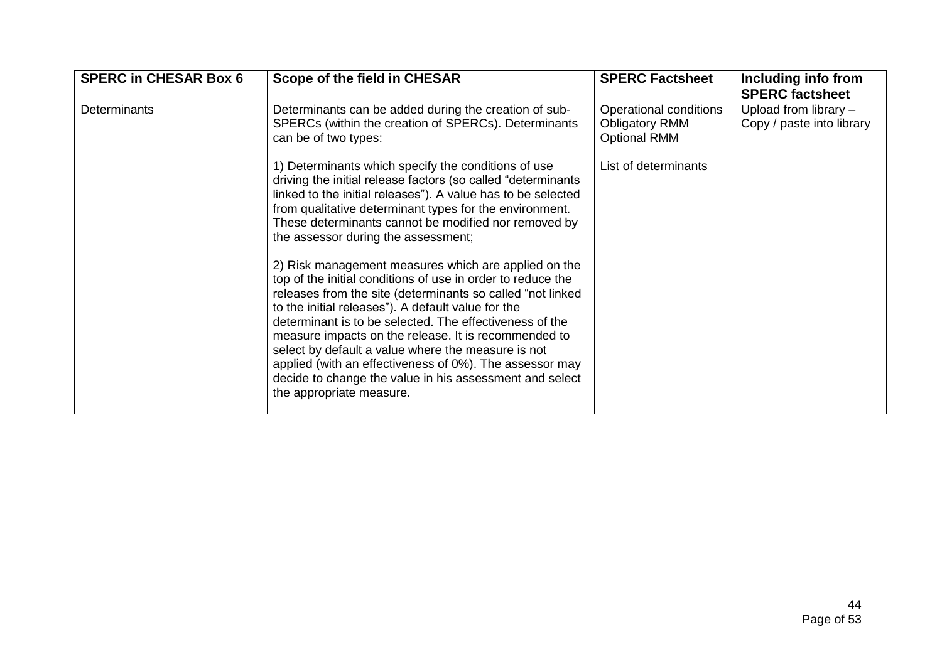| <b>SPERC in CHESAR Box 6</b> | Scope of the field in CHESAR                                                                                                                                                                                                                                                                                                                                                                                                                                                                                                         | <b>SPERC Factsheet</b>                                                 | Including info from<br><b>SPERC factsheet</b>        |
|------------------------------|--------------------------------------------------------------------------------------------------------------------------------------------------------------------------------------------------------------------------------------------------------------------------------------------------------------------------------------------------------------------------------------------------------------------------------------------------------------------------------------------------------------------------------------|------------------------------------------------------------------------|------------------------------------------------------|
| <b>Determinants</b>          | Determinants can be added during the creation of sub-<br>SPERCs (within the creation of SPERCs). Determinants<br>can be of two types:                                                                                                                                                                                                                                                                                                                                                                                                | Operational conditions<br><b>Obligatory RMM</b><br><b>Optional RMM</b> | Upload from library $-$<br>Copy / paste into library |
|                              | 1) Determinants which specify the conditions of use<br>driving the initial release factors (so called "determinants"<br>linked to the initial releases"). A value has to be selected<br>from qualitative determinant types for the environment.<br>These determinants cannot be modified nor removed by<br>the assessor during the assessment;<br>2) Risk management measures which are applied on the<br>top of the initial conditions of use in order to reduce the<br>releases from the site (determinants so called "not linked" | List of determinants                                                   |                                                      |
|                              | to the initial releases"). A default value for the<br>determinant is to be selected. The effectiveness of the<br>measure impacts on the release. It is recommended to<br>select by default a value where the measure is not<br>applied (with an effectiveness of 0%). The assessor may<br>decide to change the value in his assessment and select<br>the appropriate measure.                                                                                                                                                        |                                                                        |                                                      |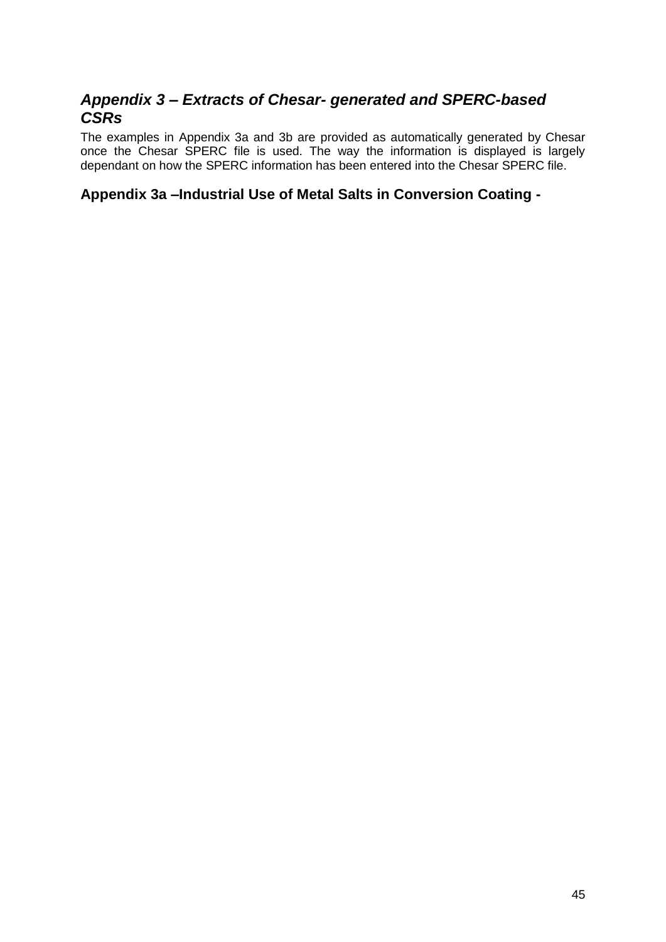# <span id="page-44-0"></span>*Appendix 3 – Extracts of Chesar- generated and SPERC-based CSRs*

The examples in Appendix 3a and 3b are provided as automatically generated by Chesar once the Chesar SPERC file is used. The way the information is displayed is largely dependant on how the SPERC information has been entered into the Chesar SPERC file.

# <span id="page-44-1"></span>**Appendix 3a –Industrial Use of Metal Salts in Conversion Coating -**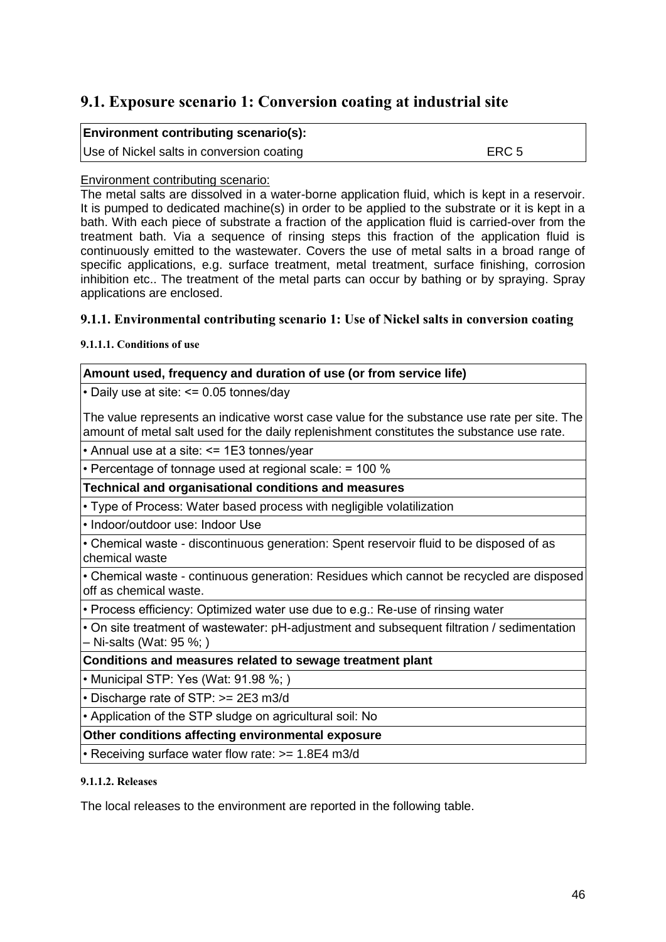# **9.1. Exposure scenario 1: Conversion coating at industrial site**

| <b>Environment contributing scenario(s):</b> |       |
|----------------------------------------------|-------|
| Use of Nickel salts in conversion coating    | ERC 5 |

### Environment contributing scenario:

The metal salts are dissolved in a water-borne application fluid, which is kept in a reservoir. It is pumped to dedicated machine(s) in order to be applied to the substrate or it is kept in a bath. With each piece of substrate a fraction of the application fluid is carried-over from the treatment bath. Via a sequence of rinsing steps this fraction of the application fluid is continuously emitted to the wastewater. Covers the use of metal salts in a broad range of specific applications, e.g. surface treatment, metal treatment, surface finishing, corrosion inhibition etc.. The treatment of the metal parts can occur by bathing or by spraying. Spray applications are enclosed.

### **9.1.1. Environmental contributing scenario 1: Use of Nickel salts in conversion coating**

**9.1.1.1. Conditions of use**

### **Amount used, frequency and duration of use (or from service life)**

• Daily use at site: <= 0.05 tonnes/day

The value represents an indicative worst case value for the substance use rate per site. The amount of metal salt used for the daily replenishment constitutes the substance use rate.

• Annual use at a site: <= 1E3 tonnes/year

• Percentage of tonnage used at regional scale: = 100 %

**Technical and organisational conditions and measures**

• Type of Process: Water based process with negligible volatilization

• Indoor/outdoor use: Indoor Use

• Chemical waste - discontinuous generation: Spent reservoir fluid to be disposed of as chemical waste

• Chemical waste - continuous generation: Residues which cannot be recycled are disposed off as chemical waste.

• Process efficiency: Optimized water use due to e.g.: Re-use of rinsing water

• On site treatment of wastewater: pH-adjustment and subsequent filtration / sedimentation – Ni-salts (Wat: 95 %; )

**Conditions and measures related to sewage treatment plant**

• Municipal STP: Yes (Wat: 91.98 %; )

• Discharge rate of STP: >= 2E3 m3/d

• Application of the STP sludge on agricultural soil: No

**Other conditions affecting environmental exposure**

• Receiving surface water flow rate: >= 1.8E4 m3/d

#### **9.1.1.2. Releases**

The local releases to the environment are reported in the following table.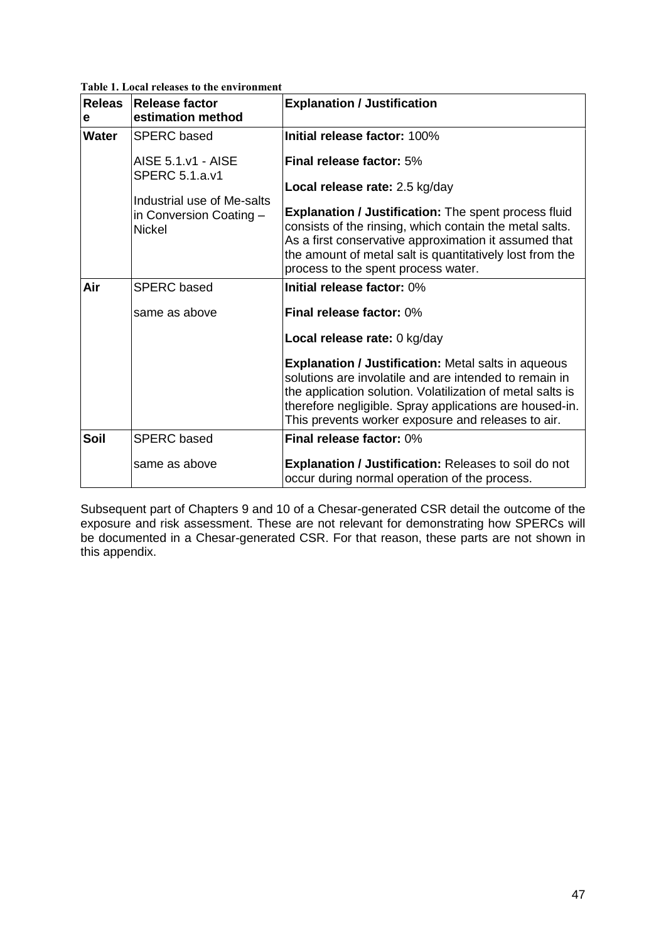**Table 1. Local releases to the environment**

| Releas<br>e | <b>Release factor</b><br>estimation method  | <b>Explanation / Justification</b>                                                                                                                                                                                                                                                                  |
|-------------|---------------------------------------------|-----------------------------------------------------------------------------------------------------------------------------------------------------------------------------------------------------------------------------------------------------------------------------------------------------|
| Water       | <b>SPERC</b> based                          | Initial release factor: 100%                                                                                                                                                                                                                                                                        |
|             | AISE 5.1.v1 - AISE<br><b>SPERC 5.1.a.v1</b> | Final release factor: 5%                                                                                                                                                                                                                                                                            |
|             | Industrial use of Me-salts                  | Local release rate: 2.5 kg/day                                                                                                                                                                                                                                                                      |
|             | in Conversion Coating -<br><b>Nickel</b>    | <b>Explanation / Justification:</b> The spent process fluid<br>consists of the rinsing, which contain the metal salts.<br>As a first conservative approximation it assumed that<br>the amount of metal salt is quantitatively lost from the<br>process to the spent process water.                  |
| Air         | <b>SPERC</b> based                          | Initial release factor: 0%                                                                                                                                                                                                                                                                          |
|             | same as above                               | Final release factor: 0%                                                                                                                                                                                                                                                                            |
|             |                                             | Local release rate: 0 kg/day                                                                                                                                                                                                                                                                        |
|             |                                             | <b>Explanation / Justification: Metal salts in aqueous</b><br>solutions are involatile and are intended to remain in<br>the application solution. Volatilization of metal salts is<br>therefore negligible. Spray applications are housed-in.<br>This prevents worker exposure and releases to air. |
| Soil        | <b>SPERC</b> based                          | Final release factor: 0%                                                                                                                                                                                                                                                                            |
|             | same as above                               | <b>Explanation / Justification: Releases to soil do not</b><br>occur during normal operation of the process.                                                                                                                                                                                        |

Subsequent part of Chapters 9 and 10 of a Chesar-generated CSR detail the outcome of the exposure and risk assessment. These are not relevant for demonstrating how SPERCs will be documented in a Chesar-generated CSR. For that reason, these parts are not shown in this appendix.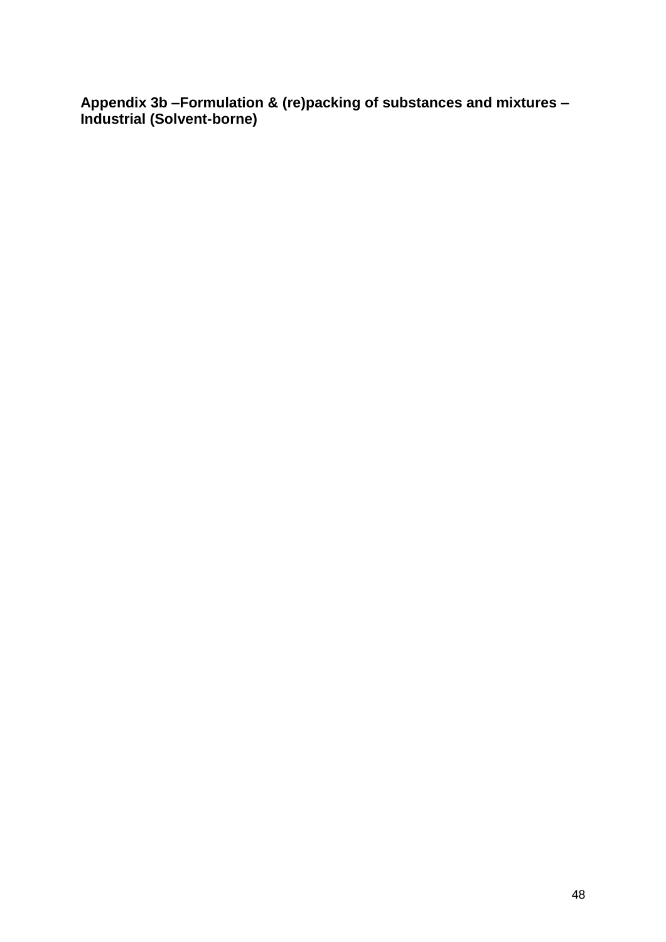<span id="page-47-0"></span>**Appendix 3b –Formulation & (re)packing of substances and mixtures – Industrial (Solvent-borne)**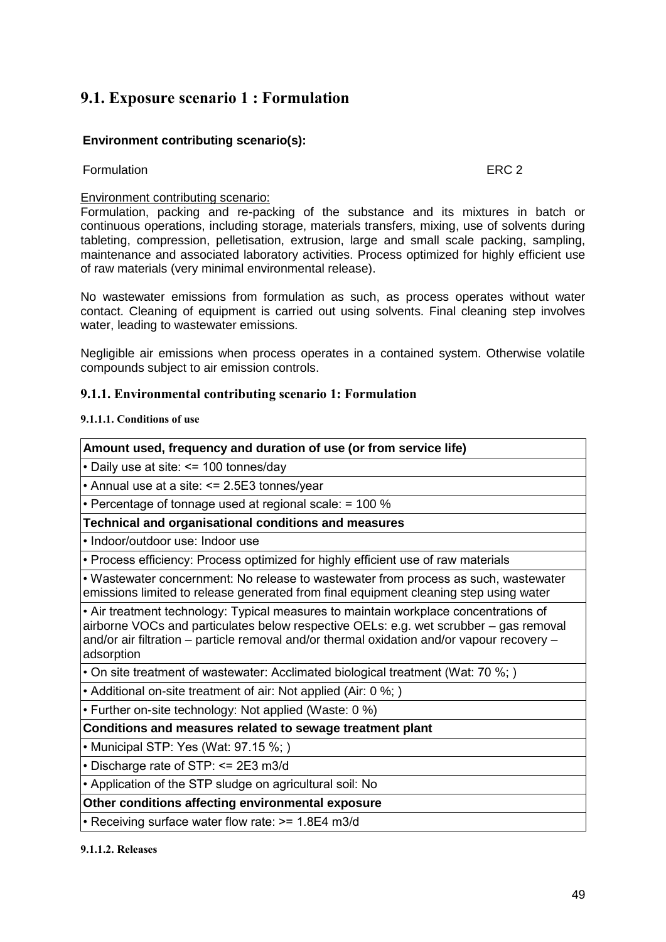# **9.1. Exposure scenario 1 : Formulation**

### **Environment contributing scenario(s):**

### Formulation **EXC 2**

### Environment contributing scenario:

Formulation, packing and re-packing of the substance and its mixtures in batch or continuous operations, including storage, materials transfers, mixing, use of solvents during tableting, compression, pelletisation, extrusion, large and small scale packing, sampling, maintenance and associated laboratory activities. Process optimized for highly efficient use of raw materials (very minimal environmental release).

No wastewater emissions from formulation as such, as process operates without water contact. Cleaning of equipment is carried out using solvents. Final cleaning step involves water, leading to wastewater emissions.

Negligible air emissions when process operates in a contained system. Otherwise volatile compounds subject to air emission controls.

### **9.1.1. Environmental contributing scenario 1: Formulation**

#### **9.1.1.1. Conditions of use**

| Amount used, frequency and duration of use (or from service life)                                                                                                                                                                                                                         |
|-------------------------------------------------------------------------------------------------------------------------------------------------------------------------------------------------------------------------------------------------------------------------------------------|
| • Daily use at site: <= 100 tonnes/day                                                                                                                                                                                                                                                    |
| • Annual use at a site: <= 2.5E3 tonnes/year                                                                                                                                                                                                                                              |
| • Percentage of tonnage used at regional scale: = 100 %                                                                                                                                                                                                                                   |
| Technical and organisational conditions and measures                                                                                                                                                                                                                                      |
| • Indoor/outdoor use: Indoor use                                                                                                                                                                                                                                                          |
| • Process efficiency: Process optimized for highly efficient use of raw materials                                                                                                                                                                                                         |
| • Wastewater concernment: No release to wastewater from process as such, wastewater<br>emissions limited to release generated from final equipment cleaning step using water                                                                                                              |
| • Air treatment technology: Typical measures to maintain workplace concentrations of<br>airborne VOCs and particulates below respective OELs: e.g. wet scrubber – gas removal<br>and/or air filtration – particle removal and/or thermal oxidation and/or vapour recovery –<br>adsorption |
| • On site treatment of wastewater: Acclimated biological treatment (Wat: 70 %;)                                                                                                                                                                                                           |
| • Additional on-site treatment of air: Not applied (Air: 0 %;)                                                                                                                                                                                                                            |
| • Further on-site technology: Not applied (Waste: 0 %)                                                                                                                                                                                                                                    |
| Conditions and measures related to sewage treatment plant                                                                                                                                                                                                                                 |
| • Municipal STP: Yes (Wat: 97.15 %;)                                                                                                                                                                                                                                                      |
| • Discharge rate of STP: <= 2E3 m3/d                                                                                                                                                                                                                                                      |
| • Application of the STP sludge on agricultural soil: No                                                                                                                                                                                                                                  |
| Other conditions affecting environmental exposure                                                                                                                                                                                                                                         |
| • Receiving surface water flow rate: >= 1.8E4 m3/d                                                                                                                                                                                                                                        |
|                                                                                                                                                                                                                                                                                           |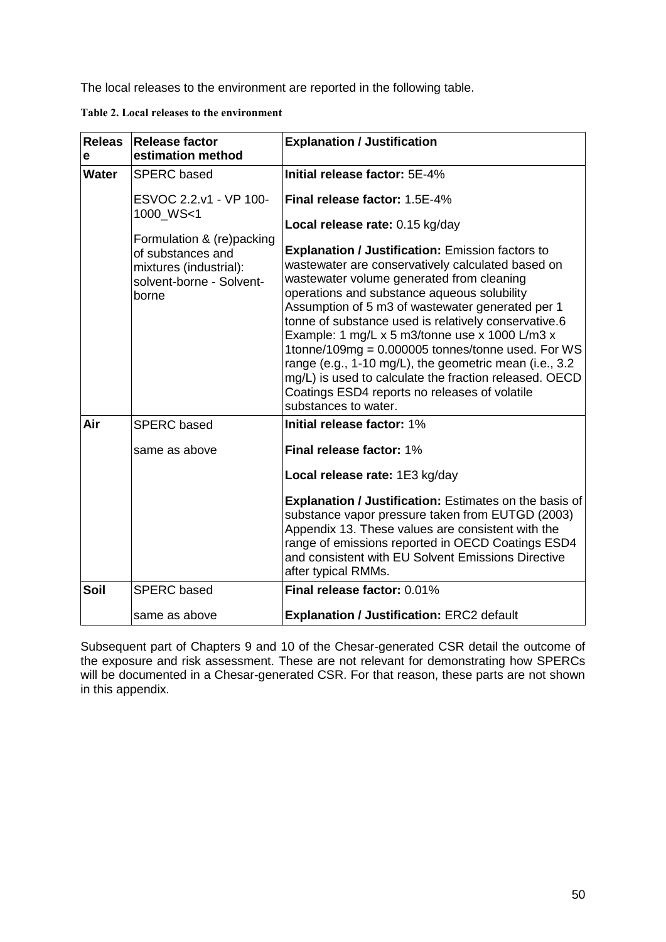The local releases to the environment are reported in the following table.

| Table 2. Local releases to the environment |
|--------------------------------------------|
|--------------------------------------------|

| Releas<br>е  | <b>Release factor</b><br>estimation method                                                                    | <b>Explanation / Justification</b>                                                                                                                                                                                                                                                                                                                                                                                                                                                                                                                                                                                                                          |
|--------------|---------------------------------------------------------------------------------------------------------------|-------------------------------------------------------------------------------------------------------------------------------------------------------------------------------------------------------------------------------------------------------------------------------------------------------------------------------------------------------------------------------------------------------------------------------------------------------------------------------------------------------------------------------------------------------------------------------------------------------------------------------------------------------------|
| <b>Water</b> | <b>SPERC</b> based                                                                                            | Initial release factor: 5E-4%                                                                                                                                                                                                                                                                                                                                                                                                                                                                                                                                                                                                                               |
|              | ESVOC 2.2.v1 - VP 100-<br>1000 WS<1                                                                           | Final release factor: 1.5E-4%                                                                                                                                                                                                                                                                                                                                                                                                                                                                                                                                                                                                                               |
|              | Formulation & (re)packing<br>of substances and<br>mixtures (industrial):<br>solvent-borne - Solvent-<br>borne | Local release rate: 0.15 kg/day<br><b>Explanation / Justification: Emission factors to</b><br>wastewater are conservatively calculated based on<br>wastewater volume generated from cleaning<br>operations and substance aqueous solubility<br>Assumption of 5 m3 of wastewater generated per 1<br>tonne of substance used is relatively conservative.6<br>Example: 1 mg/L x 5 m3/tonne use x 1000 L/m3 x<br>1tonne/109mg = 0.000005 tonnes/tonne used. For WS<br>range (e.g., 1-10 mg/L), the geometric mean (i.e., 3.2<br>mg/L) is used to calculate the fraction released. OECD<br>Coatings ESD4 reports no releases of volatile<br>substances to water. |
| Air          | <b>SPERC</b> based                                                                                            | Initial release factor: 1%                                                                                                                                                                                                                                                                                                                                                                                                                                                                                                                                                                                                                                  |
|              | same as above                                                                                                 | Final release factor: 1%                                                                                                                                                                                                                                                                                                                                                                                                                                                                                                                                                                                                                                    |
|              |                                                                                                               | Local release rate: 1E3 kg/day                                                                                                                                                                                                                                                                                                                                                                                                                                                                                                                                                                                                                              |
|              |                                                                                                               | <b>Explanation / Justification: Estimates on the basis of</b><br>substance vapor pressure taken from EUTGD (2003)<br>Appendix 13. These values are consistent with the<br>range of emissions reported in OECD Coatings ESD4<br>and consistent with EU Solvent Emissions Directive<br>after typical RMMs.                                                                                                                                                                                                                                                                                                                                                    |
| Soil         | <b>SPERC</b> based                                                                                            | Final release factor: 0.01%                                                                                                                                                                                                                                                                                                                                                                                                                                                                                                                                                                                                                                 |
|              | same as above                                                                                                 | <b>Explanation / Justification: ERC2 default</b>                                                                                                                                                                                                                                                                                                                                                                                                                                                                                                                                                                                                            |

Subsequent part of Chapters 9 and 10 of the Chesar-generated CSR detail the outcome of the exposure and risk assessment. These are not relevant for demonstrating how SPERCs will be documented in a Chesar-generated CSR. For that reason, these parts are not shown in this appendix.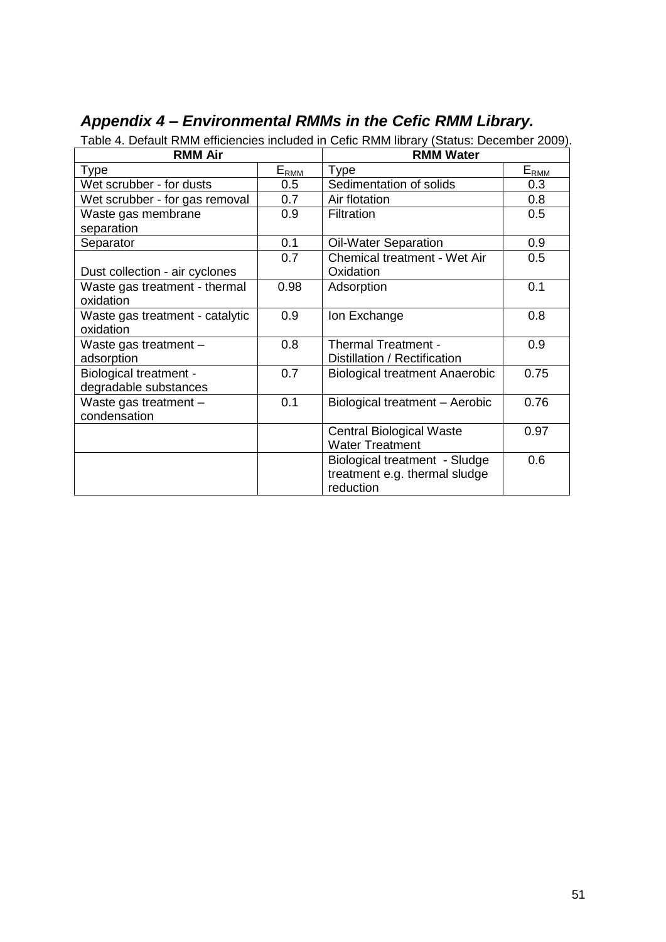| <b>RMM Air</b>                                         |                  | <b>RMM Water</b>                                                            |                       |
|--------------------------------------------------------|------------------|-----------------------------------------------------------------------------|-----------------------|
| <b>Type</b>                                            | $E_{\text{RMM}}$ | <b>Type</b>                                                                 | $E_{RM\underline{M}}$ |
| Wet scrubber - for dusts                               | 0.5              | Sedimentation of solids                                                     | 0.3                   |
| Wet scrubber - for gas removal                         | 0.7              | Air flotation                                                               | 0.8                   |
| Waste gas membrane<br>separation                       | 0.9              | Filtration<br>0.5                                                           |                       |
| Separator                                              | 0.1              | <b>Oil-Water Separation</b>                                                 | 0.9                   |
| Dust collection - air cyclones                         | 0.7              | <b>Chemical treatment - Wet Air</b><br>Oxidation                            | 0.5                   |
| Waste gas treatment - thermal<br>oxidation             | 0.98             | Adsorption                                                                  | 0.1                   |
| Waste gas treatment - catalytic<br>oxidation           | 0.9              | Ion Exchange                                                                | 0.8                   |
| Waste gas treatment -<br>adsorption                    | 0.8              | <b>Thermal Treatment -</b><br>0.9<br>Distillation / Rectification           |                       |
| <b>Biological treatment -</b><br>degradable substances | 0.7              | 0.75<br><b>Biological treatment Anaerobic</b>                               |                       |
| Waste gas treatment -<br>condensation                  | 0.1              | Biological treatment - Aerobic                                              | 0.76                  |
|                                                        |                  | <b>Central Biological Waste</b><br><b>Water Treatment</b>                   | 0.97                  |
|                                                        |                  | Biological treatment - Sludge<br>treatment e.g. thermal sludge<br>reduction | 0.6                   |

# <span id="page-50-0"></span>*Appendix 4 – Environmental RMMs in the Cefic RMM Library.*

Table 4. Default RMM efficiencies included in Cefic RMM library (Status: December 2009).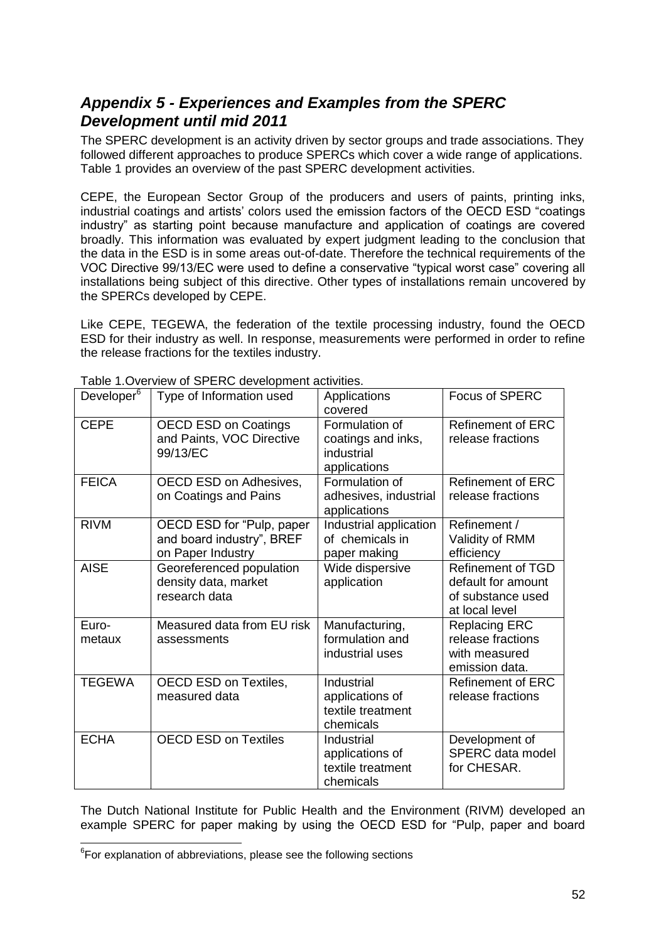# <span id="page-51-0"></span>*Appendix 5 - Experiences and Examples from the SPERC Development until mid 2011*

The SPERC development is an activity driven by sector groups and trade associations. They followed different approaches to produce SPERCs which cover a wide range of applications. Table 1 provides an overview of the past SPERC development activities.

CEPE, the European Sector Group of the producers and users of paints, printing inks, industrial coatings and artists' colors used the emission factors of the OECD ESD "coatings industry" as starting point because manufacture and application of coatings are covered broadly. This information was evaluated by expert judgment leading to the conclusion that the data in the ESD is in some areas out-of-date. Therefore the technical requirements of the VOC Directive 99/13/EC were used to define a conservative "typical worst case" covering all installations being subject of this directive. Other types of installations remain uncovered by the SPERCs developed by CEPE.

Like CEPE, TEGEWA, the federation of the textile processing industry, found the OECD ESD for their industry as well. In response, measurements were performed in order to refine the release fractions for the textiles industry.

| Developer <sup>6</sup> | Type of Information used                                                    | Applications<br>covered                                            | <b>Focus of SPERC</b>                                                                 |
|------------------------|-----------------------------------------------------------------------------|--------------------------------------------------------------------|---------------------------------------------------------------------------------------|
| <b>CEPE</b>            | <b>OECD ESD on Coatings</b><br>and Paints, VOC Directive<br>99/13/EC        | Formulation of<br>coatings and inks,<br>industrial<br>applications | <b>Refinement of ERC</b><br>release fractions                                         |
| <b>FEICA</b>           | OECD ESD on Adhesives,<br>on Coatings and Pains                             | Formulation of<br>adhesives, industrial<br>applications            | <b>Refinement of ERC</b><br>release fractions                                         |
| <b>RIVM</b>            | OECD ESD for "Pulp, paper<br>and board industry", BREF<br>on Paper Industry | Industrial application<br>of chemicals in<br>paper making          | Refinement /<br>Validity of RMM<br>efficiency                                         |
| <b>AISE</b>            | Georeferenced population<br>density data, market<br>research data           | Wide dispersive<br>application                                     | <b>Refinement of TGD</b><br>default for amount<br>of substance used<br>at local level |
| Euro-<br>metaux        | Measured data from EU risk<br>assessments                                   | Manufacturing,<br>formulation and<br>industrial uses               | <b>Replacing ERC</b><br>release fractions<br>with measured<br>emission data.          |
| <b>TEGEWA</b>          | OECD ESD on Textiles,<br>measured data                                      | Industrial<br>applications of<br>textile treatment<br>chemicals    | <b>Refinement of ERC</b><br>release fractions                                         |
| <b>ECHA</b>            | <b>OECD ESD on Textiles</b>                                                 | Industrial<br>applications of<br>textile treatment<br>chemicals    | Development of<br>SPERC data model<br>for CHESAR.                                     |

Table 1.Overview of SPERC development activities.

The Dutch National Institute for Public Health and the Environment (RIVM) developed an example SPERC for paper making by using the OECD ESD for "Pulp, paper and board

-

 $6$ For explanation of abbreviations, please see the following sections